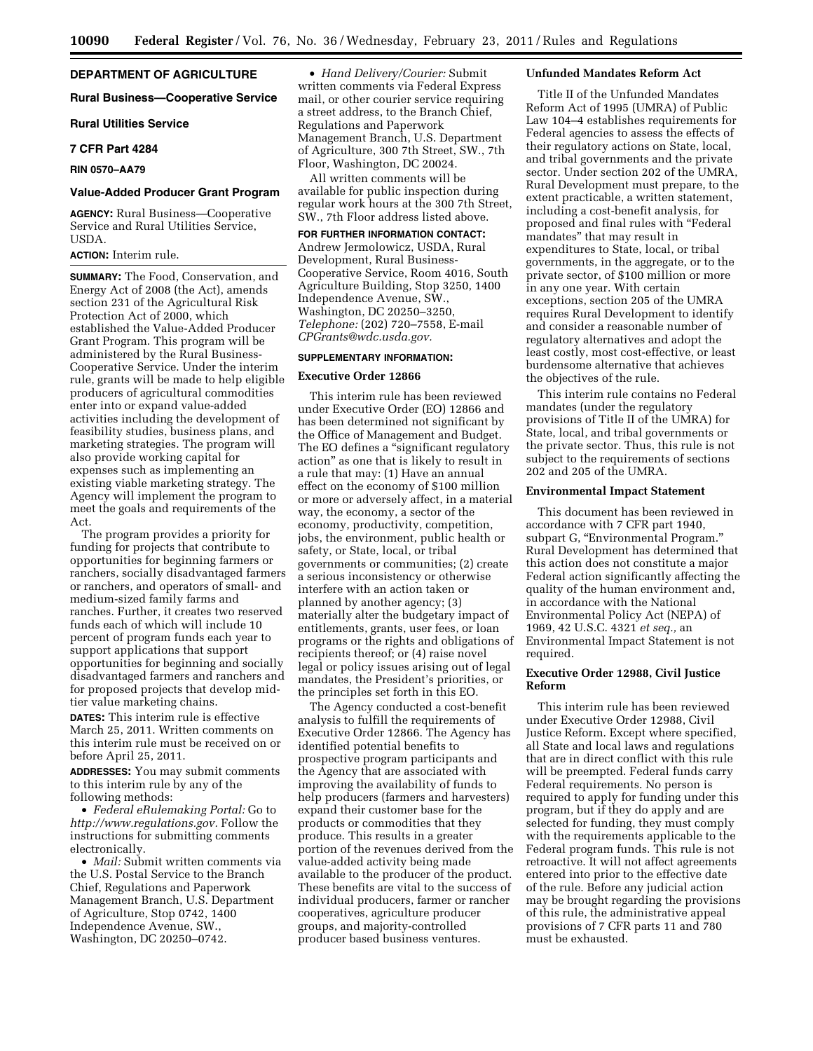# **DEPARTMENT OF AGRICULTURE**

#### **Rural Business—Cooperative Service**

**Rural Utilities Service** 

#### **7 CFR Part 4284**

**RIN 0570–AA79** 

#### **Value-Added Producer Grant Program**

**AGENCY:** Rural Business—Cooperative Service and Rural Utilities Service, USDA.

# **ACTION:** Interim rule.

**SUMMARY:** The Food, Conservation, and Energy Act of 2008 (the Act), amends section 231 of the Agricultural Risk Protection Act of 2000, which established the Value-Added Producer Grant Program. This program will be administered by the Rural Business-Cooperative Service. Under the interim rule, grants will be made to help eligible producers of agricultural commodities enter into or expand value-added activities including the development of feasibility studies, business plans, and marketing strategies. The program will also provide working capital for expenses such as implementing an existing viable marketing strategy. The Agency will implement the program to meet the goals and requirements of the Act.

The program provides a priority for funding for projects that contribute to opportunities for beginning farmers or ranchers, socially disadvantaged farmers or ranchers, and operators of small- and medium-sized family farms and ranches. Further, it creates two reserved funds each of which will include 10 percent of program funds each year to support applications that support opportunities for beginning and socially disadvantaged farmers and ranchers and for proposed projects that develop midtier value marketing chains.

**DATES:** This interim rule is effective March 25, 2011. Written comments on this interim rule must be received on or before April 25, 2011.

**ADDRESSES:** You may submit comments to this interim rule by any of the following methods:

• *Federal eRulemaking Portal:* Go to *http://www.regulations.gov.* Follow the instructions for submitting comments electronically.

• *Mail:* Submit written comments via the U.S. Postal Service to the Branch Chief, Regulations and Paperwork Management Branch, U.S. Department of Agriculture, Stop 0742, 1400 Independence Avenue, SW., Washington, DC 20250–0742.

• *Hand Delivery/Courier:* Submit written comments via Federal Express mail, or other courier service requiring a street address, to the Branch Chief, Regulations and Paperwork Management Branch, U.S. Department of Agriculture, 300 7th Street, SW., 7th Floor, Washington, DC 20024.

All written comments will be available for public inspection during regular work hours at the 300 7th Street, SW., 7th Floor address listed above.

**FOR FURTHER INFORMATION CONTACT:**  Andrew Jermolowicz, USDA, Rural Development, Rural Business-Cooperative Service, Room 4016, South Agriculture Building, Stop 3250, 1400 Independence Avenue, SW., Washington, DC 20250–3250, *Telephone:* (202) 720–7558, E-mail *CPGrants@wdc.usda.gov.* 

# **SUPPLEMENTARY INFORMATION:**

# **Executive Order 12866**

This interim rule has been reviewed under Executive Order (EO) 12866 and has been determined not significant by the Office of Management and Budget. The EO defines a "significant regulatory action'' as one that is likely to result in a rule that may: (1) Have an annual effect on the economy of \$100 million or more or adversely affect, in a material way, the economy, a sector of the economy, productivity, competition, jobs, the environment, public health or safety, or State, local, or tribal governments or communities; (2) create a serious inconsistency or otherwise interfere with an action taken or planned by another agency; (3) materially alter the budgetary impact of entitlements, grants, user fees, or loan programs or the rights and obligations of recipients thereof; or (4) raise novel legal or policy issues arising out of legal mandates, the President's priorities, or the principles set forth in this EO.

The Agency conducted a cost-benefit analysis to fulfill the requirements of Executive Order 12866. The Agency has identified potential benefits to prospective program participants and the Agency that are associated with improving the availability of funds to help producers (farmers and harvesters) expand their customer base for the products or commodities that they produce. This results in a greater portion of the revenues derived from the value-added activity being made available to the producer of the product. These benefits are vital to the success of individual producers, farmer or rancher cooperatives, agriculture producer groups, and majority-controlled producer based business ventures.

#### **Unfunded Mandates Reform Act**

Title II of the Unfunded Mandates Reform Act of 1995 (UMRA) of Public Law 104–4 establishes requirements for Federal agencies to assess the effects of their regulatory actions on State, local, and tribal governments and the private sector. Under section 202 of the UMRA, Rural Development must prepare, to the extent practicable, a written statement, including a cost-benefit analysis, for proposed and final rules with ''Federal mandates'' that may result in expenditures to State, local, or tribal governments, in the aggregate, or to the private sector, of \$100 million or more in any one year. With certain exceptions, section 205 of the UMRA requires Rural Development to identify and consider a reasonable number of regulatory alternatives and adopt the least costly, most cost-effective, or least burdensome alternative that achieves the objectives of the rule.

This interim rule contains no Federal mandates (under the regulatory provisions of Title II of the UMRA) for State, local, and tribal governments or the private sector. Thus, this rule is not subject to the requirements of sections 202 and 205 of the UMRA.

# **Environmental Impact Statement**

This document has been reviewed in accordance with 7 CFR part 1940, subpart G, "Environmental Program." Rural Development has determined that this action does not constitute a major Federal action significantly affecting the quality of the human environment and, in accordance with the National Environmental Policy Act (NEPA) of 1969, 42 U.S.C. 4321 *et seq.,* an Environmental Impact Statement is not required.

# **Executive Order 12988, Civil Justice Reform**

This interim rule has been reviewed under Executive Order 12988, Civil Justice Reform. Except where specified, all State and local laws and regulations that are in direct conflict with this rule will be preempted. Federal funds carry Federal requirements. No person is required to apply for funding under this program, but if they do apply and are selected for funding, they must comply with the requirements applicable to the Federal program funds. This rule is not retroactive. It will not affect agreements entered into prior to the effective date of the rule. Before any judicial action may be brought regarding the provisions of this rule, the administrative appeal provisions of 7 CFR parts 11 and 780 must be exhausted.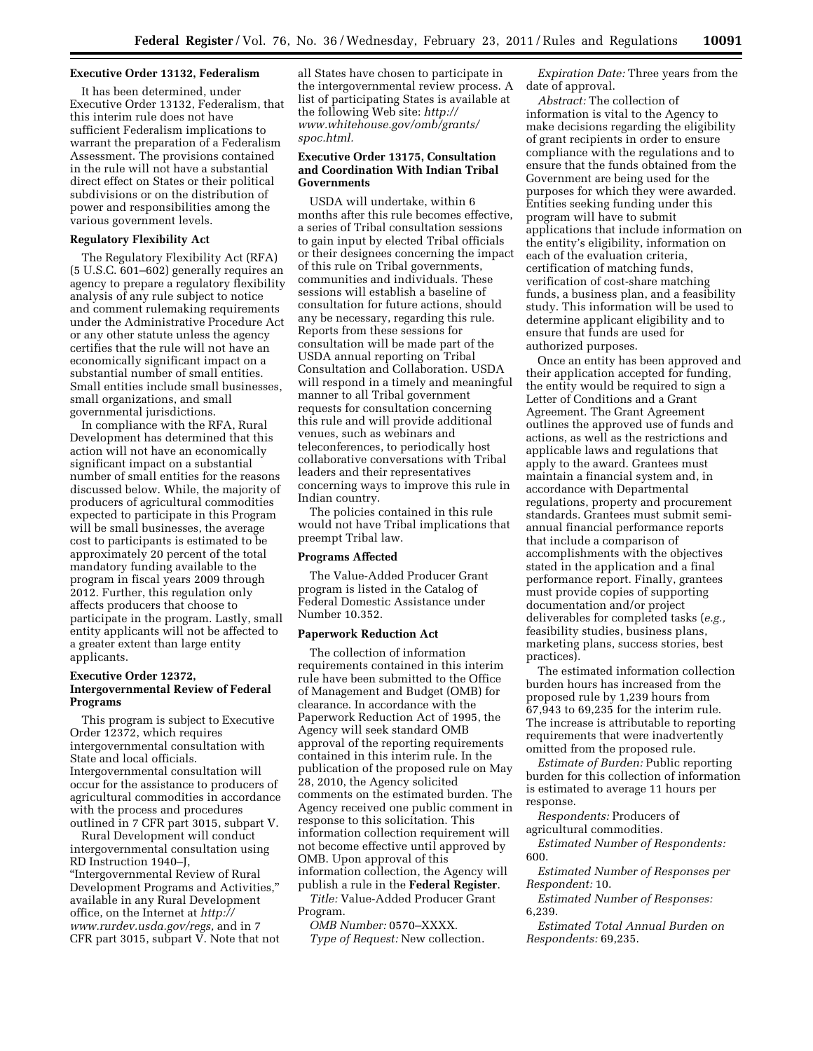#### **Executive Order 13132, Federalism**

It has been determined, under Executive Order 13132, Federalism, that this interim rule does not have sufficient Federalism implications to warrant the preparation of a Federalism Assessment. The provisions contained in the rule will not have a substantial direct effect on States or their political subdivisions or on the distribution of power and responsibilities among the various government levels.

## **Regulatory Flexibility Act**

The Regulatory Flexibility Act (RFA) (5 U.S.C. 601–602) generally requires an agency to prepare a regulatory flexibility analysis of any rule subject to notice and comment rulemaking requirements under the Administrative Procedure Act or any other statute unless the agency certifies that the rule will not have an economically significant impact on a substantial number of small entities. Small entities include small businesses, small organizations, and small governmental jurisdictions.

In compliance with the RFA, Rural Development has determined that this action will not have an economically significant impact on a substantial number of small entities for the reasons discussed below. While, the majority of producers of agricultural commodities expected to participate in this Program will be small businesses, the average cost to participants is estimated to be approximately 20 percent of the total mandatory funding available to the program in fiscal years 2009 through 2012. Further, this regulation only affects producers that choose to participate in the program. Lastly, small entity applicants will not be affected to a greater extent than large entity applicants.

# **Executive Order 12372, Intergovernmental Review of Federal Programs**

This program is subject to Executive Order 12372, which requires intergovernmental consultation with State and local officials. Intergovernmental consultation will occur for the assistance to producers of agricultural commodities in accordance with the process and procedures outlined in 7 CFR part 3015, subpart V.

Rural Development will conduct intergovernmental consultation using RD Instruction 1940–J, ''Intergovernmental Review of Rural Development Programs and Activities,'' available in any Rural Development office, on the Internet at *http:// www.rurdev.usda.gov/regs,* and in 7 CFR part 3015, subpart V. Note that not

all States have chosen to participate in the intergovernmental review process. A list of participating States is available at the following Web site: *http:// www.whitehouse.gov/omb/grants/ spoc.html.* 

## **Executive Order 13175, Consultation and Coordination With Indian Tribal Governments**

USDA will undertake, within 6 months after this rule becomes effective, a series of Tribal consultation sessions to gain input by elected Tribal officials or their designees concerning the impact of this rule on Tribal governments, communities and individuals. These sessions will establish a baseline of consultation for future actions, should any be necessary, regarding this rule. Reports from these sessions for consultation will be made part of the USDA annual reporting on Tribal Consultation and Collaboration. USDA will respond in a timely and meaningful manner to all Tribal government requests for consultation concerning this rule and will provide additional venues, such as webinars and teleconferences, to periodically host collaborative conversations with Tribal leaders and their representatives concerning ways to improve this rule in Indian country.

The policies contained in this rule would not have Tribal implications that preempt Tribal law.

## **Programs Affected**

The Value-Added Producer Grant program is listed in the Catalog of Federal Domestic Assistance under Number 10.352.

# **Paperwork Reduction Act**

The collection of information requirements contained in this interim rule have been submitted to the Office of Management and Budget (OMB) for clearance. In accordance with the Paperwork Reduction Act of 1995, the Agency will seek standard OMB approval of the reporting requirements contained in this interim rule. In the publication of the proposed rule on May 28, 2010, the Agency solicited comments on the estimated burden. The Agency received one public comment in response to this solicitation. This information collection requirement will not become effective until approved by OMB. Upon approval of this information collection, the Agency will publish a rule in the **Federal Register**. *Title:* Value-Added Producer Grant Program.

*OMB Number:* 0570–XXXX. *Type of Request:* New collection.

*Expiration Date:* Three years from the date of approval.

*Abstract:* The collection of information is vital to the Agency to make decisions regarding the eligibility of grant recipients in order to ensure compliance with the regulations and to ensure that the funds obtained from the Government are being used for the purposes for which they were awarded. Entities seeking funding under this program will have to submit applications that include information on the entity's eligibility, information on each of the evaluation criteria, certification of matching funds, verification of cost-share matching funds, a business plan, and a feasibility study. This information will be used to determine applicant eligibility and to ensure that funds are used for authorized purposes.

Once an entity has been approved and their application accepted for funding, the entity would be required to sign a Letter of Conditions and a Grant Agreement. The Grant Agreement outlines the approved use of funds and actions, as well as the restrictions and applicable laws and regulations that apply to the award. Grantees must maintain a financial system and, in accordance with Departmental regulations, property and procurement standards. Grantees must submit semiannual financial performance reports that include a comparison of accomplishments with the objectives stated in the application and a final performance report. Finally, grantees must provide copies of supporting documentation and/or project deliverables for completed tasks (*e.g.,*  feasibility studies, business plans, marketing plans, success stories, best practices).

The estimated information collection burden hours has increased from the proposed rule by 1,239 hours from 67,943 to 69,235 for the interim rule. The increase is attributable to reporting requirements that were inadvertently omitted from the proposed rule.

*Estimate of Burden:* Public reporting burden for this collection of information is estimated to average 11 hours per response.

*Respondents:* Producers of agricultural commodities.

*Estimated Number of Respondents:*  600.

*Estimated Number of Responses per Respondent:* 10.

*Estimated Number of Responses:*  6,239.

*Estimated Total Annual Burden on Respondents:* 69,235.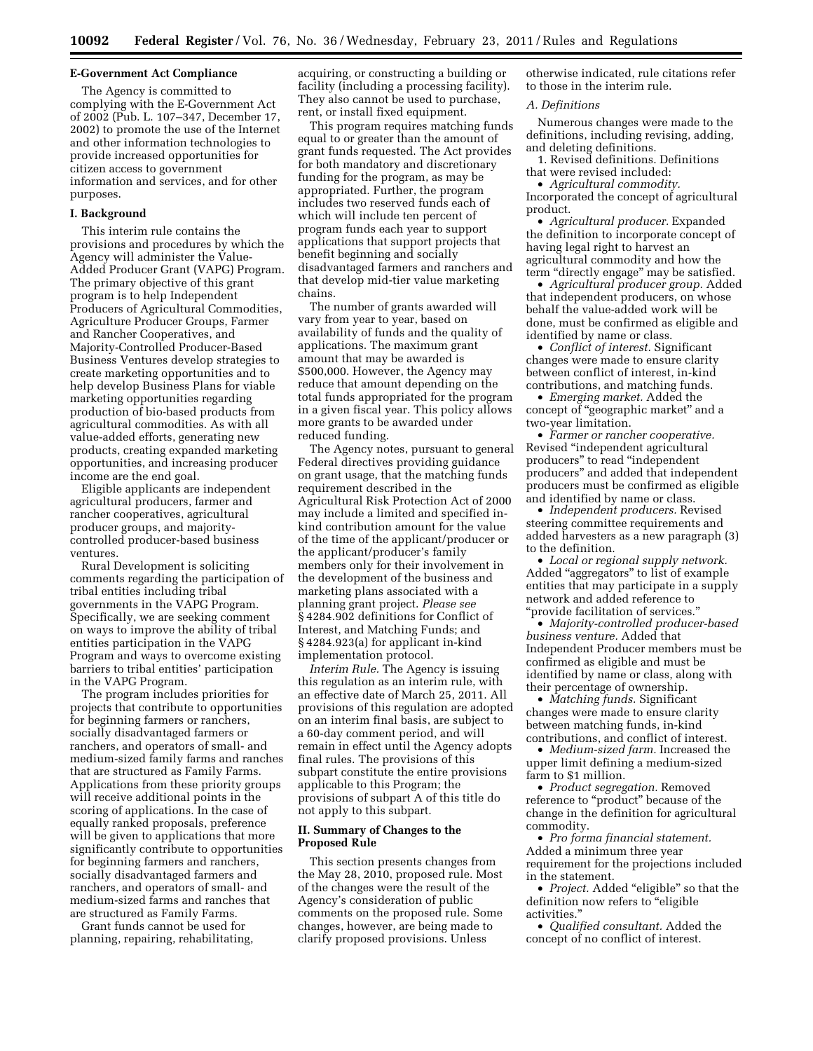## **E-Government Act Compliance**

The Agency is committed to complying with the E-Government Act of 2002 (Pub. L. 107–347, December 17, 2002) to promote the use of the Internet and other information technologies to provide increased opportunities for citizen access to government information and services, and for other purposes.

#### **I. Background**

This interim rule contains the provisions and procedures by which the Agency will administer the Value-Added Producer Grant (VAPG) Program. The primary objective of this grant program is to help Independent Producers of Agricultural Commodities, Agriculture Producer Groups, Farmer and Rancher Cooperatives, and Majority-Controlled Producer-Based Business Ventures develop strategies to create marketing opportunities and to help develop Business Plans for viable marketing opportunities regarding production of bio-based products from agricultural commodities. As with all value-added efforts, generating new products, creating expanded marketing opportunities, and increasing producer income are the end goal.

Eligible applicants are independent agricultural producers, farmer and rancher cooperatives, agricultural producer groups, and majoritycontrolled producer-based business ventures.

Rural Development is soliciting comments regarding the participation of tribal entities including tribal governments in the VAPG Program. Specifically, we are seeking comment on ways to improve the ability of tribal entities participation in the VAPG Program and ways to overcome existing barriers to tribal entities' participation in the VAPG Program.

The program includes priorities for projects that contribute to opportunities for beginning farmers or ranchers, socially disadvantaged farmers or ranchers, and operators of small- and medium-sized family farms and ranches that are structured as Family Farms. Applications from these priority groups will receive additional points in the scoring of applications. In the case of equally ranked proposals, preference will be given to applications that more significantly contribute to opportunities for beginning farmers and ranchers, socially disadvantaged farmers and ranchers, and operators of small- and medium-sized farms and ranches that are structured as Family Farms.

Grant funds cannot be used for planning, repairing, rehabilitating, acquiring, or constructing a building or facility (including a processing facility). They also cannot be used to purchase, rent, or install fixed equipment.

This program requires matching funds equal to or greater than the amount of grant funds requested. The Act provides for both mandatory and discretionary funding for the program, as may be appropriated. Further, the program includes two reserved funds each of which will include ten percent of program funds each year to support applications that support projects that benefit beginning and socially disadvantaged farmers and ranchers and that develop mid-tier value marketing chains.

The number of grants awarded will vary from year to year, based on availability of funds and the quality of applications. The maximum grant amount that may be awarded is \$500,000. However, the Agency may reduce that amount depending on the total funds appropriated for the program in a given fiscal year. This policy allows more grants to be awarded under reduced funding.

The Agency notes, pursuant to general Federal directives providing guidance on grant usage, that the matching funds requirement described in the Agricultural Risk Protection Act of 2000 may include a limited and specified inkind contribution amount for the value of the time of the applicant/producer or the applicant/producer's family members only for their involvement in the development of the business and marketing plans associated with a planning grant project. *Please see*  § 4284.902 definitions for Conflict of Interest, and Matching Funds; and § 4284.923(a) for applicant in-kind implementation protocol.

*Interim Rule.* The Agency is issuing this regulation as an interim rule, with an effective date of March 25, 2011. All provisions of this regulation are adopted on an interim final basis, are subject to a 60-day comment period, and will remain in effect until the Agency adopts final rules. The provisions of this subpart constitute the entire provisions applicable to this Program; the provisions of subpart A of this title do not apply to this subpart.

# **II. Summary of Changes to the Proposed Rule**

This section presents changes from the May 28, 2010, proposed rule. Most of the changes were the result of the Agency's consideration of public comments on the proposed rule. Some changes, however, are being made to clarify proposed provisions. Unless

otherwise indicated, rule citations refer to those in the interim rule.

#### *A. Definitions*

Numerous changes were made to the definitions, including revising, adding, and deleting definitions.

1. Revised definitions. Definitions that were revised included:

• *Agricultural commodity.*  Incorporated the concept of agricultural product.

• *Agricultural producer.* Expanded the definition to incorporate concept of having legal right to harvest an agricultural commodity and how the term ''directly engage'' may be satisfied.

• *Agricultural producer group.* Added that independent producers, on whose behalf the value-added work will be done, must be confirmed as eligible and identified by name or class.

• *Conflict of interest.* Significant changes were made to ensure clarity between conflict of interest, in-kind contributions, and matching funds.

• *Emerging market.* Added the concept of ''geographic market'' and a two-year limitation.

• *Farmer or rancher cooperative.*  Revised ''independent agricultural producers'' to read ''independent producers'' and added that independent producers must be confirmed as eligible and identified by name or class.

• *Independent producers.* Revised steering committee requirements and added harvesters as a new paragraph (3) to the definition.

• *Local or regional supply network.*  Added ''aggregators'' to list of example entities that may participate in a supply network and added reference to ''provide facilitation of services.''

• *Majority-controlled producer-based business venture.* Added that Independent Producer members must be confirmed as eligible and must be identified by name or class, along with their percentage of ownership.

• *Matching funds.* Significant changes were made to ensure clarity between matching funds, in-kind contributions, and conflict of interest.

• *Medium-sized farm.* Increased the upper limit defining a medium-sized farm to \$1 million.

• *Product segregation.* Removed reference to "product" because of the change in the definition for agricultural commodity.

• *Pro forma financial statement.*  Added a minimum three year requirement for the projections included in the statement.

• *Project.* Added "eligible" so that the definition now refers to ''eligible activities.''

• *Qualified consultant.* Added the concept of no conflict of interest.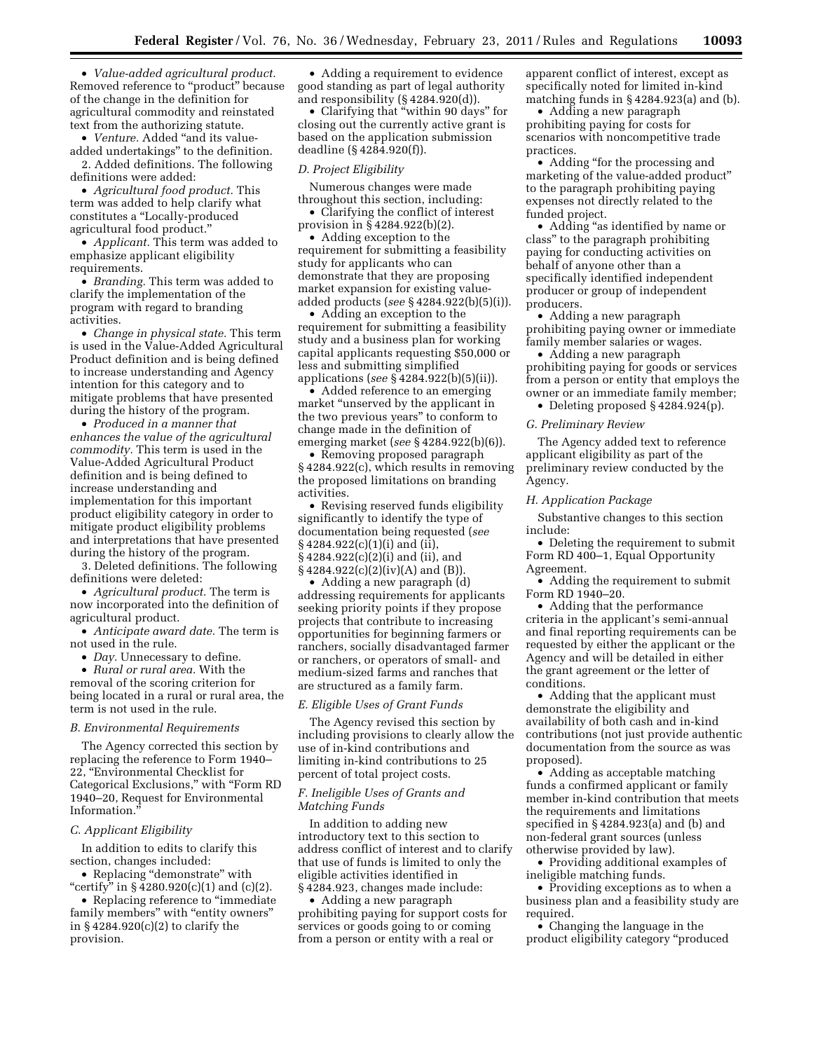• *Value-added agricultural product.*  Removed reference to ''product'' because of the change in the definition for agricultural commodity and reinstated text from the authorizing statute.

• *Venture.* Added ''and its valueadded undertakings'' to the definition.

2. Added definitions. The following definitions were added:

• *Agricultural food product.* This term was added to help clarify what constitutes a ''Locally-produced agricultural food product.''

• *Applicant.* This term was added to emphasize applicant eligibility requirements.

• *Branding.* This term was added to clarify the implementation of the program with regard to branding activities.

• *Change in physical state.* This term is used in the Value-Added Agricultural Product definition and is being defined to increase understanding and Agency intention for this category and to mitigate problems that have presented during the history of the program.

• *Produced in a manner that enhances the value of the agricultural commodity.* This term is used in the Value-Added Agricultural Product definition and is being defined to increase understanding and implementation for this important product eligibility category in order to mitigate product eligibility problems and interpretations that have presented during the history of the program.

3. Deleted definitions. The following definitions were deleted:

• *Agricultural product.* The term is now incorporated into the definition of agricultural product.

• *Anticipate award date.* The term is not used in the rule.

• *Day*. Unnecessary to define.

• *Rural or rural area.* With the removal of the scoring criterion for being located in a rural or rural area, the term is not used in the rule.

### *B. Environmental Requirements*

The Agency corrected this section by replacing the reference to Form 1940– 22, ''Environmental Checklist for Categorical Exclusions,'' with ''Form RD 1940–20, Request for Environmental Information.

# *C. Applicant Eligibility*

In addition to edits to clarify this section, changes included:

• Replacing "demonstrate" with "certify" in §4280.920(c)(1) and (c)(2).

• Replacing reference to "immediate family members'' with ''entity owners'' in § 4284.920(c)(2) to clarify the provision.

• Adding a requirement to evidence good standing as part of legal authority and responsibility (§ 4284.920(d)).

• Clarifying that "within 90 days" for closing out the currently active grant is based on the application submission deadline (§ 4284.920(f)).

## *D. Project Eligibility*

Numerous changes were made throughout this section, including:

• Clarifying the conflict of interest provision in § 4284.922(b)(2).

• Adding exception to the requirement for submitting a feasibility study for applicants who can demonstrate that they are proposing market expansion for existing valueadded products (*see* § 4284.922(b)(5)(i)).

• Adding an exception to the requirement for submitting a feasibility study and a business plan for working capital applicants requesting \$50,000 or less and submitting simplified applications (*see* § 4284.922(b)(5)(ii)).

• Added reference to an emerging market "unserved by the applicant in the two previous years'' to conform to change made in the definition of emerging market (*see* § 4284.922(b)(6)).

• Removing proposed paragraph § 4284.922(c), which results in removing the proposed limitations on branding activities.

• Revising reserved funds eligibility significantly to identify the type of documentation being requested (*see*  § 4284.922(c)(1)(i) and (ii), § 4284.922(c)(2)(i) and (ii), and § 4284.922(c)(2)(iv)(A) and (B)).

• Adding a new paragraph (d) addressing requirements for applicants seeking priority points if they propose projects that contribute to increasing opportunities for beginning farmers or ranchers, socially disadvantaged farmer or ranchers, or operators of small- and medium-sized farms and ranches that are structured as a family farm.

# *E. Eligible Uses of Grant Funds*

The Agency revised this section by including provisions to clearly allow the use of in-kind contributions and limiting in-kind contributions to 25 percent of total project costs.

### *F. Ineligible Uses of Grants and Matching Funds*

In addition to adding new introductory text to this section to address conflict of interest and to clarify that use of funds is limited to only the eligible activities identified in § 4284.923, changes made include:

• Adding a new paragraph prohibiting paying for support costs for services or goods going to or coming from a person or entity with a real or

apparent conflict of interest, except as specifically noted for limited in-kind matching funds in § 4284.923(a) and (b).

• Adding a new paragraph prohibiting paying for costs for scenarios with noncompetitive trade practices.

• Adding "for the processing and marketing of the value-added product'' to the paragraph prohibiting paying expenses not directly related to the funded project.

• Adding "as identified by name or class'' to the paragraph prohibiting paying for conducting activities on behalf of anyone other than a specifically identified independent producer or group of independent producers.

• Adding a new paragraph prohibiting paying owner or immediate family member salaries or wages.

• Adding a new paragraph prohibiting paying for goods or services from a person or entity that employs the owner or an immediate family member;

• Deleting proposed § 4284.924(p).

#### *G. Preliminary Review*

The Agency added text to reference applicant eligibility as part of the preliminary review conducted by the Agency.

#### *H. Application Package*

Substantive changes to this section include:

• Deleting the requirement to submit Form RD 400–1, Equal Opportunity Agreement.

• Adding the requirement to submit Form RD 1940–20.

• Adding that the performance criteria in the applicant's semi-annual and final reporting requirements can be requested by either the applicant or the Agency and will be detailed in either the grant agreement or the letter of conditions.

• Adding that the applicant must demonstrate the eligibility and availability of both cash and in-kind contributions (not just provide authentic documentation from the source as was proposed).

• Adding as acceptable matching funds a confirmed applicant or family member in-kind contribution that meets the requirements and limitations specified in § 4284.923(a) and (b) and non-federal grant sources (unless otherwise provided by law).

• Providing additional examples of ineligible matching funds.

• Providing exceptions as to when a business plan and a feasibility study are required.

• Changing the language in the product eligibility category ''produced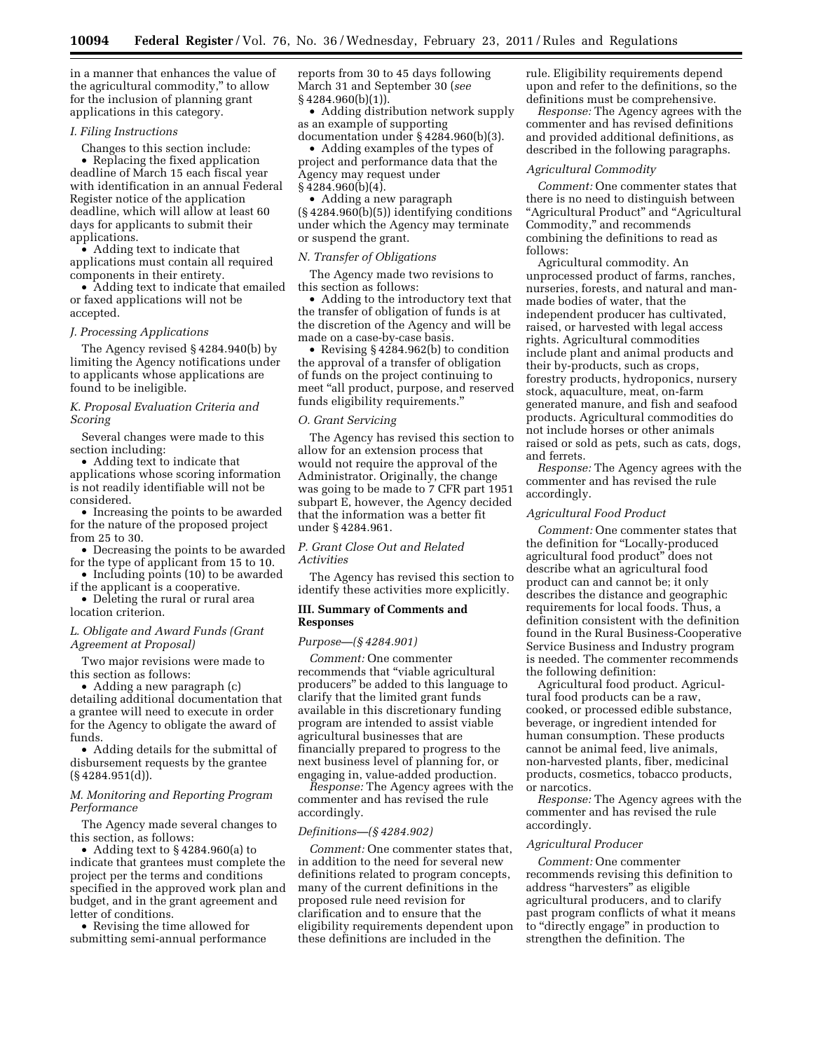in a manner that enhances the value of the agricultural commodity,'' to allow for the inclusion of planning grant applications in this category.

# *I. Filing Instructions*

Changes to this section include: • Replacing the fixed application deadline of March 15 each fiscal year with identification in an annual Federal Register notice of the application deadline, which will allow at least 60 days for applicants to submit their applications.

• Adding text to indicate that applications must contain all required components in their entirety.

• Adding text to indicate that emailed or faxed applications will not be accepted.

#### *J. Processing Applications*

The Agency revised § 4284.940(b) by limiting the Agency notifications under to applicants whose applications are found to be ineligible.

*K. Proposal Evaluation Criteria and Scoring* 

Several changes were made to this section including:

• Adding text to indicate that applications whose scoring information is not readily identifiable will not be considered.

• Increasing the points to be awarded for the nature of the proposed project from 25 to 30.

• Decreasing the points to be awarded for the type of applicant from 15 to 10.

• Including points (10) to be awarded if the applicant is a cooperative.

• Deleting the rural or rural area

location criterion.

# *L. Obligate and Award Funds (Grant Agreement at Proposal)*

Two major revisions were made to this section as follows:

• Adding a new paragraph (c) detailing additional documentation that a grantee will need to execute in order for the Agency to obligate the award of funds.

• Adding details for the submittal of disbursement requests by the grantee (§ 4284.951(d)).

# *M. Monitoring and Reporting Program Performance*

The Agency made several changes to this section, as follows:

• Adding text to § 4284.960(a) to indicate that grantees must complete the project per the terms and conditions specified in the approved work plan and budget, and in the grant agreement and letter of conditions.

• Revising the time allowed for submitting semi-annual performance reports from 30 to 45 days following March 31 and September 30 (*see*  § 4284.960(b)(1)).

• Adding distribution network supply as an example of supporting documentation under § 4284.960(b)(3).

• Adding examples of the types of project and performance data that the Agency may request under  $§$  4284.960(b)(4).

• Adding a new paragraph (§ 4284.960(b)(5)) identifying conditions under which the Agency may terminate or suspend the grant.

### *N. Transfer of Obligations*

The Agency made two revisions to this section as follows:

• Adding to the introductory text that the transfer of obligation of funds is at the discretion of the Agency and will be made on a case-by-case basis.

• Revising  $\S 4284.962(b)$  to condition the approval of a transfer of obligation of funds on the project continuing to meet ''all product, purpose, and reserved funds eligibility requirements.''

# *O. Grant Servicing*

The Agency has revised this section to allow for an extension process that would not require the approval of the Administrator. Originally, the change was going to be made to 7 CFR part 1951 subpart E, however, the Agency decided that the information was a better fit under § 4284.961.

*P. Grant Close Out and Related Activities* 

The Agency has revised this section to identify these activities more explicitly.

## **III. Summary of Comments and Responses**

# *Purpose—(§ 4284.901)*

*Comment:* One commenter recommends that ''viable agricultural producers'' be added to this language to clarify that the limited grant funds available in this discretionary funding program are intended to assist viable agricultural businesses that are financially prepared to progress to the next business level of planning for, or engaging in, value-added production.

*Response:* The Agency agrees with the commenter and has revised the rule accordingly.

### *Definitions—(§ 4284.902)*

*Comment:* One commenter states that, in addition to the need for several new definitions related to program concepts, many of the current definitions in the proposed rule need revision for clarification and to ensure that the eligibility requirements dependent upon these definitions are included in the

rule. Eligibility requirements depend upon and refer to the definitions, so the definitions must be comprehensive.

*Response:* The Agency agrees with the commenter and has revised definitions and provided additional definitions, as described in the following paragraphs.

#### *Agricultural Commodity*

*Comment:* One commenter states that there is no need to distinguish between "Agricultural Product" and "Agricultural Commodity,'' and recommends combining the definitions to read as follows:

Agricultural commodity. An unprocessed product of farms, ranches, nurseries, forests, and natural and manmade bodies of water, that the independent producer has cultivated, raised, or harvested with legal access rights. Agricultural commodities include plant and animal products and their by-products, such as crops, forestry products, hydroponics, nursery stock, aquaculture, meat, on-farm generated manure, and fish and seafood products. Agricultural commodities do not include horses or other animals raised or sold as pets, such as cats, dogs, and ferrets.

*Response:* The Agency agrees with the commenter and has revised the rule accordingly.

#### *Agricultural Food Product*

*Comment:* One commenter states that the definition for ''Locally-produced agricultural food product'' does not describe what an agricultural food product can and cannot be; it only describes the distance and geographic requirements for local foods. Thus, a definition consistent with the definition found in the Rural Business-Cooperative Service Business and Industry program is needed. The commenter recommends the following definition:

Agricultural food product. Agricultural food products can be a raw, cooked, or processed edible substance, beverage, or ingredient intended for human consumption. These products cannot be animal feed, live animals, non-harvested plants, fiber, medicinal products, cosmetics, tobacco products, or narcotics.

*Response:* The Agency agrees with the commenter and has revised the rule accordingly.

#### *Agricultural Producer*

*Comment:* One commenter recommends revising this definition to address ''harvesters'' as eligible agricultural producers, and to clarify past program conflicts of what it means to "directly engage" in production to strengthen the definition. The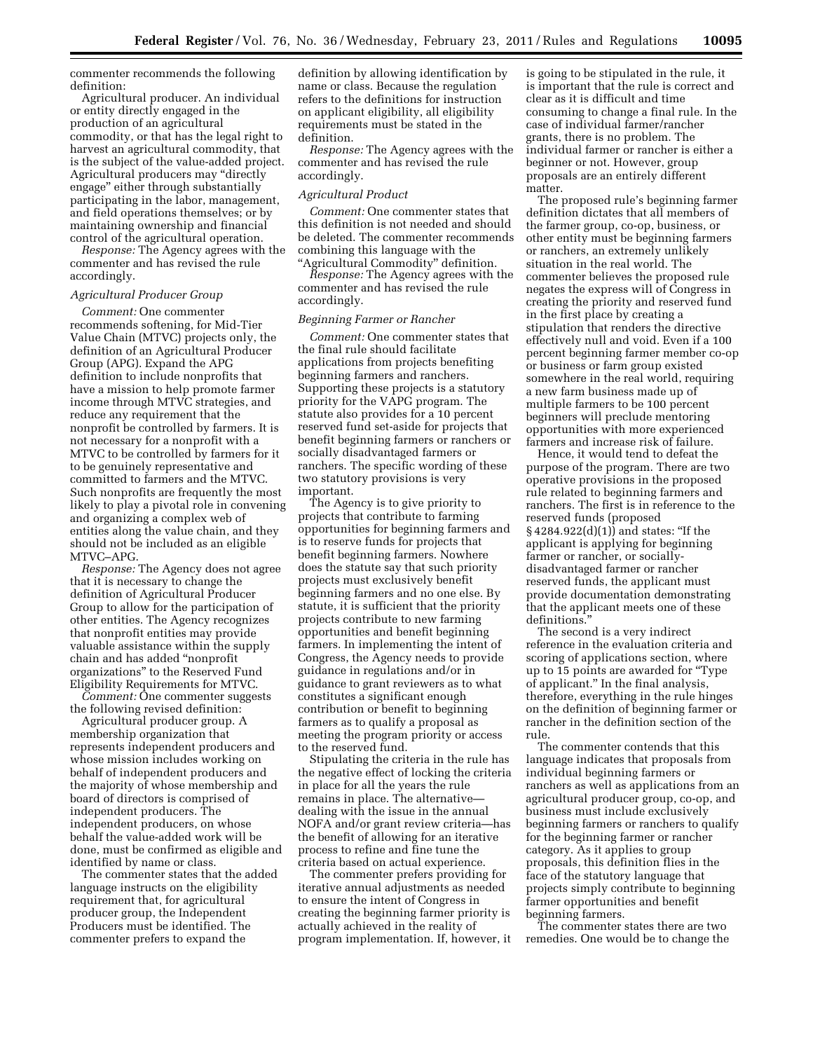commenter recommends the following definition:

Agricultural producer. An individual or entity directly engaged in the production of an agricultural commodity, or that has the legal right to harvest an agricultural commodity, that is the subject of the value-added project. Agricultural producers may ''directly engage'' either through substantially participating in the labor, management, and field operations themselves; or by maintaining ownership and financial control of the agricultural operation.

*Response:* The Agency agrees with the commenter and has revised the rule accordingly.

# *Agricultural Producer Group*

*Comment:* One commenter recommends softening, for Mid-Tier Value Chain (MTVC) projects only, the definition of an Agricultural Producer Group (APG). Expand the APG definition to include nonprofits that have a mission to help promote farmer income through MTVC strategies, and reduce any requirement that the nonprofit be controlled by farmers. It is not necessary for a nonprofit with a MTVC to be controlled by farmers for it to be genuinely representative and committed to farmers and the MTVC. Such nonprofits are frequently the most likely to play a pivotal role in convening and organizing a complex web of entities along the value chain, and they should not be included as an eligible MTVC–APG.

*Response:* The Agency does not agree that it is necessary to change the definition of Agricultural Producer Group to allow for the participation of other entities. The Agency recognizes that nonprofit entities may provide valuable assistance within the supply chain and has added ''nonprofit organizations'' to the Reserved Fund Eligibility Requirements for MTVC.

*Comment:* One commenter suggests the following revised definition:

Agricultural producer group. A membership organization that represents independent producers and whose mission includes working on behalf of independent producers and the majority of whose membership and board of directors is comprised of independent producers. The independent producers, on whose behalf the value-added work will be done, must be confirmed as eligible and identified by name or class.

The commenter states that the added language instructs on the eligibility requirement that, for agricultural producer group, the Independent Producers must be identified. The commenter prefers to expand the

definition by allowing identification by name or class. Because the regulation refers to the definitions for instruction on applicant eligibility, all eligibility requirements must be stated in the definition.

*Response:* The Agency agrees with the commenter and has revised the rule accordingly.

### *Agricultural Product*

*Comment:* One commenter states that this definition is not needed and should be deleted. The commenter recommends combining this language with the "Agricultural Commodity" definition.

*Response:* The Agency agrees with the commenter and has revised the rule accordingly.

### *Beginning Farmer or Rancher*

*Comment:* One commenter states that the final rule should facilitate applications from projects benefiting beginning farmers and ranchers. Supporting these projects is a statutory priority for the VAPG program. The statute also provides for a 10 percent reserved fund set-aside for projects that benefit beginning farmers or ranchers or socially disadvantaged farmers or ranchers. The specific wording of these two statutory provisions is very important.

The Agency is to give priority to projects that contribute to farming opportunities for beginning farmers and is to reserve funds for projects that benefit beginning farmers. Nowhere does the statute say that such priority projects must exclusively benefit beginning farmers and no one else. By statute, it is sufficient that the priority projects contribute to new farming opportunities and benefit beginning farmers. In implementing the intent of Congress, the Agency needs to provide guidance in regulations and/or in guidance to grant reviewers as to what constitutes a significant enough contribution or benefit to beginning farmers as to qualify a proposal as meeting the program priority or access to the reserved fund.

Stipulating the criteria in the rule has the negative effect of locking the criteria in place for all the years the rule remains in place. The alternative dealing with the issue in the annual NOFA and/or grant review criteria—has the benefit of allowing for an iterative process to refine and fine tune the criteria based on actual experience.

The commenter prefers providing for iterative annual adjustments as needed to ensure the intent of Congress in creating the beginning farmer priority is actually achieved in the reality of program implementation. If, however, it is going to be stipulated in the rule, it is important that the rule is correct and clear as it is difficult and time consuming to change a final rule. In the case of individual farmer/rancher grants, there is no problem. The individual farmer or rancher is either a beginner or not. However, group proposals are an entirely different matter.

The proposed rule's beginning farmer definition dictates that all members of the farmer group, co-op, business, or other entity must be beginning farmers or ranchers, an extremely unlikely situation in the real world. The commenter believes the proposed rule negates the express will of Congress in creating the priority and reserved fund in the first place by creating a stipulation that renders the directive effectively null and void. Even if a 100 percent beginning farmer member co-op or business or farm group existed somewhere in the real world, requiring a new farm business made up of multiple farmers to be 100 percent beginners will preclude mentoring opportunities with more experienced farmers and increase risk of failure.

Hence, it would tend to defeat the purpose of the program. There are two operative provisions in the proposed rule related to beginning farmers and ranchers. The first is in reference to the reserved funds (proposed  $§ 4284.922(d)(1)$  and states: "If the applicant is applying for beginning farmer or rancher, or sociallydisadvantaged farmer or rancher reserved funds, the applicant must provide documentation demonstrating that the applicant meets one of these definitions.''

The second is a very indirect reference in the evaluation criteria and scoring of applications section, where up to 15 points are awarded for ''Type of applicant.'' In the final analysis, therefore, everything in the rule hinges on the definition of beginning farmer or rancher in the definition section of the rule.

The commenter contends that this language indicates that proposals from individual beginning farmers or ranchers as well as applications from an agricultural producer group, co-op, and business must include exclusively beginning farmers or ranchers to qualify for the beginning farmer or rancher category. As it applies to group proposals, this definition flies in the face of the statutory language that projects simply contribute to beginning farmer opportunities and benefit beginning farmers.

The commenter states there are two remedies. One would be to change the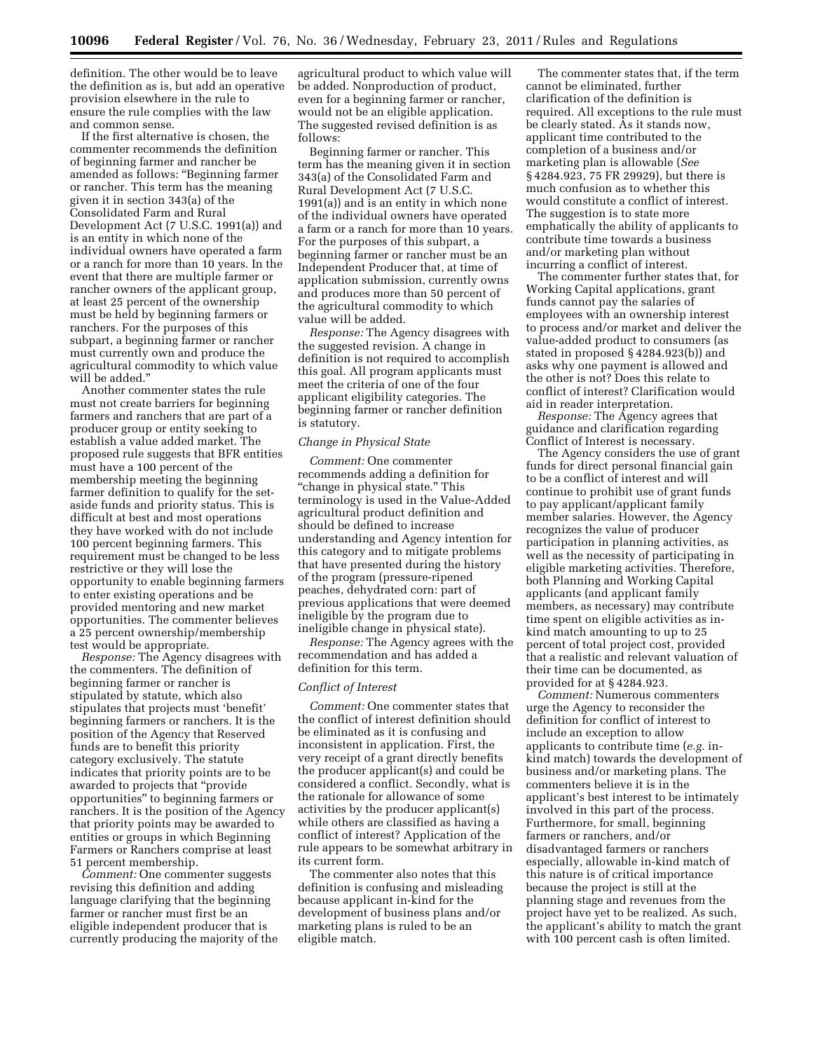definition. The other would be to leave the definition as is, but add an operative provision elsewhere in the rule to ensure the rule complies with the law and common sense.

If the first alternative is chosen, the commenter recommends the definition of beginning farmer and rancher be amended as follows: ''Beginning farmer or rancher. This term has the meaning given it in section 343(a) of the Consolidated Farm and Rural Development Act (7 U.S.C. 1991(a)) and is an entity in which none of the individual owners have operated a farm or a ranch for more than 10 years. In the event that there are multiple farmer or rancher owners of the applicant group, at least 25 percent of the ownership must be held by beginning farmers or ranchers. For the purposes of this subpart, a beginning farmer or rancher must currently own and produce the agricultural commodity to which value will be added.''

Another commenter states the rule must not create barriers for beginning farmers and ranchers that are part of a producer group or entity seeking to establish a value added market. The proposed rule suggests that BFR entities must have a 100 percent of the membership meeting the beginning farmer definition to qualify for the setaside funds and priority status. This is difficult at best and most operations they have worked with do not include 100 percent beginning farmers. This requirement must be changed to be less restrictive or they will lose the opportunity to enable beginning farmers to enter existing operations and be provided mentoring and new market opportunities. The commenter believes a 25 percent ownership/membership test would be appropriate.

*Response:* The Agency disagrees with the commenters. The definition of beginning farmer or rancher is stipulated by statute, which also stipulates that projects must 'benefit' beginning farmers or ranchers. It is the position of the Agency that Reserved funds are to benefit this priority category exclusively. The statute indicates that priority points are to be awarded to projects that ''provide opportunities'' to beginning farmers or ranchers. It is the position of the Agency that priority points may be awarded to entities or groups in which Beginning Farmers or Ranchers comprise at least 51 percent membership.

*Comment:* One commenter suggests revising this definition and adding language clarifying that the beginning farmer or rancher must first be an eligible independent producer that is currently producing the majority of the

agricultural product to which value will be added. Nonproduction of product, even for a beginning farmer or rancher, would not be an eligible application. The suggested revised definition is as follows:

Beginning farmer or rancher. This term has the meaning given it in section 343(a) of the Consolidated Farm and Rural Development Act (7 U.S.C. 1991(a)) and is an entity in which none of the individual owners have operated a farm or a ranch for more than 10 years. For the purposes of this subpart, a beginning farmer or rancher must be an Independent Producer that, at time of application submission, currently owns and produces more than 50 percent of the agricultural commodity to which value will be added.

*Response:* The Agency disagrees with the suggested revision. A change in definition is not required to accomplish this goal. All program applicants must meet the criteria of one of the four applicant eligibility categories. The beginning farmer or rancher definition is statutory.

# *Change in Physical State*

*Comment:* One commenter recommends adding a definition for ''change in physical state.'' This terminology is used in the Value-Added agricultural product definition and should be defined to increase understanding and Agency intention for this category and to mitigate problems that have presented during the history of the program (pressure-ripened peaches, dehydrated corn: part of previous applications that were deemed ineligible by the program due to ineligible change in physical state).

*Response:* The Agency agrees with the recommendation and has added a definition for this term.

#### *Conflict of Interest*

*Comment:* One commenter states that the conflict of interest definition should be eliminated as it is confusing and inconsistent in application. First, the very receipt of a grant directly benefits the producer applicant(s) and could be considered a conflict. Secondly, what is the rationale for allowance of some activities by the producer applicant(s) while others are classified as having a conflict of interest? Application of the rule appears to be somewhat arbitrary in its current form.

The commenter also notes that this definition is confusing and misleading because applicant in-kind for the development of business plans and/or marketing plans is ruled to be an eligible match.

The commenter states that, if the term cannot be eliminated, further clarification of the definition is required. All exceptions to the rule must be clearly stated. As it stands now, applicant time contributed to the completion of a business and/or marketing plan is allowable (*See*  § 4284.923, 75 FR 29929), but there is much confusion as to whether this would constitute a conflict of interest. The suggestion is to state more emphatically the ability of applicants to contribute time towards a business and/or marketing plan without incurring a conflict of interest.

The commenter further states that, for Working Capital applications, grant funds cannot pay the salaries of employees with an ownership interest to process and/or market and deliver the value-added product to consumers (as stated in proposed § 4284.923(b)) and asks why one payment is allowed and the other is not? Does this relate to conflict of interest? Clarification would aid in reader interpretation.

*Response:* The Agency agrees that guidance and clarification regarding Conflict of Interest is necessary.

The Agency considers the use of grant funds for direct personal financial gain to be a conflict of interest and will continue to prohibit use of grant funds to pay applicant/applicant family member salaries. However, the Agency recognizes the value of producer participation in planning activities, as well as the necessity of participating in eligible marketing activities. Therefore, both Planning and Working Capital applicants (and applicant family members, as necessary) may contribute time spent on eligible activities as inkind match amounting to up to 25 percent of total project cost, provided that a realistic and relevant valuation of their time can be documented, as provided for at § 4284.923.

*Comment:* Numerous commenters urge the Agency to reconsider the definition for conflict of interest to include an exception to allow applicants to contribute time (*e.g.* inkind match) towards the development of business and/or marketing plans. The commenters believe it is in the applicant's best interest to be intimately involved in this part of the process. Furthermore, for small, beginning farmers or ranchers, and/or disadvantaged farmers or ranchers especially, allowable in-kind match of this nature is of critical importance because the project is still at the planning stage and revenues from the project have yet to be realized. As such, the applicant's ability to match the grant with 100 percent cash is often limited.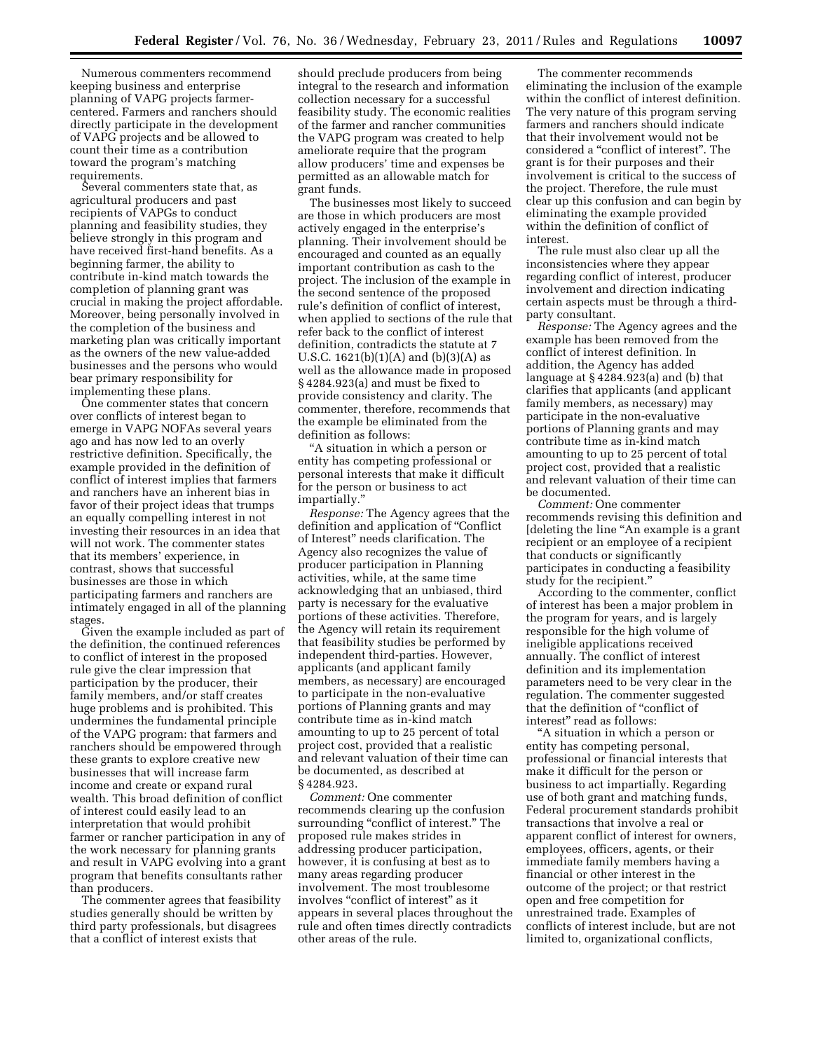Numerous commenters recommend keeping business and enterprise planning of VAPG projects farmercentered. Farmers and ranchers should directly participate in the development of VAPG projects and be allowed to count their time as a contribution toward the program's matching requirements.

Several commenters state that, as agricultural producers and past recipients of VAPGs to conduct planning and feasibility studies, they believe strongly in this program and have received first-hand benefits. As a beginning farmer, the ability to contribute in-kind match towards the completion of planning grant was crucial in making the project affordable. Moreover, being personally involved in the completion of the business and marketing plan was critically important as the owners of the new value-added businesses and the persons who would bear primary responsibility for implementing these plans.

One commenter states that concern over conflicts of interest began to emerge in VAPG NOFAs several years ago and has now led to an overly restrictive definition. Specifically, the example provided in the definition of conflict of interest implies that farmers and ranchers have an inherent bias in favor of their project ideas that trumps an equally compelling interest in not investing their resources in an idea that will not work. The commenter states that its members' experience, in contrast, shows that successful businesses are those in which participating farmers and ranchers are intimately engaged in all of the planning stages.

Given the example included as part of the definition, the continued references to conflict of interest in the proposed rule give the clear impression that participation by the producer, their family members, and/or staff creates huge problems and is prohibited. This undermines the fundamental principle of the VAPG program: that farmers and ranchers should be empowered through these grants to explore creative new businesses that will increase farm income and create or expand rural wealth. This broad definition of conflict of interest could easily lead to an interpretation that would prohibit farmer or rancher participation in any of the work necessary for planning grants and result in VAPG evolving into a grant program that benefits consultants rather than producers.

The commenter agrees that feasibility studies generally should be written by third party professionals, but disagrees that a conflict of interest exists that

should preclude producers from being integral to the research and information collection necessary for a successful feasibility study. The economic realities of the farmer and rancher communities the VAPG program was created to help ameliorate require that the program allow producers' time and expenses be permitted as an allowable match for grant funds.

The businesses most likely to succeed are those in which producers are most actively engaged in the enterprise's planning. Their involvement should be encouraged and counted as an equally important contribution as cash to the project. The inclusion of the example in the second sentence of the proposed rule's definition of conflict of interest, when applied to sections of the rule that refer back to the conflict of interest definition, contradicts the statute at 7 U.S.C.  $1621(b)(1)(A)$  and  $(b)(3)(A)$  as well as the allowance made in proposed § 4284.923(a) and must be fixed to provide consistency and clarity. The commenter, therefore, recommends that the example be eliminated from the definition as follows:

''A situation in which a person or entity has competing professional or personal interests that make it difficult for the person or business to act impartially.''

*Response:* The Agency agrees that the definition and application of ''Conflict of Interest'' needs clarification. The Agency also recognizes the value of producer participation in Planning activities, while, at the same time acknowledging that an unbiased, third party is necessary for the evaluative portions of these activities. Therefore, the Agency will retain its requirement that feasibility studies be performed by independent third-parties. However, applicants (and applicant family members, as necessary) are encouraged to participate in the non-evaluative portions of Planning grants and may contribute time as in-kind match amounting to up to 25 percent of total project cost, provided that a realistic and relevant valuation of their time can be documented, as described at § 4284.923.

*Comment:* One commenter recommends clearing up the confusion surrounding "conflict of interest." The proposed rule makes strides in addressing producer participation, however, it is confusing at best as to many areas regarding producer involvement. The most troublesome involves "conflict of interest" as it appears in several places throughout the rule and often times directly contradicts other areas of the rule.

The commenter recommends eliminating the inclusion of the example within the conflict of interest definition. The very nature of this program serving farmers and ranchers should indicate that their involvement would not be considered a ''conflict of interest''. The grant is for their purposes and their involvement is critical to the success of the project. Therefore, the rule must clear up this confusion and can begin by eliminating the example provided within the definition of conflict of interest.

The rule must also clear up all the inconsistencies where they appear regarding conflict of interest, producer involvement and direction indicating certain aspects must be through a thirdparty consultant.

*Response:* The Agency agrees and the example has been removed from the conflict of interest definition. In addition, the Agency has added language at  $\S$  4284.923(a) and (b) that clarifies that applicants (and applicant family members, as necessary) may participate in the non-evaluative portions of Planning grants and may contribute time as in-kind match amounting to up to 25 percent of total project cost, provided that a realistic and relevant valuation of their time can be documented.

*Comment:* One commenter recommends revising this definition and [deleting the line "An example is a grant recipient or an employee of a recipient that conducts or significantly participates in conducting a feasibility study for the recipient.''

According to the commenter, conflict of interest has been a major problem in the program for years, and is largely responsible for the high volume of ineligible applications received annually. The conflict of interest definition and its implementation parameters need to be very clear in the regulation. The commenter suggested that the definition of "conflict of interest'' read as follows:

''A situation in which a person or entity has competing personal, professional or financial interests that make it difficult for the person or business to act impartially. Regarding use of both grant and matching funds, Federal procurement standards prohibit transactions that involve a real or apparent conflict of interest for owners, employees, officers, agents, or their immediate family members having a financial or other interest in the outcome of the project; or that restrict open and free competition for unrestrained trade. Examples of conflicts of interest include, but are not limited to, organizational conflicts,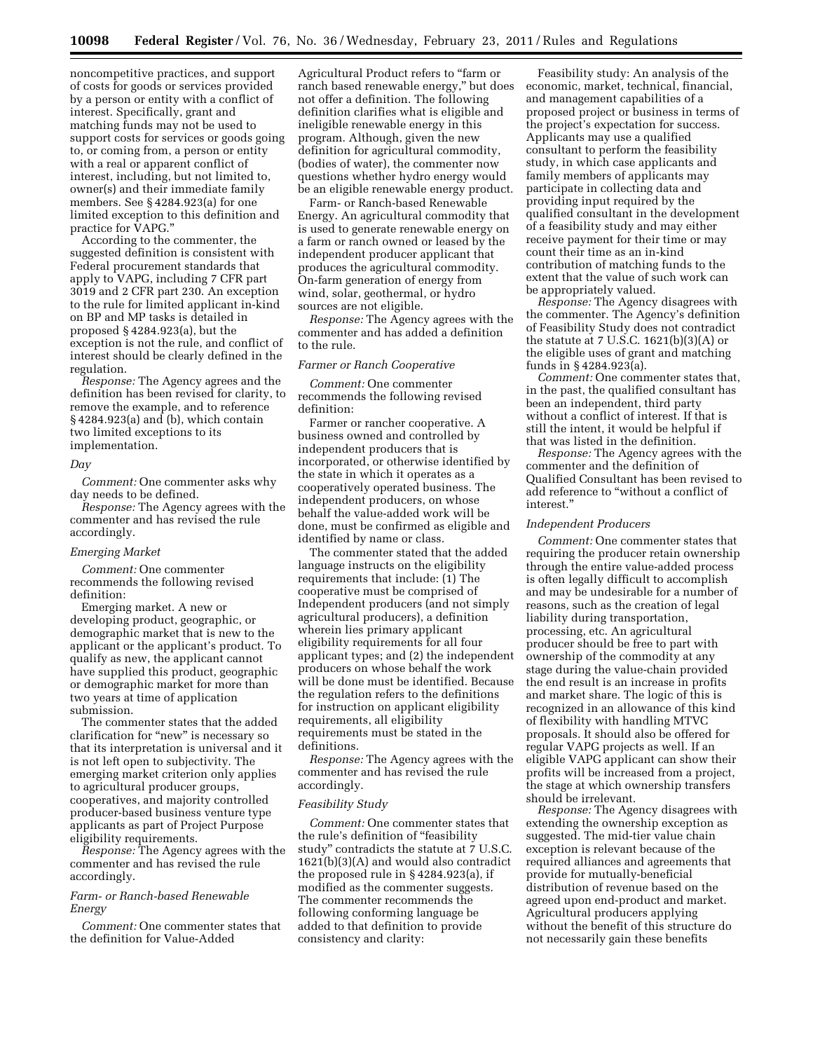noncompetitive practices, and support of costs for goods or services provided by a person or entity with a conflict of interest. Specifically, grant and matching funds may not be used to support costs for services or goods going to, or coming from, a person or entity with a real or apparent conflict of interest, including, but not limited to, owner(s) and their immediate family members. See § 4284.923(a) for one limited exception to this definition and practice for VAPG.''

According to the commenter, the suggested definition is consistent with Federal procurement standards that apply to VAPG, including 7 CFR part 3019 and 2 CFR part 230. An exception to the rule for limited applicant in-kind on BP and MP tasks is detailed in proposed § 4284.923(a), but the exception is not the rule, and conflict of interest should be clearly defined in the regulation.

*Response:* The Agency agrees and the definition has been revised for clarity, to remove the example, and to reference § 4284.923(a) and (b), which contain two limited exceptions to its implementation.

# *Day*

*Comment:* One commenter asks why day needs to be defined.

*Response:* The Agency agrees with the commenter and has revised the rule accordingly.

### *Emerging Market*

*Comment:* One commenter recommends the following revised definition:

Emerging market. A new or developing product, geographic, or demographic market that is new to the applicant or the applicant's product. To qualify as new, the applicant cannot have supplied this product, geographic or demographic market for more than two years at time of application submission.

The commenter states that the added clarification for "new" is necessary so that its interpretation is universal and it is not left open to subjectivity. The emerging market criterion only applies to agricultural producer groups, cooperatives, and majority controlled producer-based business venture type applicants as part of Project Purpose eligibility requirements.

*Response:* The Agency agrees with the commenter and has revised the rule accordingly.

# *Farm- or Ranch-based Renewable Energy*

*Comment:* One commenter states that the definition for Value-Added

Agricultural Product refers to ''farm or ranch based renewable energy,'' but does not offer a definition. The following definition clarifies what is eligible and ineligible renewable energy in this program. Although, given the new definition for agricultural commodity, (bodies of water), the commenter now questions whether hydro energy would be an eligible renewable energy product.

Farm- or Ranch-based Renewable Energy. An agricultural commodity that is used to generate renewable energy on a farm or ranch owned or leased by the independent producer applicant that produces the agricultural commodity. On-farm generation of energy from wind, solar, geothermal, or hydro sources are not eligible.

*Response:* The Agency agrees with the commenter and has added a definition to the rule.

## *Farmer or Ranch Cooperative*

*Comment:* One commenter recommends the following revised definition:

Farmer or rancher cooperative. A business owned and controlled by independent producers that is incorporated, or otherwise identified by the state in which it operates as a cooperatively operated business. The independent producers, on whose behalf the value-added work will be done, must be confirmed as eligible and identified by name or class.

The commenter stated that the added language instructs on the eligibility requirements that include: (1) The cooperative must be comprised of Independent producers (and not simply agricultural producers), a definition wherein lies primary applicant eligibility requirements for all four applicant types; and (2) the independent producers on whose behalf the work will be done must be identified. Because the regulation refers to the definitions for instruction on applicant eligibility requirements, all eligibility requirements must be stated in the definitions.

*Response:* The Agency agrees with the commenter and has revised the rule accordingly.

### *Feasibility Study*

*Comment:* One commenter states that the rule's definition of ''feasibility study'' contradicts the statute at 7 U.S.C. 1621(b)(3)(A) and would also contradict the proposed rule in § 4284.923(a), if modified as the commenter suggests. The commenter recommends the following conforming language be added to that definition to provide consistency and clarity:

Feasibility study: An analysis of the economic, market, technical, financial, and management capabilities of a proposed project or business in terms of the project's expectation for success. Applicants may use a qualified consultant to perform the feasibility study, in which case applicants and family members of applicants may participate in collecting data and providing input required by the qualified consultant in the development of a feasibility study and may either receive payment for their time or may count their time as an in-kind contribution of matching funds to the extent that the value of such work can be appropriately valued.

*Response:* The Agency disagrees with the commenter. The Agency's definition of Feasibility Study does not contradict the statute at 7 U.S.C.  $1621(b)(3)(A)$  or the eligible uses of grant and matching funds in § 4284.923(a).

*Comment:* One commenter states that, in the past, the qualified consultant has been an independent, third party without a conflict of interest. If that is still the intent, it would be helpful if that was listed in the definition.

*Response:* The Agency agrees with the commenter and the definition of Qualified Consultant has been revised to add reference to ''without a conflict of interest.''

## *Independent Producers*

*Comment:* One commenter states that requiring the producer retain ownership through the entire value-added process is often legally difficult to accomplish and may be undesirable for a number of reasons, such as the creation of legal liability during transportation, processing, etc. An agricultural producer should be free to part with ownership of the commodity at any stage during the value-chain provided the end result is an increase in profits and market share. The logic of this is recognized in an allowance of this kind of flexibility with handling MTVC proposals. It should also be offered for regular VAPG projects as well. If an eligible VAPG applicant can show their profits will be increased from a project, the stage at which ownership transfers should be irrelevant.

*Response:* The Agency disagrees with extending the ownership exception as suggested. The mid-tier value chain exception is relevant because of the required alliances and agreements that provide for mutually-beneficial distribution of revenue based on the agreed upon end-product and market. Agricultural producers applying without the benefit of this structure do not necessarily gain these benefits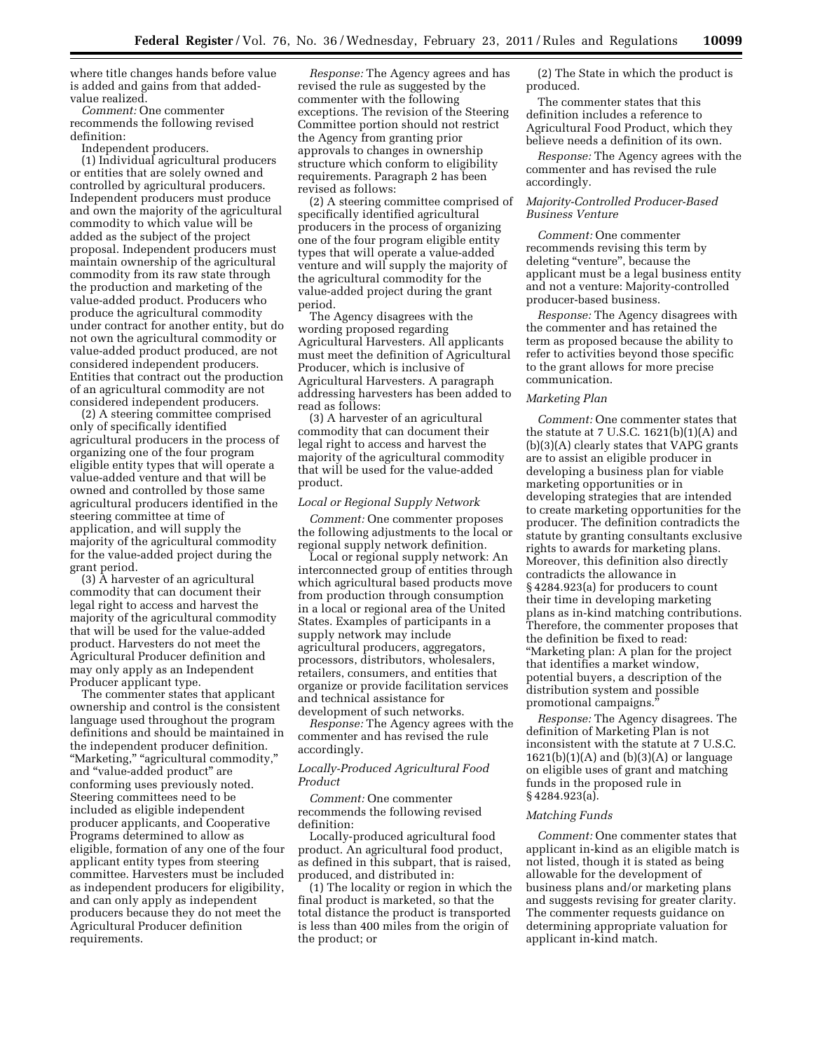where title changes hands before value is added and gains from that addedvalue realized.

*Comment:* One commenter recommends the following revised definition:

Independent producers.

(1) Individual agricultural producers or entities that are solely owned and controlled by agricultural producers. Independent producers must produce and own the majority of the agricultural commodity to which value will be added as the subject of the project proposal. Independent producers must maintain ownership of the agricultural commodity from its raw state through the production and marketing of the value-added product. Producers who produce the agricultural commodity under contract for another entity, but do not own the agricultural commodity or value-added product produced, are not considered independent producers. Entities that contract out the production of an agricultural commodity are not considered independent producers.

(2) A steering committee comprised only of specifically identified agricultural producers in the process of organizing one of the four program eligible entity types that will operate a value-added venture and that will be owned and controlled by those same agricultural producers identified in the steering committee at time of application, and will supply the majority of the agricultural commodity for the value-added project during the grant period.

(3) A harvester of an agricultural commodity that can document their legal right to access and harvest the majority of the agricultural commodity that will be used for the value-added product. Harvesters do not meet the Agricultural Producer definition and may only apply as an Independent Producer applicant type.

The commenter states that applicant ownership and control is the consistent language used throughout the program definitions and should be maintained in the independent producer definition. "Marketing," "agricultural commodity," and ''value-added product'' are conforming uses previously noted. Steering committees need to be included as eligible independent producer applicants, and Cooperative Programs determined to allow as eligible, formation of any one of the four applicant entity types from steering committee. Harvesters must be included as independent producers for eligibility, and can only apply as independent producers because they do not meet the Agricultural Producer definition requirements.

*Response:* The Agency agrees and has revised the rule as suggested by the commenter with the following exceptions. The revision of the Steering Committee portion should not restrict the Agency from granting prior approvals to changes in ownership structure which conform to eligibility requirements. Paragraph 2 has been revised as follows:

(2) A steering committee comprised of specifically identified agricultural producers in the process of organizing one of the four program eligible entity types that will operate a value-added venture and will supply the majority of the agricultural commodity for the value-added project during the grant period.

The Agency disagrees with the wording proposed regarding Agricultural Harvesters. All applicants must meet the definition of Agricultural Producer, which is inclusive of Agricultural Harvesters. A paragraph addressing harvesters has been added to read as follows:

(3) A harvester of an agricultural commodity that can document their legal right to access and harvest the majority of the agricultural commodity that will be used for the value-added product.

### *Local or Regional Supply Network*

*Comment:* One commenter proposes the following adjustments to the local or regional supply network definition.

Local or regional supply network: An interconnected group of entities through which agricultural based products move from production through consumption in a local or regional area of the United States. Examples of participants in a supply network may include agricultural producers, aggregators, processors, distributors, wholesalers, retailers, consumers, and entities that organize or provide facilitation services and technical assistance for development of such networks.

*Response:* The Agency agrees with the commenter and has revised the rule accordingly.

# *Locally-Produced Agricultural Food Product*

*Comment:* One commenter recommends the following revised definition:

Locally-produced agricultural food product. An agricultural food product, as defined in this subpart, that is raised, produced, and distributed in:

(1) The locality or region in which the final product is marketed, so that the total distance the product is transported is less than 400 miles from the origin of the product; or

(2) The State in which the product is produced.

The commenter states that this definition includes a reference to Agricultural Food Product, which they believe needs a definition of its own.

*Response:* The Agency agrees with the commenter and has revised the rule accordingly.

# *Majority-Controlled Producer-Based Business Venture*

*Comment:* One commenter recommends revising this term by deleting "venture", because the applicant must be a legal business entity and not a venture: Majority-controlled producer-based business.

*Response:* The Agency disagrees with the commenter and has retained the term as proposed because the ability to refer to activities beyond those specific to the grant allows for more precise communication.

# *Marketing Plan*

*Comment:* One commenter states that the statute at 7 U.S.C. 1621(b)(1)(A) and (b)(3)(A) clearly states that VAPG grants are to assist an eligible producer in developing a business plan for viable marketing opportunities or in developing strategies that are intended to create marketing opportunities for the producer. The definition contradicts the statute by granting consultants exclusive rights to awards for marketing plans. Moreover, this definition also directly contradicts the allowance in § 4284.923(a) for producers to count their time in developing marketing plans as in-kind matching contributions. Therefore, the commenter proposes that the definition be fixed to read: ''Marketing plan: A plan for the project that identifies a market window, potential buyers, a description of the distribution system and possible promotional campaigns.''

*Response:* The Agency disagrees. The definition of Marketing Plan is not inconsistent with the statute at 7 U.S.C.  $1621(b)(1)(A)$  and  $(b)(3)(A)$  or language on eligible uses of grant and matching funds in the proposed rule in § 4284.923(a).

### *Matching Funds*

*Comment:* One commenter states that applicant in-kind as an eligible match is not listed, though it is stated as being allowable for the development of business plans and/or marketing plans and suggests revising for greater clarity. The commenter requests guidance on determining appropriate valuation for applicant in-kind match.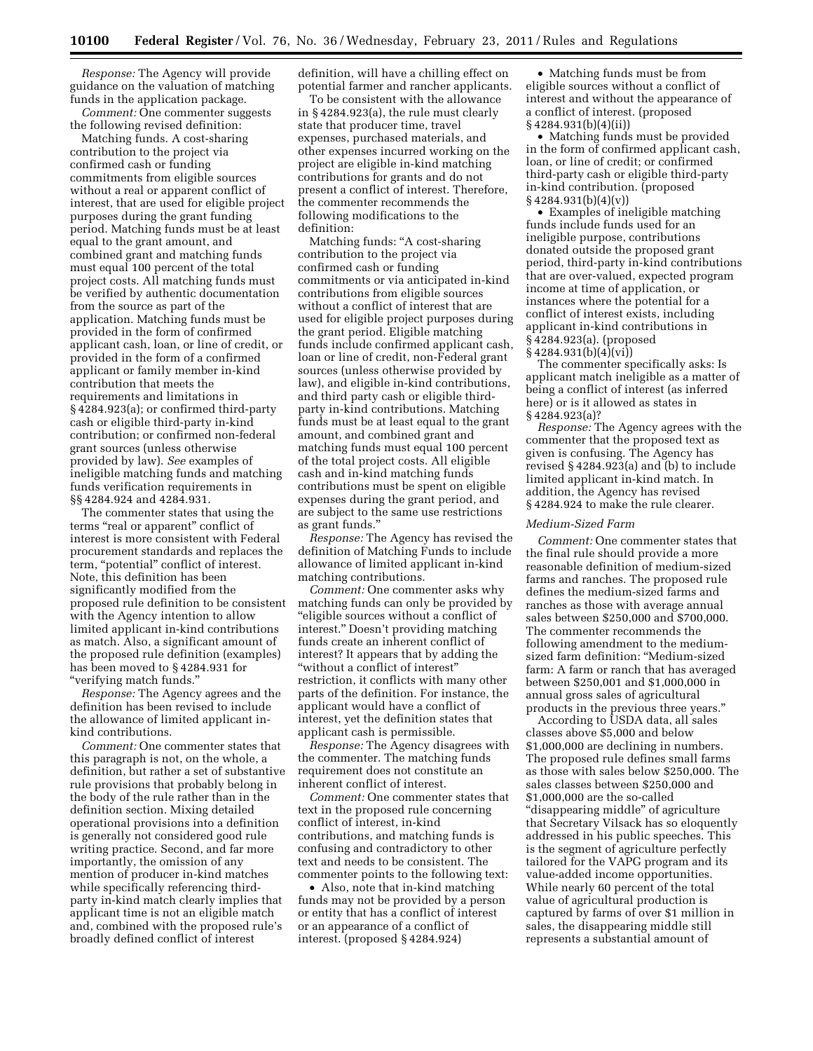*Response:* The Agency will provide guidance on the valuation of matching funds in the application package. *Comment:* One commenter suggests

the following revised definition: Matching funds. A cost-sharing

contribution to the project via confirmed cash or funding commitments from eligible sources without a real or apparent conflict of interest, that are used for eligible project purposes during the grant funding period. Matching funds must be at least equal to the grant amount, and combined grant and matching funds must equal 100 percent of the total project costs. All matching funds must be verified by authentic documentation from the source as part of the application. Matching funds must be provided in the form of confirmed applicant cash, loan, or line of credit, or provided in the form of a confirmed applicant or family member in-kind contribution that meets the requirements and limitations in § 4284.923(a); or confirmed third-party cash or eligible third-party in-kind contribution; or confirmed non-federal grant sources (unless otherwise provided by law). *See* examples of ineligible matching funds and matching funds verification requirements in §§ 4284.924 and 4284.931.

The commenter states that using the terms "real or apparent" conflict of interest is more consistent with Federal procurement standards and replaces the term, "potential" conflict of interest. Note, this definition has been significantly modified from the proposed rule definition to be consistent with the Agency intention to allow limited applicant in-kind contributions as match. Also, a significant amount of the proposed rule definition (examples) has been moved to § 4284.931 for ''verifying match funds.''

*Response:* The Agency agrees and the definition has been revised to include the allowance of limited applicant inkind contributions.

*Comment:* One commenter states that this paragraph is not, on the whole, a definition, but rather a set of substantive rule provisions that probably belong in the body of the rule rather than in the definition section. Mixing detailed operational provisions into a definition is generally not considered good rule writing practice. Second, and far more importantly, the omission of any mention of producer in-kind matches while specifically referencing thirdparty in-kind match clearly implies that applicant time is not an eligible match and, combined with the proposed rule's broadly defined conflict of interest

definition, will have a chilling effect on potential farmer and rancher applicants.

To be consistent with the allowance in § 4284.923(a), the rule must clearly state that producer time, travel expenses, purchased materials, and other expenses incurred working on the project are eligible in-kind matching contributions for grants and do not present a conflict of interest. Therefore, the commenter recommends the following modifications to the definition:

Matching funds: ''A cost-sharing contribution to the project via confirmed cash or funding commitments or via anticipated in-kind contributions from eligible sources without a conflict of interest that are used for eligible project purposes during the grant period. Eligible matching funds include confirmed applicant cash, loan or line of credit, non-Federal grant sources (unless otherwise provided by law), and eligible in-kind contributions, and third party cash or eligible thirdparty in-kind contributions. Matching funds must be at least equal to the grant amount, and combined grant and matching funds must equal 100 percent of the total project costs. All eligible cash and in-kind matching funds contributions must be spent on eligible expenses during the grant period, and are subject to the same use restrictions as grant funds.''

*Response:* The Agency has revised the definition of Matching Funds to include allowance of limited applicant in-kind matching contributions.

*Comment:* One commenter asks why matching funds can only be provided by ''eligible sources without a conflict of interest.'' Doesn't providing matching funds create an inherent conflict of interest? It appears that by adding the ''without a conflict of interest'' restriction, it conflicts with many other parts of the definition. For instance, the applicant would have a conflict of interest, yet the definition states that applicant cash is permissible.

*Response:* The Agency disagrees with the commenter. The matching funds requirement does not constitute an inherent conflict of interest.

*Comment:* One commenter states that text in the proposed rule concerning conflict of interest, in-kind contributions, and matching funds is confusing and contradictory to other text and needs to be consistent. The commenter points to the following text:

• Also, note that in-kind matching funds may not be provided by a person or entity that has a conflict of interest or an appearance of a conflict of interest. (proposed § 4284.924)

• Matching funds must be from eligible sources without a conflict of interest and without the appearance of a conflict of interest. (proposed § 4284.931(b)(4)(ii))

• Matching funds must be provided in the form of confirmed applicant cash, loan, or line of credit; or confirmed third-party cash or eligible third-party in-kind contribution. (proposed § 4284.931(b)(4)(v))

• Examples of ineligible matching funds include funds used for an ineligible purpose, contributions donated outside the proposed grant period, third-party in-kind contributions that are over-valued, expected program income at time of application, or instances where the potential for a conflict of interest exists, including applicant in-kind contributions in § 4284.923(a). (proposed § 4284.931(b)(4)(vi))

The commenter specifically asks: Is applicant match ineligible as a matter of being a conflict of interest (as inferred here) or is it allowed as states in § 4284.923(a)?

*Response:* The Agency agrees with the commenter that the proposed text as given is confusing. The Agency has revised § 4284.923(a) and (b) to include limited applicant in-kind match. In addition, the Agency has revised § 4284.924 to make the rule clearer.

#### *Medium-Sized Farm*

*Comment:* One commenter states that the final rule should provide a more reasonable definition of medium-sized farms and ranches. The proposed rule defines the medium-sized farms and ranches as those with average annual sales between \$250,000 and \$700,000. The commenter recommends the following amendment to the mediumsized farm definition: ''Medium-sized farm: A farm or ranch that has averaged between \$250,001 and \$1,000,000 in annual gross sales of agricultural products in the previous three years.''

According to USDA data, all sales classes above \$5,000 and below \$1,000,000 are declining in numbers. The proposed rule defines small farms as those with sales below \$250,000. The sales classes between \$250,000 and \$1,000,000 are the so-called ''disappearing middle'' of agriculture that Secretary Vilsack has so eloquently addressed in his public speeches. This is the segment of agriculture perfectly tailored for the VAPG program and its value-added income opportunities. While nearly 60 percent of the total value of agricultural production is captured by farms of over \$1 million in sales, the disappearing middle still represents a substantial amount of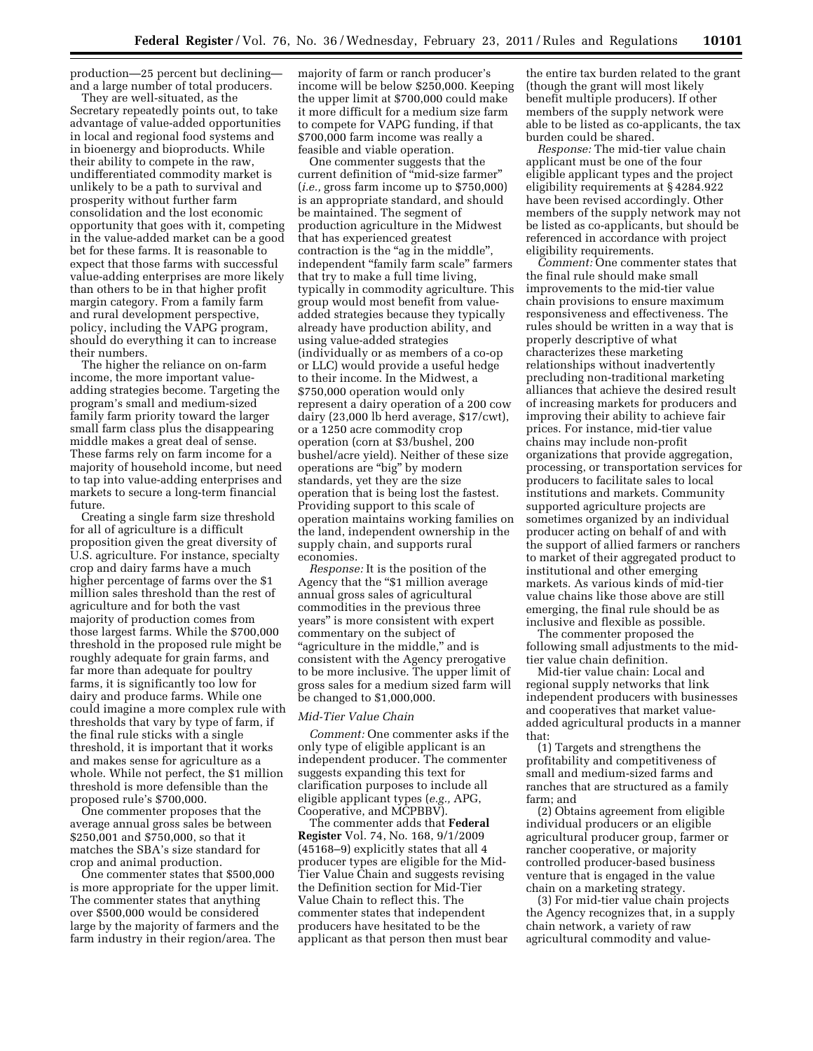production—25 percent but declining and a large number of total producers.

They are well-situated, as the Secretary repeatedly points out, to take advantage of value-added opportunities in local and regional food systems and in bioenergy and bioproducts. While their ability to compete in the raw, undifferentiated commodity market is unlikely to be a path to survival and prosperity without further farm consolidation and the lost economic opportunity that goes with it, competing in the value-added market can be a good bet for these farms. It is reasonable to expect that those farms with successful value-adding enterprises are more likely than others to be in that higher profit margin category. From a family farm and rural development perspective, policy, including the VAPG program, should do everything it can to increase their numbers.

The higher the reliance on on-farm income, the more important valueadding strategies become. Targeting the program's small and medium-sized family farm priority toward the larger small farm class plus the disappearing middle makes a great deal of sense. These farms rely on farm income for a majority of household income, but need to tap into value-adding enterprises and markets to secure a long-term financial future.

Creating a single farm size threshold for all of agriculture is a difficult proposition given the great diversity of U.S. agriculture. For instance, specialty crop and dairy farms have a much higher percentage of farms over the \$1 million sales threshold than the rest of agriculture and for both the vast majority of production comes from those largest farms. While the \$700,000 threshold in the proposed rule might be roughly adequate for grain farms, and far more than adequate for poultry farms, it is significantly too low for dairy and produce farms. While one could imagine a more complex rule with thresholds that vary by type of farm, if the final rule sticks with a single threshold, it is important that it works and makes sense for agriculture as a whole. While not perfect, the \$1 million threshold is more defensible than the proposed rule's \$700,000.

One commenter proposes that the average annual gross sales be between \$250,001 and \$750,000, so that it matches the SBA's size standard for crop and animal production.

One commenter states that \$500,000 is more appropriate for the upper limit. The commenter states that anything over \$500,000 would be considered large by the majority of farmers and the farm industry in their region/area. The

majority of farm or ranch producer's income will be below \$250,000. Keeping the upper limit at \$700,000 could make it more difficult for a medium size farm to compete for VAPG funding, if that \$700,000 farm income was really a feasible and viable operation.

One commenter suggests that the current definition of ''mid-size farmer'' (*i.e.,* gross farm income up to \$750,000) is an appropriate standard, and should be maintained. The segment of production agriculture in the Midwest that has experienced greatest contraction is the "ag in the middle", independent ''family farm scale'' farmers that try to make a full time living, typically in commodity agriculture. This group would most benefit from valueadded strategies because they typically already have production ability, and using value-added strategies (individually or as members of a co-op or LLC) would provide a useful hedge to their income. In the Midwest, a \$750,000 operation would only represent a dairy operation of a 200 cow dairy (23,000 lb herd average, \$17/cwt), or a 1250 acre commodity crop operation (corn at \$3/bushel, 200 bushel/acre yield). Neither of these size operations are "big" by modern standards, yet they are the size operation that is being lost the fastest. Providing support to this scale of operation maintains working families on the land, independent ownership in the supply chain, and supports rural economies.

*Response:* It is the position of the Agency that the ''\$1 million average annual gross sales of agricultural commodities in the previous three years'' is more consistent with expert commentary on the subject of "agriculture in the middle," and is consistent with the Agency prerogative to be more inclusive. The upper limit of gross sales for a medium sized farm will be changed to \$1,000,000.

# *Mid-Tier Value Chain*

*Comment:* One commenter asks if the only type of eligible applicant is an independent producer. The commenter suggests expanding this text for clarification purposes to include all eligible applicant types (*e.g.,* APG, Cooperative, and MCPBBV).

The commenter adds that **Federal Register** Vol. 74, No. 168, 9/1/2009 (45168–9) explicitly states that all 4 producer types are eligible for the Mid-Tier Value Chain and suggests revising the Definition section for Mid-Tier Value Chain to reflect this. The commenter states that independent producers have hesitated to be the applicant as that person then must bear

the entire tax burden related to the grant (though the grant will most likely benefit multiple producers). If other members of the supply network were able to be listed as co-applicants, the tax burden could be shared.

*Response:* The mid-tier value chain applicant must be one of the four eligible applicant types and the project eligibility requirements at § 4284.922 have been revised accordingly. Other members of the supply network may not be listed as co-applicants, but should be referenced in accordance with project eligibility requirements.

*Comment:* One commenter states that the final rule should make small improvements to the mid-tier value chain provisions to ensure maximum responsiveness and effectiveness. The rules should be written in a way that is properly descriptive of what characterizes these marketing relationships without inadvertently precluding non-traditional marketing alliances that achieve the desired result of increasing markets for producers and improving their ability to achieve fair prices. For instance, mid-tier value chains may include non-profit organizations that provide aggregation, processing, or transportation services for producers to facilitate sales to local institutions and markets. Community supported agriculture projects are sometimes organized by an individual producer acting on behalf of and with the support of allied farmers or ranchers to market of their aggregated product to institutional and other emerging markets. As various kinds of mid-tier value chains like those above are still emerging, the final rule should be as inclusive and flexible as possible.

The commenter proposed the following small adjustments to the midtier value chain definition.

Mid-tier value chain: Local and regional supply networks that link independent producers with businesses and cooperatives that market valueadded agricultural products in a manner that:

(1) Targets and strengthens the profitability and competitiveness of small and medium-sized farms and ranches that are structured as a family farm; and

(2) Obtains agreement from eligible individual producers or an eligible agricultural producer group, farmer or rancher cooperative, or majority controlled producer-based business venture that is engaged in the value chain on a marketing strategy.

(3) For mid-tier value chain projects the Agency recognizes that, in a supply chain network, a variety of raw agricultural commodity and value-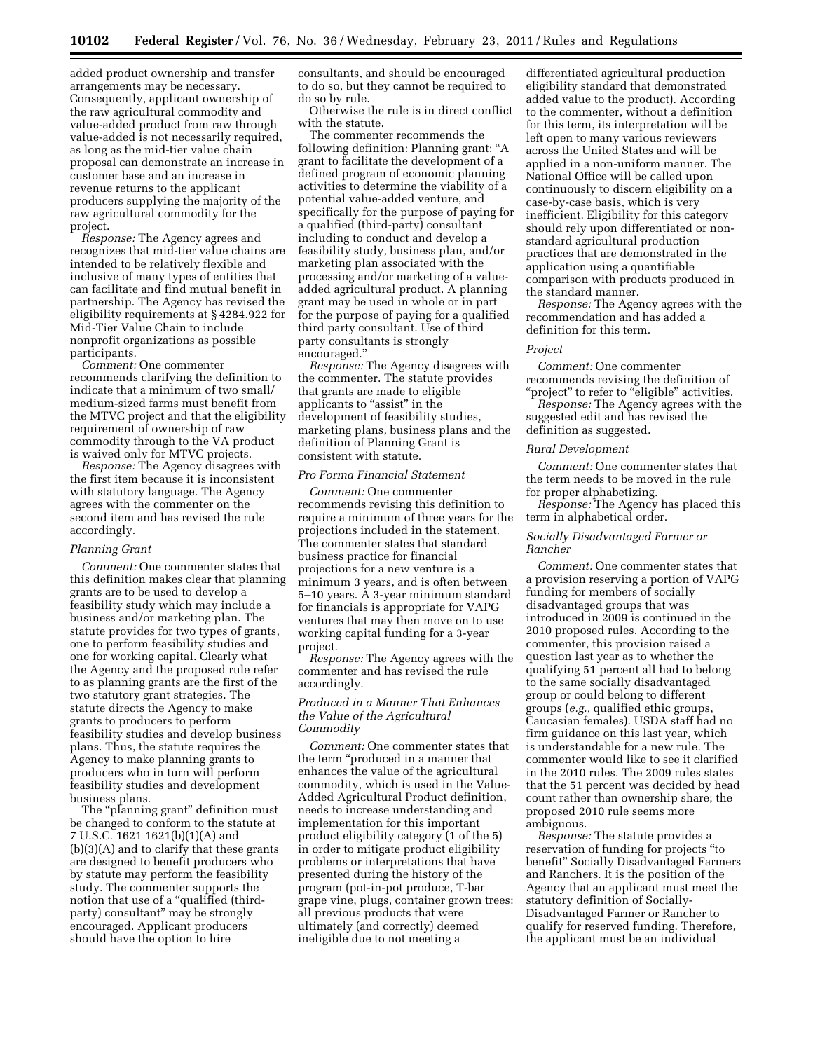added product ownership and transfer arrangements may be necessary. Consequently, applicant ownership of the raw agricultural commodity and value-added product from raw through value-added is not necessarily required, as long as the mid-tier value chain proposal can demonstrate an increase in customer base and an increase in revenue returns to the applicant producers supplying the majority of the raw agricultural commodity for the project.

*Response:* The Agency agrees and recognizes that mid-tier value chains are intended to be relatively flexible and inclusive of many types of entities that can facilitate and find mutual benefit in partnership. The Agency has revised the eligibility requirements at § 4284.922 for Mid-Tier Value Chain to include nonprofit organizations as possible participants.

*Comment:* One commenter recommends clarifying the definition to indicate that a minimum of two small/ medium-sized farms must benefit from the MTVC project and that the eligibility requirement of ownership of raw commodity through to the VA product is waived only for MTVC projects.

*Response:* The Agency disagrees with the first item because it is inconsistent with statutory language. The Agency agrees with the commenter on the second item and has revised the rule accordingly.

# *Planning Grant*

*Comment:* One commenter states that this definition makes clear that planning grants are to be used to develop a feasibility study which may include a business and/or marketing plan. The statute provides for two types of grants, one to perform feasibility studies and one for working capital. Clearly what the Agency and the proposed rule refer to as planning grants are the first of the two statutory grant strategies. The statute directs the Agency to make grants to producers to perform feasibility studies and develop business plans. Thus, the statute requires the Agency to make planning grants to producers who in turn will perform feasibility studies and development business plans.

The "planning grant" definition must be changed to conform to the statute at 7 U.S.C. 1621 1621(b)(1)(A) and (b)(3)(A) and to clarify that these grants are designed to benefit producers who by statute may perform the feasibility study. The commenter supports the notion that use of a "qualified (thirdparty) consultant'' may be strongly encouraged. Applicant producers should have the option to hire

consultants, and should be encouraged to do so, but they cannot be required to do so by rule.

Otherwise the rule is in direct conflict with the statute.

The commenter recommends the following definition: Planning grant: ''A grant to facilitate the development of a defined program of economic planning activities to determine the viability of a potential value-added venture, and specifically for the purpose of paying for a qualified (third-party) consultant including to conduct and develop a feasibility study, business plan, and/or marketing plan associated with the processing and/or marketing of a valueadded agricultural product. A planning grant may be used in whole or in part for the purpose of paying for a qualified third party consultant. Use of third party consultants is strongly encouraged.''

*Response:* The Agency disagrees with the commenter. The statute provides that grants are made to eligible applicants to "assist" in the development of feasibility studies, marketing plans, business plans and the definition of Planning Grant is consistent with statute.

#### *Pro Forma Financial Statement*

*Comment:* One commenter recommends revising this definition to require a minimum of three years for the projections included in the statement. The commenter states that standard business practice for financial projections for a new venture is a minimum 3 years, and is often between 5–10 years. A 3-year minimum standard for financials is appropriate for VAPG ventures that may then move on to use working capital funding for a 3-year project.

*Response:* The Agency agrees with the commenter and has revised the rule accordingly.

# *Produced in a Manner That Enhances the Value of the Agricultural Commodity*

*Comment:* One commenter states that the term ''produced in a manner that enhances the value of the agricultural commodity, which is used in the Value-Added Agricultural Product definition, needs to increase understanding and implementation for this important product eligibility category (1 of the 5) in order to mitigate product eligibility problems or interpretations that have presented during the history of the program (pot-in-pot produce, T-bar grape vine, plugs, container grown trees: all previous products that were ultimately (and correctly) deemed ineligible due to not meeting a

differentiated agricultural production eligibility standard that demonstrated added value to the product). According to the commenter, without a definition for this term, its interpretation will be left open to many various reviewers across the United States and will be applied in a non-uniform manner. The National Office will be called upon continuously to discern eligibility on a case-by-case basis, which is very inefficient. Eligibility for this category should rely upon differentiated or nonstandard agricultural production practices that are demonstrated in the application using a quantifiable comparison with products produced in the standard manner.

*Response:* The Agency agrees with the recommendation and has added a definition for this term.

# *Project*

*Comment:* One commenter recommends revising the definition of "project" to refer to "eligible" activities.

*Response:* The Agency agrees with the suggested edit and has revised the definition as suggested.

#### *Rural Development*

*Comment:* One commenter states that the term needs to be moved in the rule for proper alphabetizing.

*Response:* The Agency has placed this term in alphabetical order.

# *Socially Disadvantaged Farmer or Rancher*

*Comment:* One commenter states that a provision reserving a portion of VAPG funding for members of socially disadvantaged groups that was introduced in 2009 is continued in the 2010 proposed rules. According to the commenter, this provision raised a question last year as to whether the qualifying 51 percent all had to belong to the same socially disadvantaged group or could belong to different groups (*e.g.,* qualified ethic groups, Caucasian females). USDA staff had no firm guidance on this last year, which is understandable for a new rule. The commenter would like to see it clarified in the 2010 rules. The 2009 rules states that the 51 percent was decided by head count rather than ownership share; the proposed 2010 rule seems more ambiguous.

*Response:* The statute provides a reservation of funding for projects ''to benefit'' Socially Disadvantaged Farmers and Ranchers. It is the position of the Agency that an applicant must meet the statutory definition of Socially-Disadvantaged Farmer or Rancher to qualify for reserved funding. Therefore, the applicant must be an individual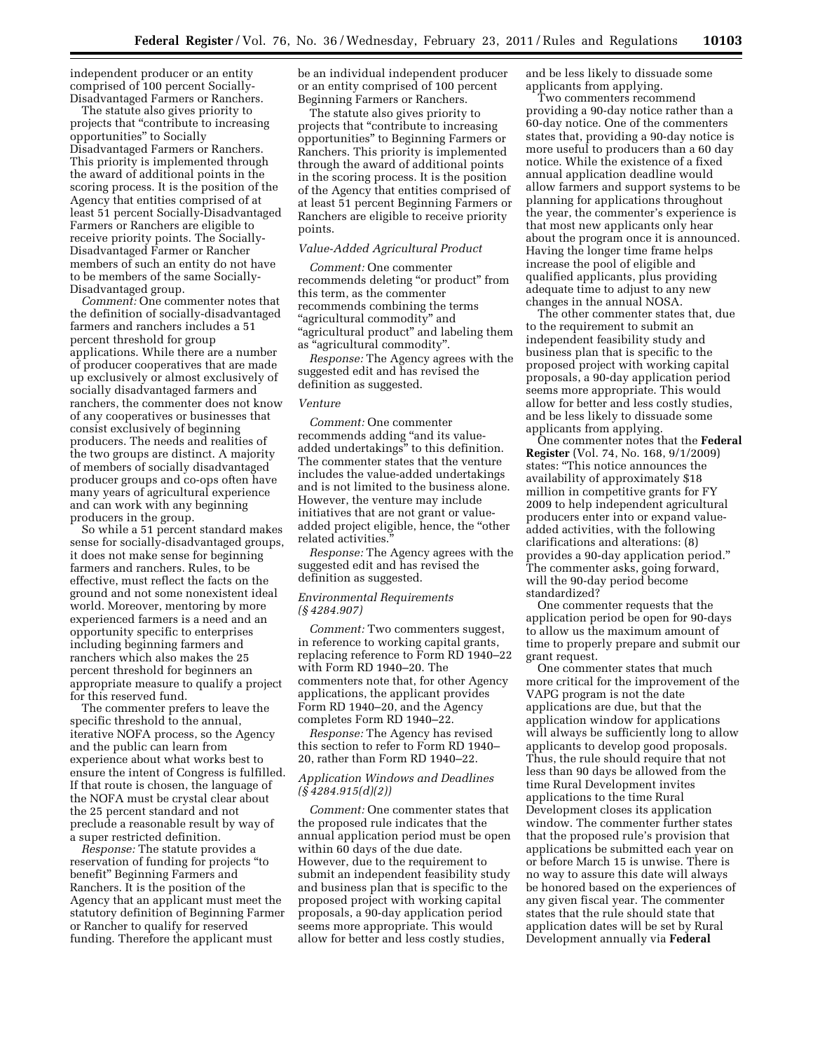independent producer or an entity comprised of 100 percent Socially-Disadvantaged Farmers or Ranchers.

The statute also gives priority to projects that ''contribute to increasing opportunities'' to Socially Disadvantaged Farmers or Ranchers. This priority is implemented through the award of additional points in the scoring process. It is the position of the Agency that entities comprised of at least 51 percent Socially-Disadvantaged Farmers or Ranchers are eligible to receive priority points. The Socially-Disadvantaged Farmer or Rancher members of such an entity do not have to be members of the same Socially-Disadvantaged group.

*Comment:* One commenter notes that the definition of socially-disadvantaged farmers and ranchers includes a 51 percent threshold for group applications. While there are a number of producer cooperatives that are made up exclusively or almost exclusively of socially disadvantaged farmers and ranchers, the commenter does not know of any cooperatives or businesses that consist exclusively of beginning producers. The needs and realities of the two groups are distinct. A majority of members of socially disadvantaged producer groups and co-ops often have many years of agricultural experience and can work with any beginning producers in the group.

So while a 51 percent standard makes sense for socially-disadvantaged groups, it does not make sense for beginning farmers and ranchers. Rules, to be effective, must reflect the facts on the ground and not some nonexistent ideal world. Moreover, mentoring by more experienced farmers is a need and an opportunity specific to enterprises including beginning farmers and ranchers which also makes the 25 percent threshold for beginners an appropriate measure to qualify a project for this reserved fund.

The commenter prefers to leave the specific threshold to the annual, iterative NOFA process, so the Agency and the public can learn from experience about what works best to ensure the intent of Congress is fulfilled. If that route is chosen, the language of the NOFA must be crystal clear about the 25 percent standard and not preclude a reasonable result by way of a super restricted definition.

*Response:* The statute provides a reservation of funding for projects ''to benefit'' Beginning Farmers and Ranchers. It is the position of the Agency that an applicant must meet the statutory definition of Beginning Farmer or Rancher to qualify for reserved funding. Therefore the applicant must

be an individual independent producer or an entity comprised of 100 percent Beginning Farmers or Ranchers.

The statute also gives priority to projects that ''contribute to increasing opportunities'' to Beginning Farmers or Ranchers. This priority is implemented through the award of additional points in the scoring process. It is the position of the Agency that entities comprised of at least 51 percent Beginning Farmers or Ranchers are eligible to receive priority points.

# *Value-Added Agricultural Product*

*Comment:* One commenter recommends deleting "or product" from this term, as the commenter recommends combining the terms ''agricultural commodity'' and "agricultural product" and labeling them as ''agricultural commodity''.

*Response:* The Agency agrees with the suggested edit and has revised the definition as suggested.

#### *Venture*

*Comment:* One commenter recommends adding ''and its valueadded undertakings'' to this definition. The commenter states that the venture includes the value-added undertakings and is not limited to the business alone. However, the venture may include initiatives that are not grant or valueadded project eligible, hence, the ''other related activities.

*Response:* The Agency agrees with the suggested edit and has revised the definition as suggested.

### *Environmental Requirements (§ 4284.907)*

*Comment:* Two commenters suggest, in reference to working capital grants, replacing reference to Form RD 1940–22 with Form RD 1940–20. The commenters note that, for other Agency applications, the applicant provides Form RD 1940–20, and the Agency completes Form RD 1940–22.

*Response:* The Agency has revised this section to refer to Form RD 1940– 20, rather than Form RD 1940–22.

# *Application Windows and Deadlines (§ 4284.915(d)(2))*

*Comment:* One commenter states that the proposed rule indicates that the annual application period must be open within 60 days of the due date. However, due to the requirement to submit an independent feasibility study and business plan that is specific to the proposed project with working capital proposals, a 90-day application period seems more appropriate. This would allow for better and less costly studies,

and be less likely to dissuade some applicants from applying.

Two commenters recommend providing a 90-day notice rather than a 60-day notice. One of the commenters states that, providing a 90-day notice is more useful to producers than a 60 day notice. While the existence of a fixed annual application deadline would allow farmers and support systems to be planning for applications throughout the year, the commenter's experience is that most new applicants only hear about the program once it is announced. Having the longer time frame helps increase the pool of eligible and qualified applicants, plus providing adequate time to adjust to any new changes in the annual NOSA.

The other commenter states that, due to the requirement to submit an independent feasibility study and business plan that is specific to the proposed project with working capital proposals, a 90-day application period seems more appropriate. This would allow for better and less costly studies, and be less likely to dissuade some applicants from applying.

One commenter notes that the **Federal Register** (Vol. 74, No. 168, 9/1/2009) states: ''This notice announces the availability of approximately \$18 million in competitive grants for FY 2009 to help independent agricultural producers enter into or expand valueadded activities, with the following clarifications and alterations: (8) provides a 90-day application period.'' The commenter asks, going forward, will the 90-day period become standardized?

One commenter requests that the application period be open for 90-days to allow us the maximum amount of time to properly prepare and submit our grant request.

One commenter states that much more critical for the improvement of the VAPG program is not the date applications are due, but that the application window for applications will always be sufficiently long to allow applicants to develop good proposals. Thus, the rule should require that not less than 90 days be allowed from the time Rural Development invites applications to the time Rural Development closes its application window. The commenter further states that the proposed rule's provision that applications be submitted each year on or before March 15 is unwise. There is no way to assure this date will always be honored based on the experiences of any given fiscal year. The commenter states that the rule should state that application dates will be set by Rural Development annually via **Federal**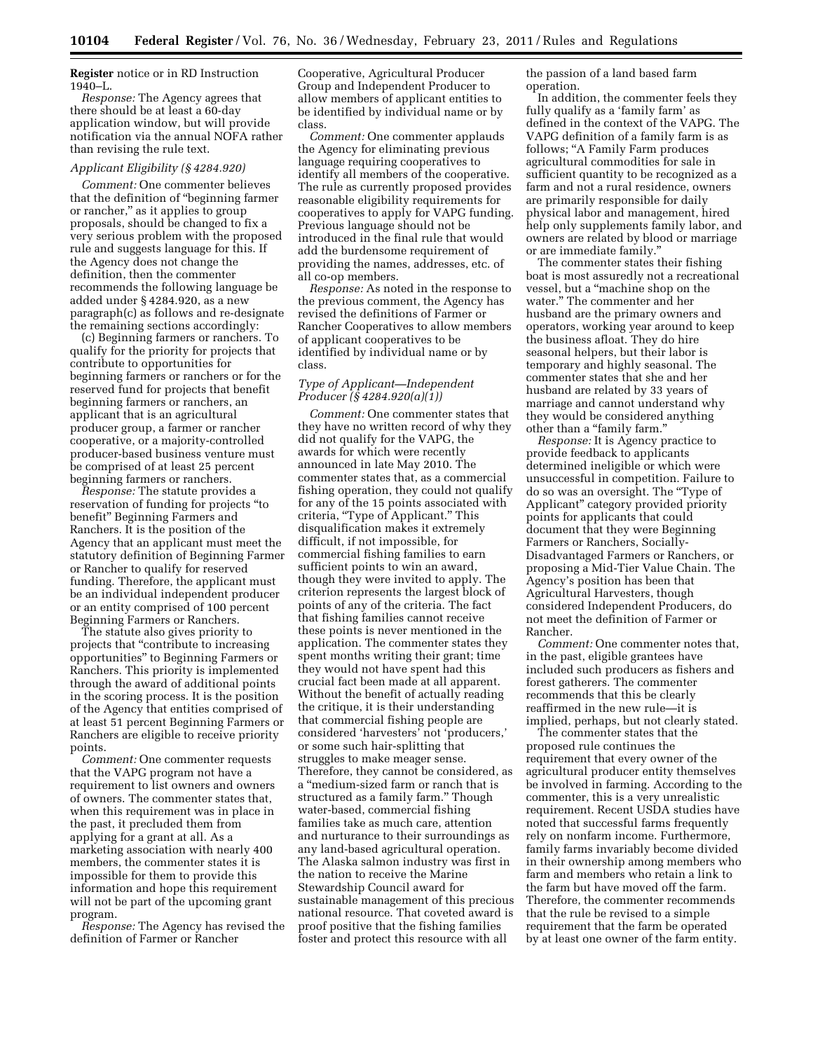**Register** notice or in RD Instruction 1940–L.

*Response:* The Agency agrees that there should be at least a 60-day application window, but will provide notification via the annual NOFA rather than revising the rule text.

# *Applicant Eligibility (§ 4284.920)*

*Comment:* One commenter believes that the definition of ''beginning farmer or rancher,'' as it applies to group proposals, should be changed to fix a very serious problem with the proposed rule and suggests language for this. If the Agency does not change the definition, then the commenter recommends the following language be added under § 4284.920, as a new paragraph(c) as follows and re-designate the remaining sections accordingly:

(c) Beginning farmers or ranchers. To qualify for the priority for projects that contribute to opportunities for beginning farmers or ranchers or for the reserved fund for projects that benefit beginning farmers or ranchers, an applicant that is an agricultural producer group, a farmer or rancher cooperative, or a majority-controlled producer-based business venture must be comprised of at least 25 percent beginning farmers or ranchers.

*Response:* The statute provides a reservation of funding for projects ''to benefit'' Beginning Farmers and Ranchers. It is the position of the Agency that an applicant must meet the statutory definition of Beginning Farmer or Rancher to qualify for reserved funding. Therefore, the applicant must be an individual independent producer or an entity comprised of 100 percent Beginning Farmers or Ranchers.

The statute also gives priority to projects that ''contribute to increasing opportunities'' to Beginning Farmers or Ranchers. This priority is implemented through the award of additional points in the scoring process. It is the position of the Agency that entities comprised of at least 51 percent Beginning Farmers or Ranchers are eligible to receive priority points.

*Comment:* One commenter requests that the VAPG program not have a requirement to list owners and owners of owners. The commenter states that, when this requirement was in place in the past, it precluded them from applying for a grant at all. As a marketing association with nearly 400 members, the commenter states it is impossible for them to provide this information and hope this requirement will not be part of the upcoming grant program.

*Response:* The Agency has revised the definition of Farmer or Rancher

Cooperative, Agricultural Producer Group and Independent Producer to allow members of applicant entities to be identified by individual name or by class.

*Comment:* One commenter applauds the Agency for eliminating previous language requiring cooperatives to identify all members of the cooperative. The rule as currently proposed provides reasonable eligibility requirements for cooperatives to apply for VAPG funding. Previous language should not be introduced in the final rule that would add the burdensome requirement of providing the names, addresses, etc. of all co-op members.

*Response:* As noted in the response to the previous comment, the Agency has revised the definitions of Farmer or Rancher Cooperatives to allow members of applicant cooperatives to be identified by individual name or by class.

# *Type of Applicant—Independent Producer (§ 4284.920(a)(1))*

*Comment:* One commenter states that they have no written record of why they did not qualify for the VAPG, the awards for which were recently announced in late May 2010. The commenter states that, as a commercial fishing operation, they could not qualify for any of the 15 points associated with criteria, "Type of Applicant." This disqualification makes it extremely difficult, if not impossible, for commercial fishing families to earn sufficient points to win an award, though they were invited to apply. The criterion represents the largest block of points of any of the criteria. The fact that fishing families cannot receive these points is never mentioned in the application. The commenter states they spent months writing their grant; time they would not have spent had this crucial fact been made at all apparent. Without the benefit of actually reading the critique, it is their understanding that commercial fishing people are considered 'harvesters' not 'producers,' or some such hair-splitting that struggles to make meager sense. Therefore, they cannot be considered, as a ''medium-sized farm or ranch that is structured as a family farm.'' Though water-based, commercial fishing families take as much care, attention and nurturance to their surroundings as any land-based agricultural operation. The Alaska salmon industry was first in the nation to receive the Marine Stewardship Council award for sustainable management of this precious national resource. That coveted award is proof positive that the fishing families foster and protect this resource with all

the passion of a land based farm operation.

In addition, the commenter feels they fully qualify as a 'family farm' as defined in the context of the VAPG. The VAPG definition of a family farm is as follows; ''A Family Farm produces agricultural commodities for sale in sufficient quantity to be recognized as a farm and not a rural residence, owners are primarily responsible for daily physical labor and management, hired help only supplements family labor, and owners are related by blood or marriage or are immediate family.''

The commenter states their fishing boat is most assuredly not a recreational vessel, but a ''machine shop on the water.'' The commenter and her husband are the primary owners and operators, working year around to keep the business afloat. They do hire seasonal helpers, but their labor is temporary and highly seasonal. The commenter states that she and her husband are related by 33 years of marriage and cannot understand why they would be considered anything other than a "family farm."

*Response:* It is Agency practice to provide feedback to applicants determined ineligible or which were unsuccessful in competition. Failure to do so was an oversight. The ''Type of Applicant'' category provided priority points for applicants that could document that they were Beginning Farmers or Ranchers, Socially-Disadvantaged Farmers or Ranchers, or proposing a Mid-Tier Value Chain. The Agency's position has been that Agricultural Harvesters, though considered Independent Producers, do not meet the definition of Farmer or Rancher.

*Comment:* One commenter notes that, in the past, eligible grantees have included such producers as fishers and forest gatherers. The commenter recommends that this be clearly reaffirmed in the new rule—it is implied, perhaps, but not clearly stated.

The commenter states that the proposed rule continues the requirement that every owner of the agricultural producer entity themselves be involved in farming. According to the commenter, this is a very unrealistic requirement. Recent USDA studies have noted that successful farms frequently rely on nonfarm income. Furthermore, family farms invariably become divided in their ownership among members who farm and members who retain a link to the farm but have moved off the farm. Therefore, the commenter recommends that the rule be revised to a simple requirement that the farm be operated by at least one owner of the farm entity.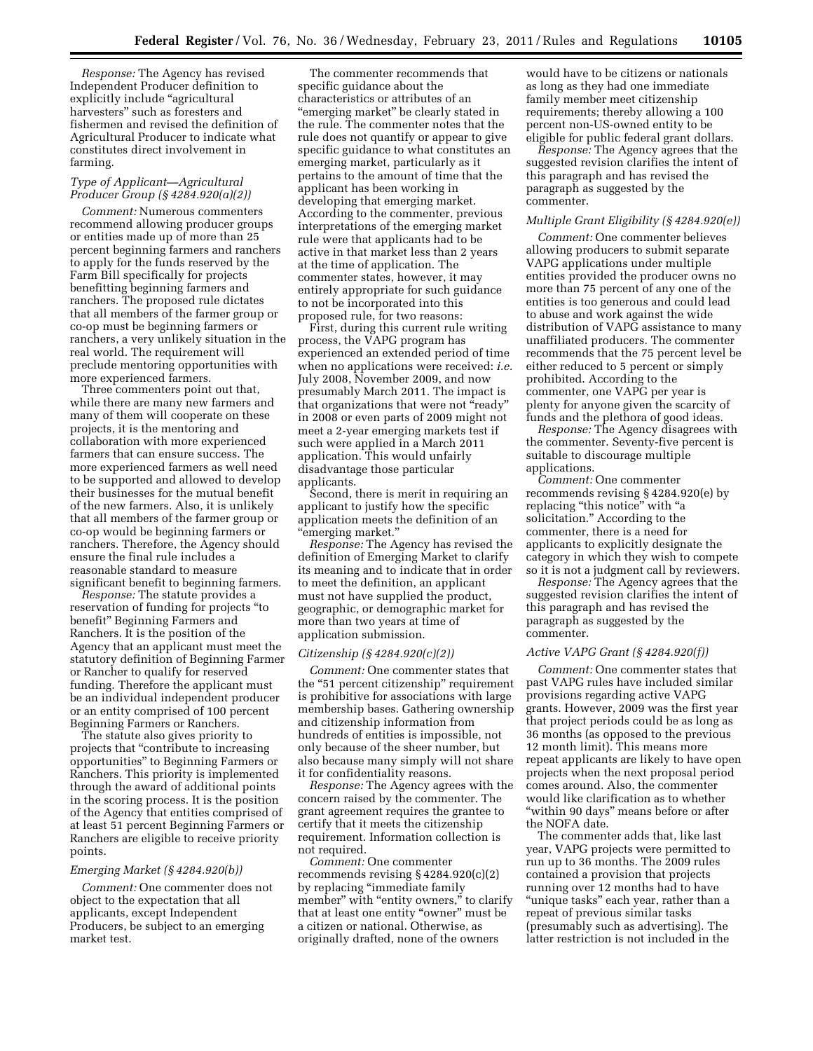*Response:* The Agency has revised Independent Producer definition to explicitly include ''agricultural harvesters'' such as foresters and fishermen and revised the definition of Agricultural Producer to indicate what constitutes direct involvement in farming.

## *Type of Applicant—Agricultural Producer Group (§ 4284.920(a)(2))*

*Comment:* Numerous commenters recommend allowing producer groups or entities made up of more than 25 percent beginning farmers and ranchers to apply for the funds reserved by the Farm Bill specifically for projects benefitting beginning farmers and ranchers. The proposed rule dictates that all members of the farmer group or co-op must be beginning farmers or ranchers, a very unlikely situation in the real world. The requirement will preclude mentoring opportunities with more experienced farmers.

Three commenters point out that, while there are many new farmers and many of them will cooperate on these projects, it is the mentoring and collaboration with more experienced farmers that can ensure success. The more experienced farmers as well need to be supported and allowed to develop their businesses for the mutual benefit of the new farmers. Also, it is unlikely that all members of the farmer group or co-op would be beginning farmers or ranchers. Therefore, the Agency should ensure the final rule includes a reasonable standard to measure significant benefit to beginning farmers.

*Response:* The statute provides a reservation of funding for projects ''to benefit'' Beginning Farmers and Ranchers. It is the position of the Agency that an applicant must meet the statutory definition of Beginning Farmer or Rancher to qualify for reserved funding. Therefore the applicant must be an individual independent producer or an entity comprised of 100 percent Beginning Farmers or Ranchers.

The statute also gives priority to projects that ''contribute to increasing opportunities'' to Beginning Farmers or Ranchers. This priority is implemented through the award of additional points in the scoring process. It is the position of the Agency that entities comprised of at least 51 percent Beginning Farmers or Ranchers are eligible to receive priority points.

#### *Emerging Market (§ 4284.920(b))*

*Comment:* One commenter does not object to the expectation that all applicants, except Independent Producers, be subject to an emerging market test.

The commenter recommends that specific guidance about the characteristics or attributes of an ''emerging market'' be clearly stated in the rule. The commenter notes that the rule does not quantify or appear to give specific guidance to what constitutes an emerging market, particularly as it pertains to the amount of time that the applicant has been working in developing that emerging market. According to the commenter, previous interpretations of the emerging market rule were that applicants had to be active in that market less than 2 years at the time of application. The commenter states, however, it may entirely appropriate for such guidance to not be incorporated into this proposed rule, for two reasons:

First, during this current rule writing process, the VAPG program has experienced an extended period of time when no applications were received: *i.e.*  July 2008, November 2009, and now presumably March 2011. The impact is that organizations that were not ''ready'' in 2008 or even parts of 2009 might not meet a 2-year emerging markets test if such were applied in a March 2011 application. This would unfairly disadvantage those particular applicants.

Second, there is merit in requiring an applicant to justify how the specific application meets the definition of an ''emerging market.''

*Response:* The Agency has revised the definition of Emerging Market to clarify its meaning and to indicate that in order to meet the definition, an applicant must not have supplied the product, geographic, or demographic market for more than two years at time of application submission.

### *Citizenship (§ 4284.920(c)(2))*

*Comment:* One commenter states that the "51 percent citizenship" requirement is prohibitive for associations with large membership bases. Gathering ownership and citizenship information from hundreds of entities is impossible, not only because of the sheer number, but also because many simply will not share it for confidentiality reasons.

*Response:* The Agency agrees with the concern raised by the commenter. The grant agreement requires the grantee to certify that it meets the citizenship requirement. Information collection is not required.

*Comment:* One commenter recommends revising § 4284.920(c)(2) by replacing ''immediate family member" with "entity owners," to clarify that at least one entity ''owner'' must be a citizen or national. Otherwise, as originally drafted, none of the owners

would have to be citizens or nationals as long as they had one immediate family member meet citizenship requirements; thereby allowing a 100 percent non-US-owned entity to be eligible for public federal grant dollars.

*Response:* The Agency agrees that the suggested revision clarifies the intent of this paragraph and has revised the paragraph as suggested by the commenter.

# *Multiple Grant Eligibility (§ 4284.920(e))*

*Comment:* One commenter believes allowing producers to submit separate VAPG applications under multiple entities provided the producer owns no more than 75 percent of any one of the entities is too generous and could lead to abuse and work against the wide distribution of VAPG assistance to many unaffiliated producers. The commenter recommends that the 75 percent level be either reduced to 5 percent or simply prohibited. According to the commenter, one VAPG per year is plenty for anyone given the scarcity of funds and the plethora of good ideas.

*Response:* The Agency disagrees with the commenter. Seventy-five percent is suitable to discourage multiple applications.

*Comment:* One commenter recommends revising § 4284.920(e) by replacing "this notice" with "a solicitation.'' According to the commenter, there is a need for applicants to explicitly designate the category in which they wish to compete so it is not a judgment call by reviewers.

*Response:* The Agency agrees that the suggested revision clarifies the intent of this paragraph and has revised the paragraph as suggested by the commenter.

#### *Active VAPG Grant (§ 4284.920(f))*

*Comment:* One commenter states that past VAPG rules have included similar provisions regarding active VAPG grants. However, 2009 was the first year that project periods could be as long as 36 months (as opposed to the previous 12 month limit). This means more repeat applicants are likely to have open projects when the next proposal period comes around. Also, the commenter would like clarification as to whether ''within 90 days'' means before or after the NOFA date.

The commenter adds that, like last year, VAPG projects were permitted to run up to 36 months. The 2009 rules contained a provision that projects running over 12 months had to have "unique tasks" each year, rather than a repeat of previous similar tasks (presumably such as advertising). The latter restriction is not included in the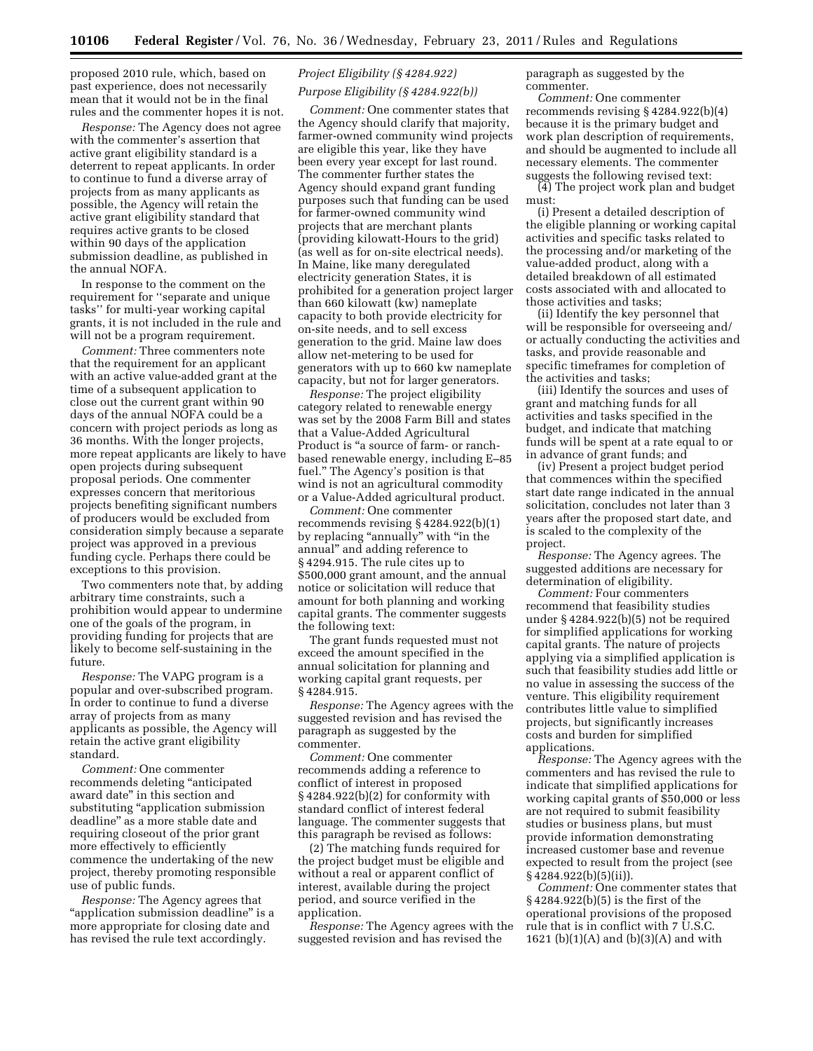proposed 2010 rule, which, based on past experience, does not necessarily mean that it would not be in the final rules and the commenter hopes it is not.

*Response:* The Agency does not agree with the commenter's assertion that active grant eligibility standard is a deterrent to repeat applicants. In order to continue to fund a diverse array of projects from as many applicants as possible, the Agency will retain the active grant eligibility standard that requires active grants to be closed within 90 days of the application submission deadline, as published in the annual NOFA.

In response to the comment on the requirement for ''separate and unique tasks'' for multi-year working capital grants, it is not included in the rule and will not be a program requirement.

*Comment:* Three commenters note that the requirement for an applicant with an active value-added grant at the time of a subsequent application to close out the current grant within 90 days of the annual NOFA could be a concern with project periods as long as 36 months. With the longer projects, more repeat applicants are likely to have open projects during subsequent proposal periods. One commenter expresses concern that meritorious projects benefiting significant numbers of producers would be excluded from consideration simply because a separate project was approved in a previous funding cycle. Perhaps there could be exceptions to this provision.

Two commenters note that, by adding arbitrary time constraints, such a prohibition would appear to undermine one of the goals of the program, in providing funding for projects that are likely to become self-sustaining in the future.

*Response:* The VAPG program is a popular and over-subscribed program. In order to continue to fund a diverse array of projects from as many applicants as possible, the Agency will retain the active grant eligibility standard.

*Comment:* One commenter recommends deleting ''anticipated award date'' in this section and substituting "application submission deadline'' as a more stable date and requiring closeout of the prior grant more effectively to efficiently commence the undertaking of the new project, thereby promoting responsible use of public funds.

*Response:* The Agency agrees that "application submission deadline" is a more appropriate for closing date and has revised the rule text accordingly.

# *Project Eligibility (§ 4284.922) Purpose Eligibility (§ 4284.922(b))*

*Comment:* One commenter states that the Agency should clarify that majority, farmer-owned community wind projects are eligible this year, like they have been every year except for last round. The commenter further states the Agency should expand grant funding purposes such that funding can be used for farmer-owned community wind projects that are merchant plants (providing kilowatt-Hours to the grid) (as well as for on-site electrical needs). In Maine, like many deregulated electricity generation States, it is prohibited for a generation project larger than 660 kilowatt (kw) nameplate capacity to both provide electricity for on-site needs, and to sell excess generation to the grid. Maine law does allow net-metering to be used for generators with up to 660 kw nameplate capacity, but not for larger generators.

*Response:* The project eligibility category related to renewable energy was set by the 2008 Farm Bill and states that a Value-Added Agricultural Product is "a source of farm- or ranchbased renewable energy, including E–85 fuel.'' The Agency's position is that wind is not an agricultural commodity or a Value-Added agricultural product.

*Comment:* One commenter recommends revising § 4284.922(b)(1) by replacing "annually" with "in the annual'' and adding reference to § 4294.915. The rule cites up to \$500,000 grant amount, and the annual notice or solicitation will reduce that amount for both planning and working capital grants. The commenter suggests the following text:

The grant funds requested must not exceed the amount specified in the annual solicitation for planning and working capital grant requests, per § 4284.915.

*Response:* The Agency agrees with the suggested revision and has revised the paragraph as suggested by the commenter.

*Comment:* One commenter recommends adding a reference to conflict of interest in proposed § 4284.922(b)(2) for conformity with standard conflict of interest federal language. The commenter suggests that this paragraph be revised as follows:

(2) The matching funds required for the project budget must be eligible and without a real or apparent conflict of interest, available during the project period, and source verified in the application.

*Response:* The Agency agrees with the suggested revision and has revised the

paragraph as suggested by the commenter.

*Comment:* One commenter recommends revising § 4284.922(b)(4) because it is the primary budget and work plan description of requirements, and should be augmented to include all necessary elements. The commenter suggests the following revised text:

(4) The project work plan and budget must:

(i) Present a detailed description of the eligible planning or working capital activities and specific tasks related to the processing and/or marketing of the value-added product, along with a detailed breakdown of all estimated costs associated with and allocated to those activities and tasks;

(ii) Identify the key personnel that will be responsible for overseeing and/ or actually conducting the activities and tasks, and provide reasonable and specific timeframes for completion of the activities and tasks;

(iii) Identify the sources and uses of grant and matching funds for all activities and tasks specified in the budget, and indicate that matching funds will be spent at a rate equal to or in advance of grant funds; and

(iv) Present a project budget period that commences within the specified start date range indicated in the annual solicitation, concludes not later than 3 years after the proposed start date, and is scaled to the complexity of the project.

*Response:* The Agency agrees. The suggested additions are necessary for determination of eligibility.

*Comment:* Four commenters recommend that feasibility studies under § 4284.922(b)(5) not be required for simplified applications for working capital grants. The nature of projects applying via a simplified application is such that feasibility studies add little or no value in assessing the success of the venture. This eligibility requirement contributes little value to simplified projects, but significantly increases costs and burden for simplified applications.

*Response:* The Agency agrees with the commenters and has revised the rule to indicate that simplified applications for working capital grants of \$50,000 or less are not required to submit feasibility studies or business plans, but must provide information demonstrating increased customer base and revenue expected to result from the project (see § 4284.922(b)(5)(ii)).

*Comment:* One commenter states that § 4284.922(b)(5) is the first of the operational provisions of the proposed rule that is in conflict with 7 U.S.C. 1621 (b)(1)(A) and (b)(3)(A) and with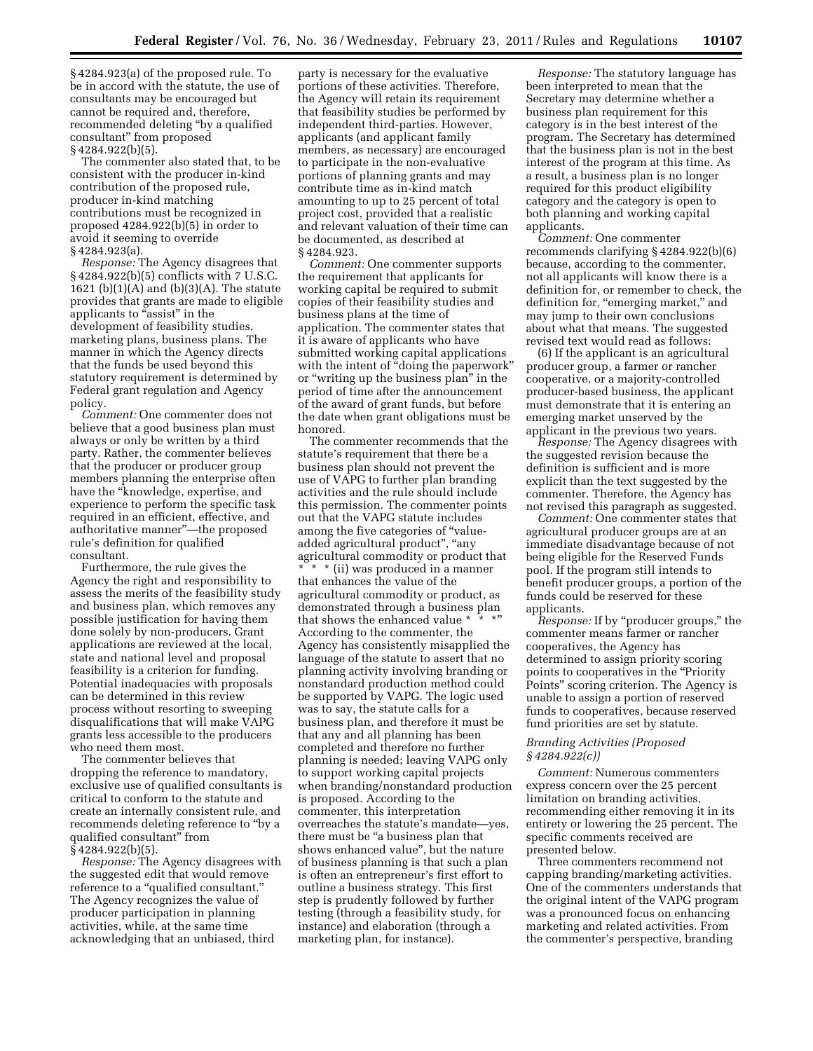§ 4284.923(a) of the proposed rule. To be in accord with the statute, the use of consultants may be encouraged but cannot be required and, therefore, recommended deleting ''by a qualified consultant'' from proposed § 4284.922(b)(5).

The commenter also stated that, to be consistent with the producer in-kind contribution of the proposed rule, producer in-kind matching contributions must be recognized in proposed 4284.922(b)(5) in order to avoid it seeming to override § 4284.923(a).

*Response:* The Agency disagrees that § 4284.922(b)(5) conflicts with 7 U.S.C. 1621 (b)(1)(A) and (b)(3)(A). The statute provides that grants are made to eligible applicants to "assist" in the development of feasibility studies, marketing plans, business plans. The manner in which the Agency directs that the funds be used beyond this statutory requirement is determined by Federal grant regulation and Agency policy.

*Comment:* One commenter does not believe that a good business plan must always or only be written by a third party. Rather, the commenter believes that the producer or producer group members planning the enterprise often have the ''knowledge, expertise, and experience to perform the specific task required in an efficient, effective, and authoritative manner''—the proposed rule's definition for qualified consultant.

Furthermore, the rule gives the Agency the right and responsibility to assess the merits of the feasibility study and business plan, which removes any possible justification for having them done solely by non-producers. Grant applications are reviewed at the local, state and national level and proposal feasibility is a criterion for funding. Potential inadequacies with proposals can be determined in this review process without resorting to sweeping disqualifications that will make VAPG grants less accessible to the producers who need them most.

The commenter believes that dropping the reference to mandatory, exclusive use of qualified consultants is critical to conform to the statute and create an internally consistent rule, and recommends deleting reference to ''by a qualified consultant'' from § 4284.922(b)(5).

*Response:* The Agency disagrees with the suggested edit that would remove reference to a "qualified consultant." The Agency recognizes the value of producer participation in planning activities, while, at the same time acknowledging that an unbiased, third

party is necessary for the evaluative portions of these activities. Therefore, the Agency will retain its requirement that feasibility studies be performed by independent third-parties. However, applicants (and applicant family members, as necessary) are encouraged to participate in the non-evaluative portions of planning grants and may contribute time as in-kind match amounting to up to 25 percent of total project cost, provided that a realistic and relevant valuation of their time can be documented, as described at § 4284.923.

*Comment:* One commenter supports the requirement that applicants for working capital be required to submit copies of their feasibility studies and business plans at the time of application. The commenter states that it is aware of applicants who have submitted working capital applications with the intent of ''doing the paperwork'' or ''writing up the business plan'' in the period of time after the announcement of the award of grant funds, but before the date when grant obligations must be honored.

The commenter recommends that the statute's requirement that there be a business plan should not prevent the use of VAPG to further plan branding activities and the rule should include this permission. The commenter points out that the VAPG statute includes among the five categories of "valueadded agricultural product'', ''any agricultural commodity or product that

\* \* \* (ii) was produced in a manner that enhances the value of the agricultural commodity or product, as demonstrated through a business plan that shows the enhanced value  $*$ According to the commenter, the Agency has consistently misapplied the language of the statute to assert that no planning activity involving branding or nonstandard production method could be supported by VAPG. The logic used was to say, the statute calls for a business plan, and therefore it must be that any and all planning has been completed and therefore no further planning is needed; leaving VAPG only to support working capital projects when branding/nonstandard production is proposed. According to the commenter, this interpretation overreaches the statute's mandate—yes, there must be "a business plan that shows enhanced value'', but the nature of business planning is that such a plan is often an entrepreneur's first effort to outline a business strategy. This first step is prudently followed by further testing (through a feasibility study, for instance) and elaboration (through a marketing plan, for instance).

*Response:* The statutory language has been interpreted to mean that the Secretary may determine whether a business plan requirement for this category is in the best interest of the program. The Secretary has determined that the business plan is not in the best interest of the program at this time. As a result, a business plan is no longer required for this product eligibility category and the category is open to both planning and working capital applicants.

*Comment:* One commenter recommends clarifying § 4284.922(b)(6) because, according to the commenter, not all applicants will know there is a definition for, or remember to check, the definition for, "emerging market," and may jump to their own conclusions about what that means. The suggested revised text would read as follows:

(6) If the applicant is an agricultural producer group, a farmer or rancher cooperative, or a majority-controlled producer-based business, the applicant must demonstrate that it is entering an emerging market unserved by the applicant in the previous two years.

*Response:* The Agency disagrees with the suggested revision because the definition is sufficient and is more explicit than the text suggested by the commenter. Therefore, the Agency has not revised this paragraph as suggested.

*Comment:* One commenter states that agricultural producer groups are at an immediate disadvantage because of not being eligible for the Reserved Funds pool. If the program still intends to benefit producer groups, a portion of the funds could be reserved for these applicants.

*Response:* If by ''producer groups,'' the commenter means farmer or rancher cooperatives, the Agency has determined to assign priority scoring points to cooperatives in the ''Priority Points'' scoring criterion. The Agency is unable to assign a portion of reserved funds to cooperatives, because reserved fund priorities are set by statute.

# *Branding Activities (Proposed § 4284.922(c))*

*Comment:* Numerous commenters express concern over the 25 percent limitation on branding activities, recommending either removing it in its entirety or lowering the 25 percent. The specific comments received are presented below.

Three commenters recommend not capping branding/marketing activities. One of the commenters understands that the original intent of the VAPG program was a pronounced focus on enhancing marketing and related activities. From the commenter's perspective, branding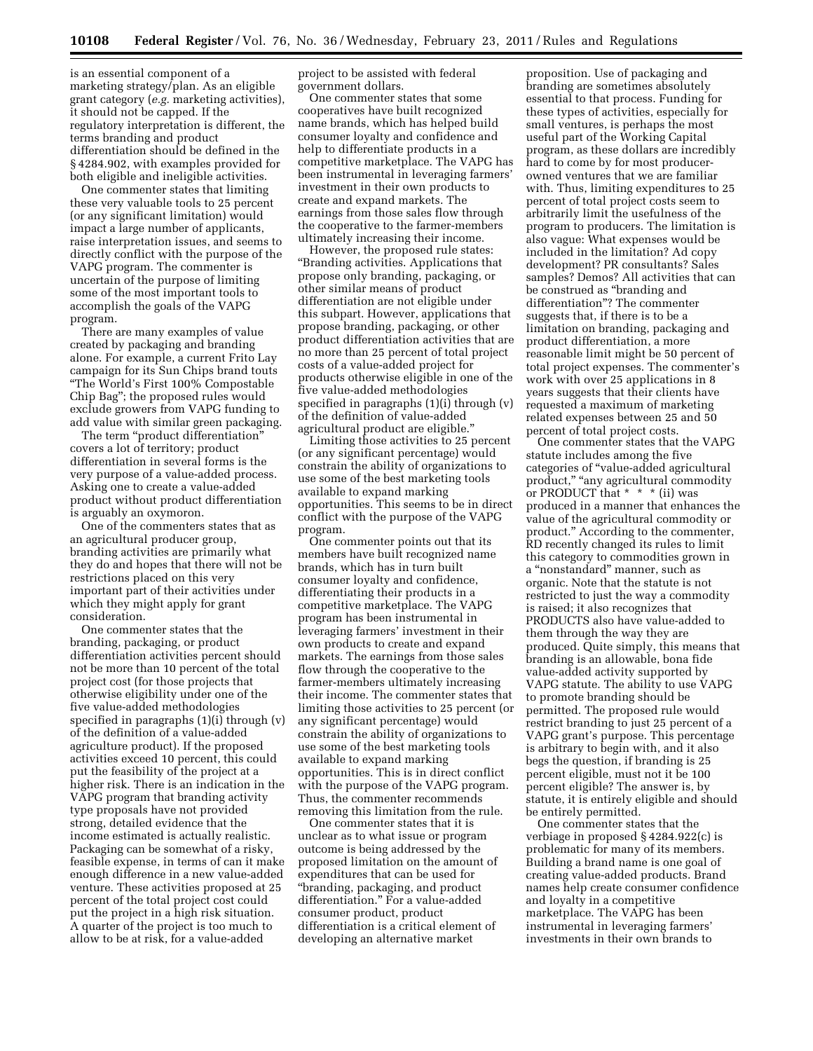is an essential component of a marketing strategy/plan. As an eligible grant category (*e.g.* marketing activities), it should not be capped. If the regulatory interpretation is different, the terms branding and product differentiation should be defined in the § 4284.902, with examples provided for both eligible and ineligible activities.

One commenter states that limiting these very valuable tools to 25 percent (or any significant limitation) would impact a large number of applicants, raise interpretation issues, and seems to directly conflict with the purpose of the VAPG program. The commenter is uncertain of the purpose of limiting some of the most important tools to accomplish the goals of the VAPG program.

There are many examples of value created by packaging and branding alone. For example, a current Frito Lay campaign for its Sun Chips brand touts ''The World's First 100% Compostable Chip Bag''; the proposed rules would exclude growers from VAPG funding to add value with similar green packaging.

The term "product differentiation" covers a lot of territory; product differentiation in several forms is the very purpose of a value-added process. Asking one to create a value-added product without product differentiation is arguably an oxymoron.

One of the commenters states that as an agricultural producer group, branding activities are primarily what they do and hopes that there will not be restrictions placed on this very important part of their activities under which they might apply for grant consideration.

One commenter states that the branding, packaging, or product differentiation activities percent should not be more than 10 percent of the total project cost (for those projects that otherwise eligibility under one of the five value-added methodologies specified in paragraphs (1)(i) through (v) of the definition of a value-added agriculture product). If the proposed activities exceed 10 percent, this could put the feasibility of the project at a higher risk. There is an indication in the VAPG program that branding activity type proposals have not provided strong, detailed evidence that the income estimated is actually realistic. Packaging can be somewhat of a risky, feasible expense, in terms of can it make enough difference in a new value-added venture. These activities proposed at 25 percent of the total project cost could put the project in a high risk situation. A quarter of the project is too much to allow to be at risk, for a value-added

project to be assisted with federal government dollars.

One commenter states that some cooperatives have built recognized name brands, which has helped build consumer loyalty and confidence and help to differentiate products in a competitive marketplace. The VAPG has been instrumental in leveraging farmers' investment in their own products to create and expand markets. The earnings from those sales flow through the cooperative to the farmer-members ultimately increasing their income.

However, the proposed rule states: ''Branding activities. Applications that propose only branding, packaging, or other similar means of product differentiation are not eligible under this subpart. However, applications that propose branding, packaging, or other product differentiation activities that are no more than 25 percent of total project costs of a value-added project for products otherwise eligible in one of the five value-added methodologies specified in paragraphs  $(1)(i)$  through  $(v)$ of the definition of value-added agricultural product are eligible.''

Limiting those activities to 25 percent (or any significant percentage) would constrain the ability of organizations to use some of the best marketing tools available to expand marking opportunities. This seems to be in direct conflict with the purpose of the VAPG program.

One commenter points out that its members have built recognized name brands, which has in turn built consumer loyalty and confidence, differentiating their products in a competitive marketplace. The VAPG program has been instrumental in leveraging farmers' investment in their own products to create and expand markets. The earnings from those sales flow through the cooperative to the farmer-members ultimately increasing their income. The commenter states that limiting those activities to 25 percent (or any significant percentage) would constrain the ability of organizations to use some of the best marketing tools available to expand marking opportunities. This is in direct conflict with the purpose of the VAPG program. Thus, the commenter recommends removing this limitation from the rule.

One commenter states that it is unclear as to what issue or program outcome is being addressed by the proposed limitation on the amount of expenditures that can be used for ''branding, packaging, and product differentiation.'' For a value-added consumer product, product differentiation is a critical element of developing an alternative market

proposition. Use of packaging and branding are sometimes absolutely essential to that process. Funding for these types of activities, especially for small ventures, is perhaps the most useful part of the Working Capital program, as these dollars are incredibly hard to come by for most producerowned ventures that we are familiar with. Thus, limiting expenditures to 25 percent of total project costs seem to arbitrarily limit the usefulness of the program to producers. The limitation is also vague: What expenses would be included in the limitation? Ad copy development? PR consultants? Sales samples? Demos? All activities that can be construed as ''branding and differentiation''? The commenter suggests that, if there is to be a limitation on branding, packaging and product differentiation, a more reasonable limit might be 50 percent of total project expenses. The commenter's work with over 25 applications in 8 years suggests that their clients have requested a maximum of marketing related expenses between 25 and 50 percent of total project costs.

One commenter states that the VAPG statute includes among the five categories of ''value-added agricultural product," "any agricultural commodity or PRODUCT that \* \* \* (ii) was produced in a manner that enhances the value of the agricultural commodity or product.'' According to the commenter, RD recently changed its rules to limit this category to commodities grown in a ''nonstandard'' manner, such as organic. Note that the statute is not restricted to just the way a commodity is raised; it also recognizes that PRODUCTS also have value-added to them through the way they are produced. Quite simply, this means that branding is an allowable, bona fide value-added activity supported by VAPG statute. The ability to use VAPG to promote branding should be permitted. The proposed rule would restrict branding to just 25 percent of a VAPG grant's purpose. This percentage is arbitrary to begin with, and it also begs the question, if branding is 25 percent eligible, must not it be 100 percent eligible? The answer is, by statute, it is entirely eligible and should be entirely permitted.

One commenter states that the verbiage in proposed § 4284.922(c) is problematic for many of its members. Building a brand name is one goal of creating value-added products. Brand names help create consumer confidence and loyalty in a competitive marketplace. The VAPG has been instrumental in leveraging farmers' investments in their own brands to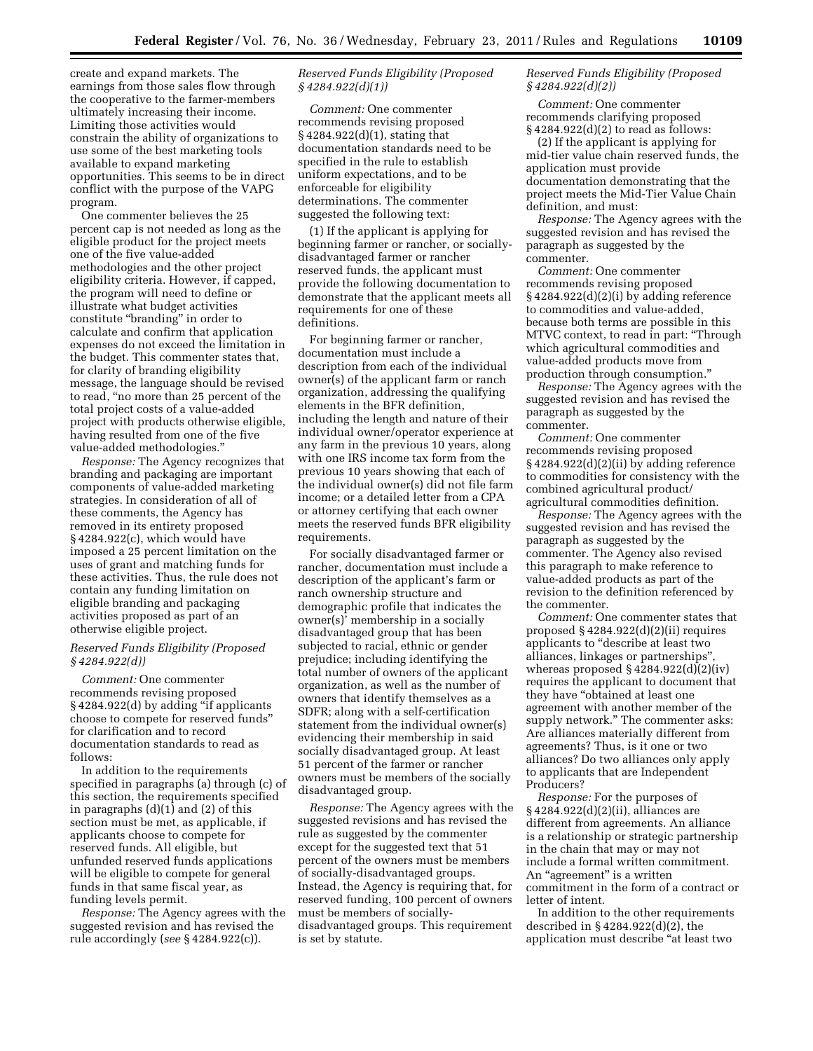create and expand markets. The earnings from those sales flow through the cooperative to the farmer-members ultimately increasing their income. Limiting those activities would constrain the ability of organizations to use some of the best marketing tools available to expand marketing opportunities. This seems to be in direct conflict with the purpose of the VAPG program.

One commenter believes the 25 percent cap is not needed as long as the eligible product for the project meets one of the five value-added methodologies and the other project eligibility criteria. However, if capped, the program will need to define or illustrate what budget activities constitute "branding" in order to calculate and confirm that application expenses do not exceed the limitation in the budget. This commenter states that, for clarity of branding eligibility message, the language should be revised to read, ''no more than 25 percent of the total project costs of a value-added project with products otherwise eligible, having resulted from one of the five value-added methodologies.''

*Response:* The Agency recognizes that branding and packaging are important components of value-added marketing strategies. In consideration of all of these comments, the Agency has removed in its entirety proposed § 4284.922(c), which would have imposed a 25 percent limitation on the uses of grant and matching funds for these activities. Thus, the rule does not contain any funding limitation on eligible branding and packaging activities proposed as part of an otherwise eligible project.

# *Reserved Funds Eligibility (Proposed § 4284.922(d))*

*Comment:* One commenter recommends revising proposed §4284.922(d) by adding "if applicants choose to compete for reserved funds'' for clarification and to record documentation standards to read as follows:

In addition to the requirements specified in paragraphs (a) through (c) of this section, the requirements specified in paragraphs  $(d)(1)$  and  $(2)$  of this section must be met, as applicable, if applicants choose to compete for reserved funds. All eligible, but unfunded reserved funds applications will be eligible to compete for general funds in that same fiscal year, as funding levels permit.

*Response:* The Agency agrees with the suggested revision and has revised the rule accordingly (*see* § 4284.922(c)).

# *Reserved Funds Eligibility (Proposed § 4284.922(d)(1))*

*Comment:* One commenter recommends revising proposed § 4284.922(d)(1), stating that documentation standards need to be specified in the rule to establish uniform expectations, and to be enforceable for eligibility determinations. The commenter suggested the following text:

(1) If the applicant is applying for beginning farmer or rancher, or sociallydisadvantaged farmer or rancher reserved funds, the applicant must provide the following documentation to demonstrate that the applicant meets all requirements for one of these definitions.

For beginning farmer or rancher, documentation must include a description from each of the individual owner(s) of the applicant farm or ranch organization, addressing the qualifying elements in the BFR definition, including the length and nature of their individual owner/operator experience at any farm in the previous 10 years, along with one IRS income tax form from the previous 10 years showing that each of the individual owner(s) did not file farm income; or a detailed letter from a CPA or attorney certifying that each owner meets the reserved funds BFR eligibility requirements.

For socially disadvantaged farmer or rancher, documentation must include a description of the applicant's farm or ranch ownership structure and demographic profile that indicates the owner(s)' membership in a socially disadvantaged group that has been subjected to racial, ethnic or gender prejudice; including identifying the total number of owners of the applicant organization, as well as the number of owners that identify themselves as a SDFR; along with a self-certification statement from the individual owner(s) evidencing their membership in said socially disadvantaged group. At least 51 percent of the farmer or rancher owners must be members of the socially disadvantaged group.

*Response:* The Agency agrees with the suggested revisions and has revised the rule as suggested by the commenter except for the suggested text that 51 percent of the owners must be members of socially-disadvantaged groups. Instead, the Agency is requiring that, for reserved funding, 100 percent of owners must be members of sociallydisadvantaged groups. This requirement is set by statute.

# *Reserved Funds Eligibility (Proposed § 4284.922(d)(2))*

*Comment:* One commenter recommends clarifying proposed  $§$  4284.922(d)(2) to read as follows:

(2) If the applicant is applying for mid-tier value chain reserved funds, the application must provide documentation demonstrating that the project meets the Mid-Tier Value Chain definition, and must:

*Response:* The Agency agrees with the suggested revision and has revised the paragraph as suggested by the commenter.

*Comment:* One commenter recommends revising proposed § 4284.922(d)(2)(i) by adding reference to commodities and value-added, because both terms are possible in this MTVC context, to read in part: ''Through which agricultural commodities and value-added products move from production through consumption.''

*Response:* The Agency agrees with the suggested revision and has revised the paragraph as suggested by the commenter.

*Comment:* One commenter recommends revising proposed § 4284.922(d)(2)(ii) by adding reference to commodities for consistency with the combined agricultural product/ agricultural commodities definition.

*Response:* The Agency agrees with the suggested revision and has revised the paragraph as suggested by the commenter. The Agency also revised this paragraph to make reference to value-added products as part of the revision to the definition referenced by the commenter.

*Comment:* One commenter states that proposed § 4284.922(d)(2)(ii) requires applicants to ''describe at least two alliances, linkages or partnerships'', whereas proposed  $\S 4284.922(d)(2)(iv)$ requires the applicant to document that they have "obtained at least one agreement with another member of the supply network.'' The commenter asks: Are alliances materially different from agreements? Thus, is it one or two alliances? Do two alliances only apply to applicants that are Independent Producers?

*Response:* For the purposes of § 4284.922(d)(2)(ii), alliances are different from agreements. An alliance is a relationship or strategic partnership in the chain that may or may not include a formal written commitment. An "agreement" is a written commitment in the form of a contract or letter of intent.

In addition to the other requirements described in § 4284.922(d)(2), the application must describe "at least two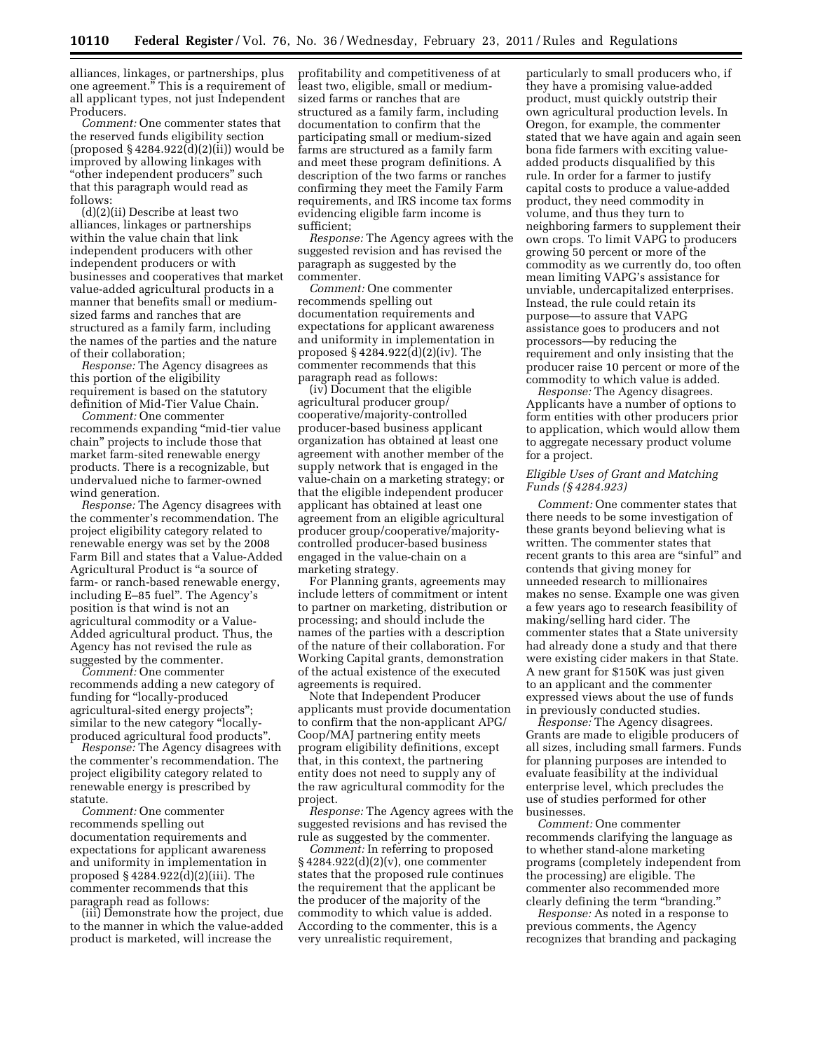alliances, linkages, or partnerships, plus one agreement.'' This is a requirement of all applicant types, not just Independent Producers.

*Comment:* One commenter states that the reserved funds eligibility section (proposed § 4284.922(d)(2)(ii)) would be improved by allowing linkages with ''other independent producers'' such that this paragraph would read as follows:

(d)(2)(ii) Describe at least two alliances, linkages or partnerships within the value chain that link independent producers with other independent producers or with businesses and cooperatives that market value-added agricultural products in a manner that benefits small or mediumsized farms and ranches that are structured as a family farm, including the names of the parties and the nature of their collaboration;

*Response:* The Agency disagrees as this portion of the eligibility requirement is based on the statutory definition of Mid-Tier Value Chain.

*Comment:* One commenter recommends expanding ''mid-tier value chain'' projects to include those that market farm-sited renewable energy products. There is a recognizable, but undervalued niche to farmer-owned wind generation.

*Response:* The Agency disagrees with the commenter's recommendation. The project eligibility category related to renewable energy was set by the 2008 Farm Bill and states that a Value-Added Agricultural Product is ''a source of farm- or ranch-based renewable energy, including E–85 fuel''. The Agency's position is that wind is not an agricultural commodity or a Value-Added agricultural product. Thus, the Agency has not revised the rule as suggested by the commenter.

*Comment:* One commenter recommends adding a new category of funding for "locally-produced agricultural-sited energy projects''; similar to the new category "locallyproduced agricultural food products''.

*Response:* The Agency disagrees with the commenter's recommendation. The project eligibility category related to renewable energy is prescribed by statute.

*Comment:* One commenter recommends spelling out documentation requirements and expectations for applicant awareness and uniformity in implementation in proposed § 4284.922(d)(2)(iii). The commenter recommends that this paragraph read as follows:

(iii) Demonstrate how the project, due to the manner in which the value-added product is marketed, will increase the

profitability and competitiveness of at least two, eligible, small or mediumsized farms or ranches that are structured as a family farm, including documentation to confirm that the participating small or medium-sized farms are structured as a family farm and meet these program definitions. A description of the two farms or ranches confirming they meet the Family Farm requirements, and IRS income tax forms evidencing eligible farm income is sufficient;

*Response:* The Agency agrees with the suggested revision and has revised the paragraph as suggested by the commenter.

*Comment:* One commenter recommends spelling out documentation requirements and expectations for applicant awareness and uniformity in implementation in proposed § 4284.922(d)(2)(iv). The commenter recommends that this paragraph read as follows:

(iv) Document that the eligible agricultural producer group/ cooperative/majority-controlled producer-based business applicant organization has obtained at least one agreement with another member of the supply network that is engaged in the value-chain on a marketing strategy; or that the eligible independent producer applicant has obtained at least one agreement from an eligible agricultural producer group/cooperative/majoritycontrolled producer-based business engaged in the value-chain on a marketing strategy.

For Planning grants, agreements may include letters of commitment or intent to partner on marketing, distribution or processing; and should include the names of the parties with a description of the nature of their collaboration. For Working Capital grants, demonstration of the actual existence of the executed agreements is required.

Note that Independent Producer applicants must provide documentation to confirm that the non-applicant APG/ Coop/MAJ partnering entity meets program eligibility definitions, except that, in this context, the partnering entity does not need to supply any of the raw agricultural commodity for the project.

*Response:* The Agency agrees with the suggested revisions and has revised the rule as suggested by the commenter.

*Comment:* In referring to proposed § 4284.922(d)(2)(v), one commenter states that the proposed rule continues the requirement that the applicant be the producer of the majority of the commodity to which value is added. According to the commenter, this is a very unrealistic requirement,

particularly to small producers who, if they have a promising value-added product, must quickly outstrip their own agricultural production levels. In Oregon, for example, the commenter stated that we have again and again seen bona fide farmers with exciting valueadded products disqualified by this rule. In order for a farmer to justify capital costs to produce a value-added product, they need commodity in volume, and thus they turn to neighboring farmers to supplement their own crops. To limit VAPG to producers growing 50 percent or more of the commodity as we currently do, too often mean limiting VAPG's assistance for unviable, undercapitalized enterprises. Instead, the rule could retain its purpose—to assure that VAPG assistance goes to producers and not processors—by reducing the requirement and only insisting that the producer raise 10 percent or more of the commodity to which value is added.

*Response:* The Agency disagrees. Applicants have a number of options to form entities with other producers prior to application, which would allow them to aggregate necessary product volume for a project.

# *Eligible Uses of Grant and Matching Funds (§ 4284.923)*

*Comment:* One commenter states that there needs to be some investigation of these grants beyond believing what is written. The commenter states that recent grants to this area are "sinful" and contends that giving money for unneeded research to millionaires makes no sense. Example one was given a few years ago to research feasibility of making/selling hard cider. The commenter states that a State university had already done a study and that there were existing cider makers in that State. A new grant for \$150K was just given to an applicant and the commenter expressed views about the use of funds in previously conducted studies.

*Response:* The Agency disagrees. Grants are made to eligible producers of all sizes, including small farmers. Funds for planning purposes are intended to evaluate feasibility at the individual enterprise level, which precludes the use of studies performed for other businesses.

*Comment:* One commenter recommends clarifying the language as to whether stand-alone marketing programs (completely independent from the processing) are eligible. The commenter also recommended more clearly defining the term ''branding.''

*Response:* As noted in a response to previous comments, the Agency recognizes that branding and packaging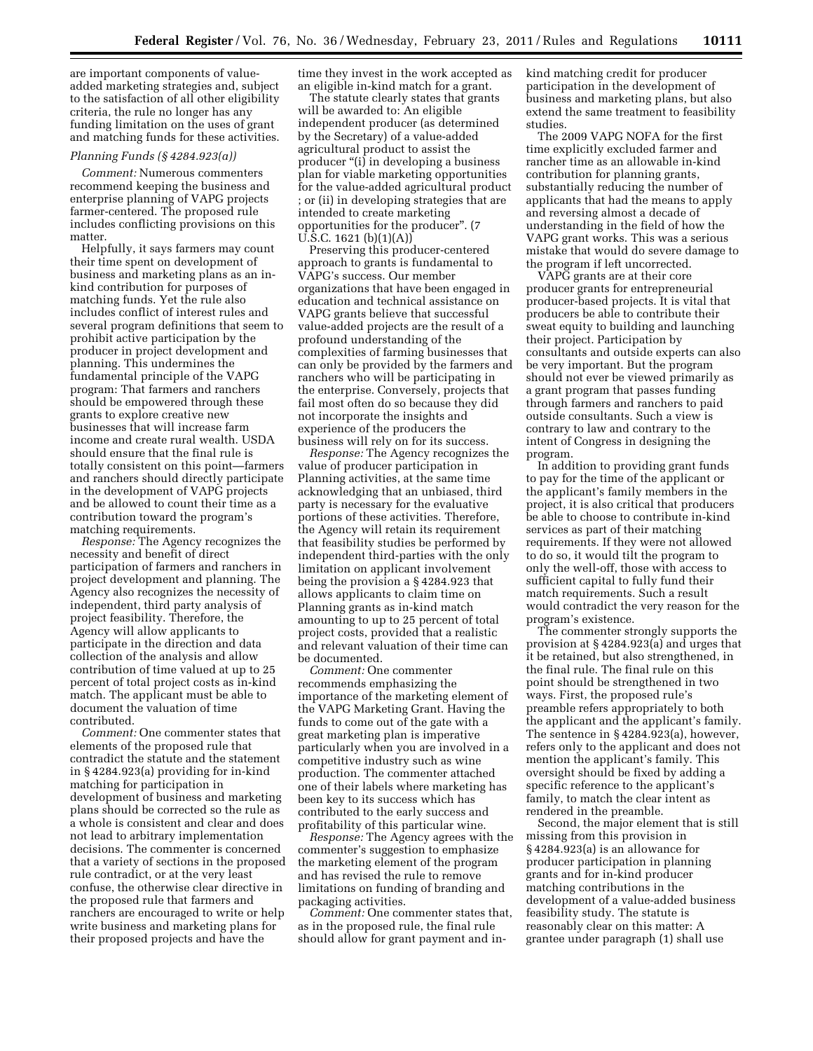are important components of valueadded marketing strategies and, subject to the satisfaction of all other eligibility criteria, the rule no longer has any funding limitation on the uses of grant and matching funds for these activities.

## *Planning Funds (§ 4284.923(a))*

*Comment:* Numerous commenters recommend keeping the business and enterprise planning of VAPG projects farmer-centered. The proposed rule includes conflicting provisions on this matter.

Helpfully, it says farmers may count their time spent on development of business and marketing plans as an inkind contribution for purposes of matching funds. Yet the rule also includes conflict of interest rules and several program definitions that seem to prohibit active participation by the producer in project development and planning. This undermines the fundamental principle of the VAPG program: That farmers and ranchers should be empowered through these grants to explore creative new businesses that will increase farm income and create rural wealth. USDA should ensure that the final rule is totally consistent on this point—farmers and ranchers should directly participate in the development of VAPG projects and be allowed to count their time as a contribution toward the program's matching requirements.

*Response:* The Agency recognizes the necessity and benefit of direct participation of farmers and ranchers in project development and planning. The Agency also recognizes the necessity of independent, third party analysis of project feasibility. Therefore, the Agency will allow applicants to participate in the direction and data collection of the analysis and allow contribution of time valued at up to 25 percent of total project costs as in-kind match. The applicant must be able to document the valuation of time contributed.

*Comment:* One commenter states that elements of the proposed rule that contradict the statute and the statement in § 4284.923(a) providing for in-kind matching for participation in development of business and marketing plans should be corrected so the rule as a whole is consistent and clear and does not lead to arbitrary implementation decisions. The commenter is concerned that a variety of sections in the proposed rule contradict, or at the very least confuse, the otherwise clear directive in the proposed rule that farmers and ranchers are encouraged to write or help write business and marketing plans for their proposed projects and have the

time they invest in the work accepted as an eligible in-kind match for a grant.

The statute clearly states that grants will be awarded to: An eligible independent producer (as determined by the Secretary) of a value-added agricultural product to assist the producer "(i) in developing a business plan for viable marketing opportunities for the value-added agricultural product ; or (ii) in developing strategies that are intended to create marketing opportunities for the producer''. (7  $\overline{U}$ .S.C. 1621 (b)(1)(A))

Preserving this producer-centered approach to grants is fundamental to VAPG's success. Our member organizations that have been engaged in education and technical assistance on VAPG grants believe that successful value-added projects are the result of a profound understanding of the complexities of farming businesses that can only be provided by the farmers and ranchers who will be participating in the enterprise. Conversely, projects that fail most often do so because they did not incorporate the insights and experience of the producers the business will rely on for its success.

*Response:* The Agency recognizes the value of producer participation in Planning activities, at the same time acknowledging that an unbiased, third party is necessary for the evaluative portions of these activities. Therefore, the Agency will retain its requirement that feasibility studies be performed by independent third-parties with the only limitation on applicant involvement being the provision a § 4284.923 that allows applicants to claim time on Planning grants as in-kind match amounting to up to 25 percent of total project costs, provided that a realistic and relevant valuation of their time can be documented.

*Comment:* One commenter recommends emphasizing the importance of the marketing element of the VAPG Marketing Grant. Having the funds to come out of the gate with a great marketing plan is imperative particularly when you are involved in a competitive industry such as wine production. The commenter attached one of their labels where marketing has been key to its success which has contributed to the early success and profitability of this particular wine.

*Response:* The Agency agrees with the commenter's suggestion to emphasize the marketing element of the program and has revised the rule to remove limitations on funding of branding and packaging activities.

*Comment:* One commenter states that, as in the proposed rule, the final rule should allow for grant payment and inkind matching credit for producer participation in the development of business and marketing plans, but also extend the same treatment to feasibility studies.

The 2009 VAPG NOFA for the first time explicitly excluded farmer and rancher time as an allowable in-kind contribution for planning grants, substantially reducing the number of applicants that had the means to apply and reversing almost a decade of understanding in the field of how the VAPG grant works. This was a serious mistake that would do severe damage to the program if left uncorrected.

VAPG grants are at their core producer grants for entrepreneurial producer-based projects. It is vital that producers be able to contribute their sweat equity to building and launching their project. Participation by consultants and outside experts can also be very important. But the program should not ever be viewed primarily as a grant program that passes funding through farmers and ranchers to paid outside consultants. Such a view is contrary to law and contrary to the intent of Congress in designing the program.

In addition to providing grant funds to pay for the time of the applicant or the applicant's family members in the project, it is also critical that producers be able to choose to contribute in-kind services as part of their matching requirements. If they were not allowed to do so, it would tilt the program to only the well-off, those with access to sufficient capital to fully fund their match requirements. Such a result would contradict the very reason for the program's existence.

The commenter strongly supports the provision at § 4284.923(a) and urges that it be retained, but also strengthened, in the final rule. The final rule on this point should be strengthened in two ways. First, the proposed rule's preamble refers appropriately to both the applicant and the applicant's family. The sentence in § 4284.923(a), however, refers only to the applicant and does not mention the applicant's family. This oversight should be fixed by adding a specific reference to the applicant's family, to match the clear intent as rendered in the preamble.

Second, the major element that is still missing from this provision in § 4284.923(a) is an allowance for producer participation in planning grants and for in-kind producer matching contributions in the development of a value-added business feasibility study. The statute is reasonably clear on this matter: A grantee under paragraph (1) shall use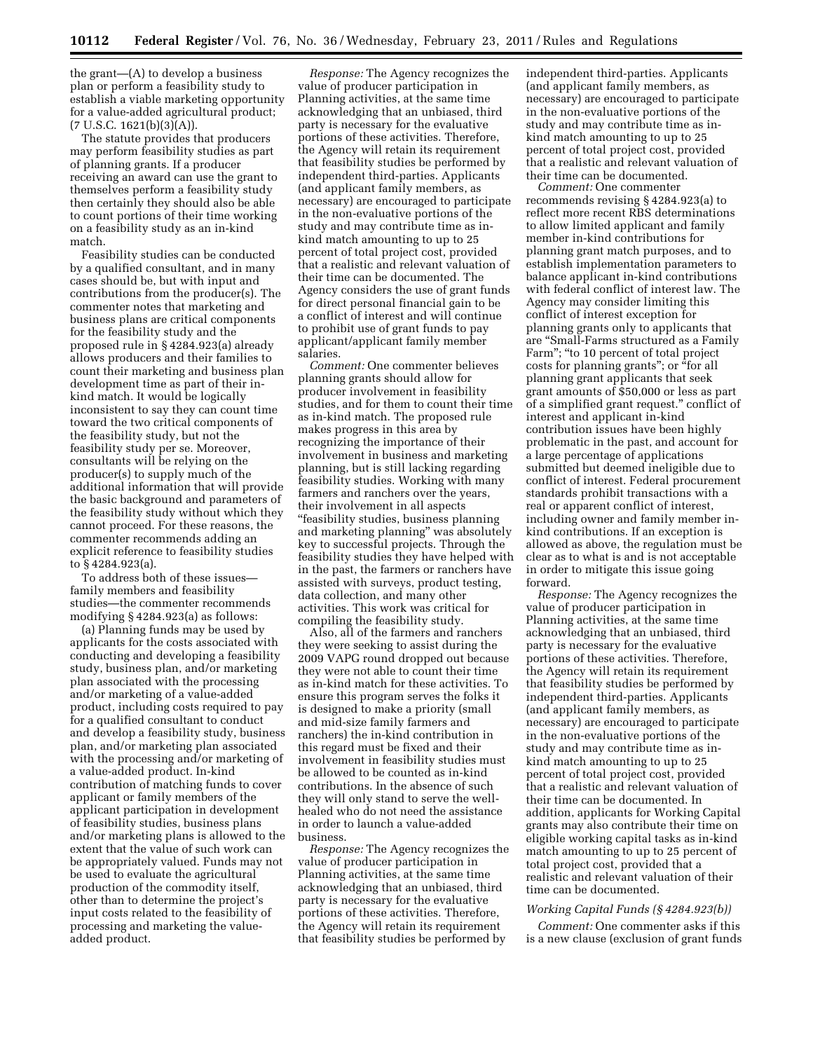the grant—(A) to develop a business plan or perform a feasibility study to establish a viable marketing opportunity for a value-added agricultural product;  $(7 \text{ U.S.C. } 1621(b)(3)(A)).$ 

The statute provides that producers may perform feasibility studies as part of planning grants. If a producer receiving an award can use the grant to themselves perform a feasibility study then certainly they should also be able to count portions of their time working on a feasibility study as an in-kind match.

Feasibility studies can be conducted by a qualified consultant, and in many cases should be, but with input and contributions from the producer(s). The commenter notes that marketing and business plans are critical components for the feasibility study and the proposed rule in § 4284.923(a) already allows producers and their families to count their marketing and business plan development time as part of their inkind match. It would be logically inconsistent to say they can count time toward the two critical components of the feasibility study, but not the feasibility study per se. Moreover, consultants will be relying on the producer(s) to supply much of the additional information that will provide the basic background and parameters of the feasibility study without which they cannot proceed. For these reasons, the commenter recommends adding an explicit reference to feasibility studies to § 4284.923(a).

To address both of these issues family members and feasibility studies—the commenter recommends modifying § 4284.923(a) as follows:

(a) Planning funds may be used by applicants for the costs associated with conducting and developing a feasibility study, business plan, and/or marketing plan associated with the processing and/or marketing of a value-added product, including costs required to pay for a qualified consultant to conduct and develop a feasibility study, business plan, and/or marketing plan associated with the processing and/or marketing of a value-added product. In-kind contribution of matching funds to cover applicant or family members of the applicant participation in development of feasibility studies, business plans and/or marketing plans is allowed to the extent that the value of such work can be appropriately valued. Funds may not be used to evaluate the agricultural production of the commodity itself, other than to determine the project's input costs related to the feasibility of processing and marketing the valueadded product.

*Response:* The Agency recognizes the value of producer participation in Planning activities, at the same time acknowledging that an unbiased, third party is necessary for the evaluative portions of these activities. Therefore, the Agency will retain its requirement that feasibility studies be performed by independent third-parties. Applicants (and applicant family members, as necessary) are encouraged to participate in the non-evaluative portions of the study and may contribute time as inkind match amounting to up to 25 percent of total project cost, provided that a realistic and relevant valuation of their time can be documented. The Agency considers the use of grant funds for direct personal financial gain to be a conflict of interest and will continue to prohibit use of grant funds to pay applicant/applicant family member salaries.

*Comment:* One commenter believes planning grants should allow for producer involvement in feasibility studies, and for them to count their time as in-kind match. The proposed rule makes progress in this area by recognizing the importance of their involvement in business and marketing planning, but is still lacking regarding feasibility studies. Working with many farmers and ranchers over the years, their involvement in all aspects ''feasibility studies, business planning and marketing planning'' was absolutely key to successful projects. Through the feasibility studies they have helped with in the past, the farmers or ranchers have assisted with surveys, product testing, data collection, and many other activities. This work was critical for compiling the feasibility study.

Also, all of the farmers and ranchers they were seeking to assist during the 2009 VAPG round dropped out because they were not able to count their time as in-kind match for these activities. To ensure this program serves the folks it is designed to make a priority (small and mid-size family farmers and ranchers) the in-kind contribution in this regard must be fixed and their involvement in feasibility studies must be allowed to be counted as in-kind contributions. In the absence of such they will only stand to serve the wellhealed who do not need the assistance in order to launch a value-added business.

*Response:* The Agency recognizes the value of producer participation in Planning activities, at the same time acknowledging that an unbiased, third party is necessary for the evaluative portions of these activities. Therefore, the Agency will retain its requirement that feasibility studies be performed by

independent third-parties. Applicants (and applicant family members, as necessary) are encouraged to participate in the non-evaluative portions of the study and may contribute time as inkind match amounting to up to 25 percent of total project cost, provided that a realistic and relevant valuation of their time can be documented.

*Comment:* One commenter recommends revising § 4284.923(a) to reflect more recent RBS determinations to allow limited applicant and family member in-kind contributions for planning grant match purposes, and to establish implementation parameters to balance applicant in-kind contributions with federal conflict of interest law. The Agency may consider limiting this conflict of interest exception for planning grants only to applicants that are ''Small-Farms structured as a Family Farm"; "to 10 percent of total project costs for planning grants''; or ''for all planning grant applicants that seek grant amounts of \$50,000 or less as part of a simplified grant request.'' conflict of interest and applicant in-kind contribution issues have been highly problematic in the past, and account for a large percentage of applications submitted but deemed ineligible due to conflict of interest. Federal procurement standards prohibit transactions with a real or apparent conflict of interest, including owner and family member inkind contributions. If an exception is allowed as above, the regulation must be clear as to what is and is not acceptable in order to mitigate this issue going forward.

*Response:* The Agency recognizes the value of producer participation in Planning activities, at the same time acknowledging that an unbiased, third party is necessary for the evaluative portions of these activities. Therefore, the Agency will retain its requirement that feasibility studies be performed by independent third-parties. Applicants (and applicant family members, as necessary) are encouraged to participate in the non-evaluative portions of the study and may contribute time as inkind match amounting to up to 25 percent of total project cost, provided that a realistic and relevant valuation of their time can be documented. In addition, applicants for Working Capital grants may also contribute their time on eligible working capital tasks as in-kind match amounting to up to 25 percent of total project cost, provided that a realistic and relevant valuation of their time can be documented.

### *Working Capital Funds (§ 4284.923(b))*

*Comment:* One commenter asks if this is a new clause (exclusion of grant funds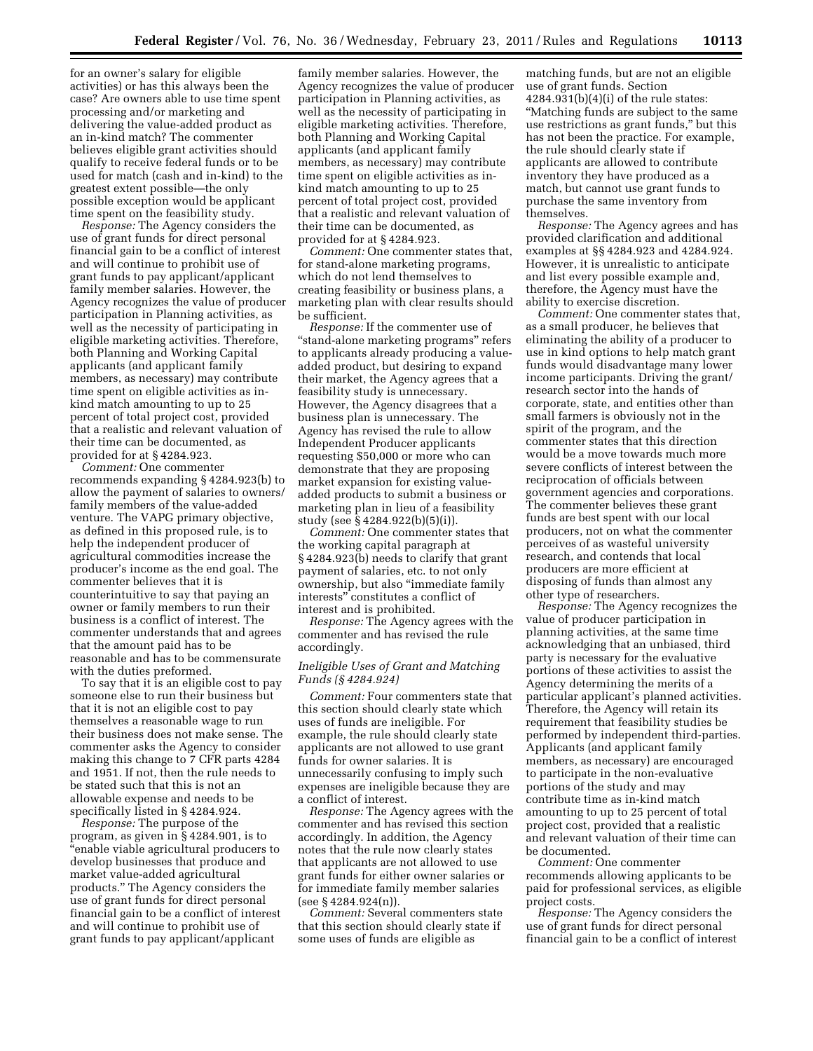for an owner's salary for eligible activities) or has this always been the case? Are owners able to use time spent processing and/or marketing and delivering the value-added product as an in-kind match? The commenter believes eligible grant activities should qualify to receive federal funds or to be used for match (cash and in-kind) to the greatest extent possible—the only possible exception would be applicant time spent on the feasibility study.

*Response:* The Agency considers the use of grant funds for direct personal financial gain to be a conflict of interest and will continue to prohibit use of grant funds to pay applicant/applicant family member salaries. However, the Agency recognizes the value of producer participation in Planning activities, as well as the necessity of participating in eligible marketing activities. Therefore, both Planning and Working Capital applicants (and applicant family members, as necessary) may contribute time spent on eligible activities as inkind match amounting to up to 25 percent of total project cost, provided that a realistic and relevant valuation of their time can be documented, as provided for at § 4284.923.

*Comment:* One commenter recommends expanding § 4284.923(b) to allow the payment of salaries to owners/ family members of the value-added venture. The VAPG primary objective, as defined in this proposed rule, is to help the independent producer of agricultural commodities increase the producer's income as the end goal. The commenter believes that it is counterintuitive to say that paying an owner or family members to run their business is a conflict of interest. The commenter understands that and agrees that the amount paid has to be reasonable and has to be commensurate with the duties preformed.

To say that it is an eligible cost to pay someone else to run their business but that it is not an eligible cost to pay themselves a reasonable wage to run their business does not make sense. The commenter asks the Agency to consider making this change to 7 CFR parts 4284 and 1951. If not, then the rule needs to be stated such that this is not an allowable expense and needs to be specifically listed in § 4284.924.

*Response:* The purpose of the program, as given in § 4284.901, is to ''enable viable agricultural producers to develop businesses that produce and market value-added agricultural products.'' The Agency considers the use of grant funds for direct personal financial gain to be a conflict of interest and will continue to prohibit use of grant funds to pay applicant/applicant

family member salaries. However, the Agency recognizes the value of producer participation in Planning activities, as well as the necessity of participating in eligible marketing activities. Therefore, both Planning and Working Capital applicants (and applicant family members, as necessary) may contribute time spent on eligible activities as inkind match amounting to up to 25 percent of total project cost, provided that a realistic and relevant valuation of their time can be documented, as provided for at § 4284.923.

*Comment:* One commenter states that, for stand-alone marketing programs, which do not lend themselves to creating feasibility or business plans, a marketing plan with clear results should be sufficient.

*Response:* If the commenter use of ''stand-alone marketing programs'' refers to applicants already producing a valueadded product, but desiring to expand their market, the Agency agrees that a feasibility study is unnecessary. However, the Agency disagrees that a business plan is unnecessary. The Agency has revised the rule to allow Independent Producer applicants requesting \$50,000 or more who can demonstrate that they are proposing market expansion for existing valueadded products to submit a business or marketing plan in lieu of a feasibility study (see § 4284.922(b)(5)(i)).

*Comment:* One commenter states that the working capital paragraph at § 4284.923(b) needs to clarify that grant payment of salaries, etc. to not only ownership, but also ''immediate family interests'' constitutes a conflict of interest and is prohibited.

*Response:* The Agency agrees with the commenter and has revised the rule accordingly.

# *Ineligible Uses of Grant and Matching Funds (§ 4284.924)*

*Comment:* Four commenters state that this section should clearly state which uses of funds are ineligible. For example, the rule should clearly state applicants are not allowed to use grant funds for owner salaries. It is unnecessarily confusing to imply such expenses are ineligible because they are a conflict of interest.

*Response:* The Agency agrees with the commenter and has revised this section accordingly. In addition, the Agency notes that the rule now clearly states that applicants are not allowed to use grant funds for either owner salaries or for immediate family member salaries (see § 4284.924(n)).

*Comment:* Several commenters state that this section should clearly state if some uses of funds are eligible as

matching funds, but are not an eligible use of grant funds. Section 4284.931(b)(4)(i) of the rule states: ''Matching funds are subject to the same use restrictions as grant funds,'' but this has not been the practice. For example, the rule should clearly state if applicants are allowed to contribute inventory they have produced as a match, but cannot use grant funds to purchase the same inventory from themselves.

*Response:* The Agency agrees and has provided clarification and additional examples at §§ 4284.923 and 4284.924. However, it is unrealistic to anticipate and list every possible example and, therefore, the Agency must have the ability to exercise discretion.

*Comment:* One commenter states that, as a small producer, he believes that eliminating the ability of a producer to use in kind options to help match grant funds would disadvantage many lower income participants. Driving the grant/ research sector into the hands of corporate, state, and entities other than small farmers is obviously not in the spirit of the program, and the commenter states that this direction would be a move towards much more severe conflicts of interest between the reciprocation of officials between government agencies and corporations. The commenter believes these grant funds are best spent with our local producers, not on what the commenter perceives of as wasteful university research, and contends that local producers are more efficient at disposing of funds than almost any other type of researchers.

*Response:* The Agency recognizes the value of producer participation in planning activities, at the same time acknowledging that an unbiased, third party is necessary for the evaluative portions of these activities to assist the Agency determining the merits of a particular applicant's planned activities. Therefore, the Agency will retain its requirement that feasibility studies be performed by independent third-parties. Applicants (and applicant family members, as necessary) are encouraged to participate in the non-evaluative portions of the study and may contribute time as in-kind match amounting to up to 25 percent of total project cost, provided that a realistic and relevant valuation of their time can be documented.

*Comment:* One commenter recommends allowing applicants to be paid for professional services, as eligible project costs.

*Response:* The Agency considers the use of grant funds for direct personal financial gain to be a conflict of interest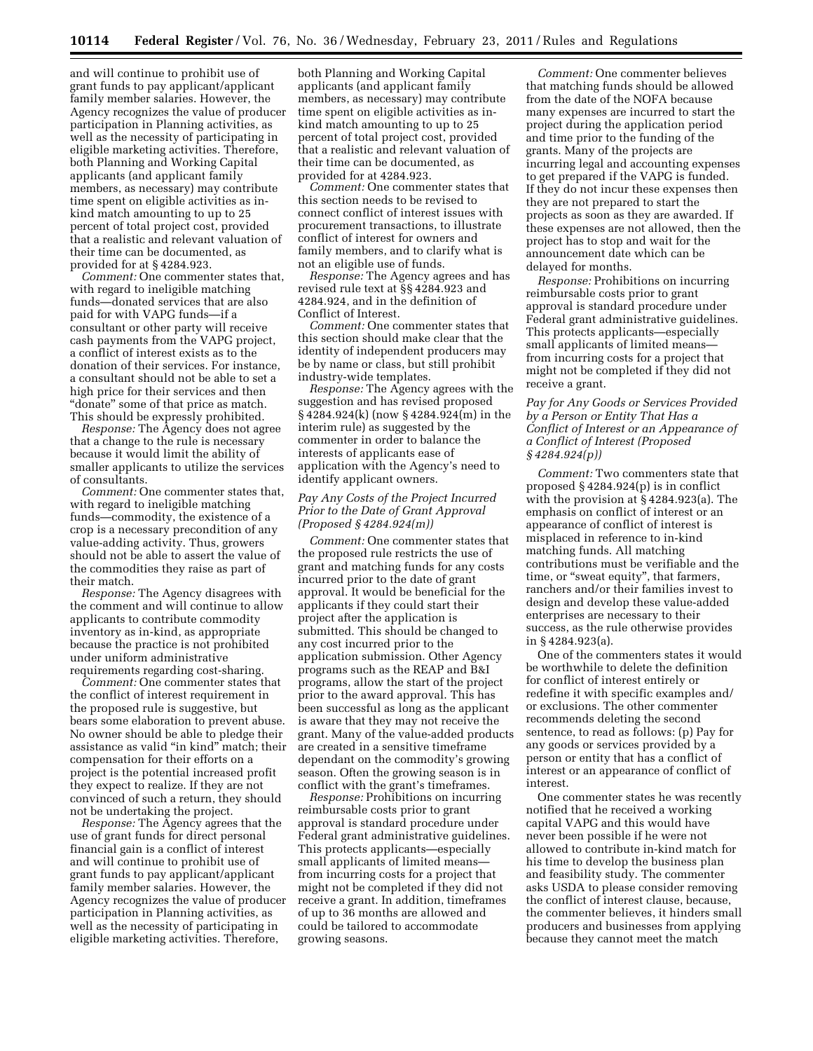and will continue to prohibit use of grant funds to pay applicant/applicant family member salaries. However, the Agency recognizes the value of producer participation in Planning activities, as well as the necessity of participating in eligible marketing activities. Therefore, both Planning and Working Capital applicants (and applicant family members, as necessary) may contribute time spent on eligible activities as inkind match amounting to up to 25 percent of total project cost, provided that a realistic and relevant valuation of their time can be documented, as provided for at § 4284.923.

*Comment:* One commenter states that, with regard to ineligible matching funds—donated services that are also paid for with VAPG funds—if a consultant or other party will receive cash payments from the VAPG project, a conflict of interest exists as to the donation of their services. For instance, a consultant should not be able to set a high price for their services and then "donate" some of that price as match. This should be expressly prohibited.

*Response:* The Agency does not agree that a change to the rule is necessary because it would limit the ability of smaller applicants to utilize the services of consultants.

*Comment:* One commenter states that, with regard to ineligible matching funds—commodity, the existence of a crop is a necessary precondition of any value-adding activity. Thus, growers should not be able to assert the value of the commodities they raise as part of their match.

*Response:* The Agency disagrees with the comment and will continue to allow applicants to contribute commodity inventory as in-kind, as appropriate because the practice is not prohibited under uniform administrative requirements regarding cost-sharing.

*Comment:* One commenter states that the conflict of interest requirement in the proposed rule is suggestive, but bears some elaboration to prevent abuse. No owner should be able to pledge their assistance as valid ''in kind'' match; their compensation for their efforts on a project is the potential increased profit they expect to realize. If they are not convinced of such a return, they should not be undertaking the project.

*Response:* The Agency agrees that the use of grant funds for direct personal financial gain is a conflict of interest and will continue to prohibit use of grant funds to pay applicant/applicant family member salaries. However, the Agency recognizes the value of producer participation in Planning activities, as well as the necessity of participating in eligible marketing activities. Therefore,

both Planning and Working Capital applicants (and applicant family members, as necessary) may contribute time spent on eligible activities as inkind match amounting to up to 25 percent of total project cost, provided that a realistic and relevant valuation of their time can be documented, as provided for at 4284.923.

*Comment:* One commenter states that this section needs to be revised to connect conflict of interest issues with procurement transactions, to illustrate conflict of interest for owners and family members, and to clarify what is not an eligible use of funds.

*Response:* The Agency agrees and has revised rule text at §§ 4284.923 and 4284.924, and in the definition of Conflict of Interest.

*Comment:* One commenter states that this section should make clear that the identity of independent producers may be by name or class, but still prohibit industry-wide templates.

*Response:* The Agency agrees with the suggestion and has revised proposed § 4284.924(k) (now § 4284.924(m) in the interim rule) as suggested by the commenter in order to balance the interests of applicants ease of application with the Agency's need to identify applicant owners.

# *Pay Any Costs of the Project Incurred Prior to the Date of Grant Approval (Proposed § 4284.924(m))*

*Comment:* One commenter states that the proposed rule restricts the use of grant and matching funds for any costs incurred prior to the date of grant approval. It would be beneficial for the applicants if they could start their project after the application is submitted. This should be changed to any cost incurred prior to the application submission. Other Agency programs such as the REAP and B&I programs, allow the start of the project prior to the award approval. This has been successful as long as the applicant is aware that they may not receive the grant. Many of the value-added products are created in a sensitive timeframe dependant on the commodity's growing season. Often the growing season is in conflict with the grant's timeframes.

*Response:* Prohibitions on incurring reimbursable costs prior to grant approval is standard procedure under Federal grant administrative guidelines. This protects applicants—especially small applicants of limited means from incurring costs for a project that might not be completed if they did not receive a grant. In addition, timeframes of up to 36 months are allowed and could be tailored to accommodate growing seasons.

*Comment:* One commenter believes that matching funds should be allowed from the date of the NOFA because many expenses are incurred to start the project during the application period and time prior to the funding of the grants. Many of the projects are incurring legal and accounting expenses to get prepared if the VAPG is funded. If they do not incur these expenses then they are not prepared to start the projects as soon as they are awarded. If these expenses are not allowed, then the project has to stop and wait for the announcement date which can be delayed for months.

*Response:* Prohibitions on incurring reimbursable costs prior to grant approval is standard procedure under Federal grant administrative guidelines. This protects applicants—especially small applicants of limited means from incurring costs for a project that might not be completed if they did not receive a grant.

# *Pay for Any Goods or Services Provided by a Person or Entity That Has a Conflict of Interest or an Appearance of a Conflict of Interest (Proposed § 4284.924(p))*

*Comment:* Two commenters state that proposed § 4284.924(p) is in conflict with the provision at § 4284.923(a). The emphasis on conflict of interest or an appearance of conflict of interest is misplaced in reference to in-kind matching funds. All matching contributions must be verifiable and the time, or "sweat equity", that farmers, ranchers and/or their families invest to design and develop these value-added enterprises are necessary to their success, as the rule otherwise provides in § 4284.923(a).

One of the commenters states it would be worthwhile to delete the definition for conflict of interest entirely or redefine it with specific examples and/ or exclusions. The other commenter recommends deleting the second sentence, to read as follows: (p) Pay for any goods or services provided by a person or entity that has a conflict of interest or an appearance of conflict of interest.

One commenter states he was recently notified that he received a working capital VAPG and this would have never been possible if he were not allowed to contribute in-kind match for his time to develop the business plan and feasibility study. The commenter asks USDA to please consider removing the conflict of interest clause, because, the commenter believes, it hinders small producers and businesses from applying because they cannot meet the match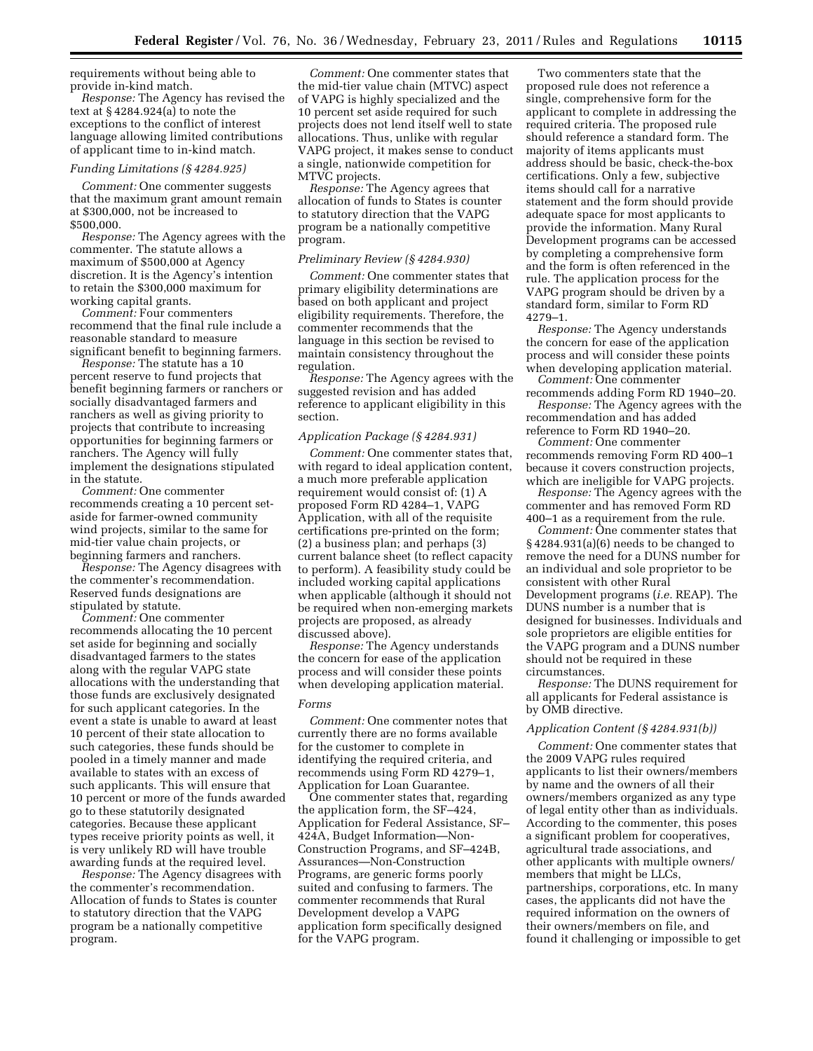requirements without being able to provide in-kind match.

*Response:* The Agency has revised the text at § 4284.924(a) to note the exceptions to the conflict of interest language allowing limited contributions of applicant time to in-kind match.

### *Funding Limitations (§ 4284.925)*

*Comment:* One commenter suggests that the maximum grant amount remain at \$300,000, not be increased to \$500,000.

*Response:* The Agency agrees with the commenter. The statute allows a maximum of \$500,000 at Agency discretion. It is the Agency's intention to retain the \$300,000 maximum for working capital grants.

*Comment:* Four commenters recommend that the final rule include a reasonable standard to measure significant benefit to beginning farmers.

*Response:* The statute has a 10 percent reserve to fund projects that benefit beginning farmers or ranchers or socially disadvantaged farmers and ranchers as well as giving priority to projects that contribute to increasing opportunities for beginning farmers or ranchers. The Agency will fully implement the designations stipulated in the statute.

*Comment:* One commenter recommends creating a 10 percent setaside for farmer-owned community wind projects, similar to the same for mid-tier value chain projects, or beginning farmers and ranchers.

*Response:* The Agency disagrees with the commenter's recommendation. Reserved funds designations are stipulated by statute.

*Comment:* One commenter recommends allocating the 10 percent set aside for beginning and socially disadvantaged farmers to the states along with the regular VAPG state allocations with the understanding that those funds are exclusively designated for such applicant categories. In the event a state is unable to award at least 10 percent of their state allocation to such categories, these funds should be pooled in a timely manner and made available to states with an excess of such applicants. This will ensure that 10 percent or more of the funds awarded go to these statutorily designated categories. Because these applicant types receive priority points as well, it is very unlikely RD will have trouble awarding funds at the required level.

*Response:* The Agency disagrees with the commenter's recommendation. Allocation of funds to States is counter to statutory direction that the VAPG program be a nationally competitive program.

*Comment:* One commenter states that the mid-tier value chain (MTVC) aspect of VAPG is highly specialized and the 10 percent set aside required for such projects does not lend itself well to state allocations. Thus, unlike with regular VAPG project, it makes sense to conduct a single, nationwide competition for MTVC projects.

*Response:* The Agency agrees that allocation of funds to States is counter to statutory direction that the VAPG program be a nationally competitive program.

# *Preliminary Review (§ 4284.930)*

*Comment:* One commenter states that primary eligibility determinations are based on both applicant and project eligibility requirements. Therefore, the commenter recommends that the language in this section be revised to maintain consistency throughout the regulation.

*Response:* The Agency agrees with the suggested revision and has added reference to applicant eligibility in this section.

# *Application Package (§ 4284.931)*

*Comment:* One commenter states that, with regard to ideal application content, a much more preferable application requirement would consist of: (1) A proposed Form RD 4284–1, VAPG Application, with all of the requisite certifications pre-printed on the form; (2) a business plan; and perhaps (3) current balance sheet (to reflect capacity to perform). A feasibility study could be included working capital applications when applicable (although it should not be required when non-emerging markets projects are proposed, as already discussed above).

*Response:* The Agency understands the concern for ease of the application process and will consider these points when developing application material. *Forms* 

# *Comment:* One commenter notes that currently there are no forms available for the customer to complete in identifying the required criteria, and recommends using Form RD 4279–1,

Application for Loan Guarantee. One commenter states that, regarding the application form, the SF–424, Application for Federal Assistance, SF– 424A, Budget Information—Non-Construction Programs, and SF–424B, Assurances—Non-Construction Programs, are generic forms poorly suited and confusing to farmers. The commenter recommends that Rural Development develop a VAPG application form specifically designed for the VAPG program.

Two commenters state that the proposed rule does not reference a single, comprehensive form for the applicant to complete in addressing the required criteria. The proposed rule should reference a standard form. The majority of items applicants must address should be basic, check-the-box certifications. Only a few, subjective items should call for a narrative statement and the form should provide adequate space for most applicants to provide the information. Many Rural Development programs can be accessed by completing a comprehensive form and the form is often referenced in the rule. The application process for the VAPG program should be driven by a standard form, similar to Form RD 4279–1.

*Response:* The Agency understands the concern for ease of the application process and will consider these points when developing application material.

*Comment:* One commenter recommends adding Form RD 1940–20.

*Response:* The Agency agrees with the recommendation and has added

reference to Form RD 1940–20. *Comment:* One commenter recommends removing Form RD 400–1 because it covers construction projects,

which are ineligible for VAPG projects. *Response:* The Agency agrees with the commenter and has removed Form RD 400–1 as a requirement from the rule.

*Comment:* One commenter states that § 4284.931(a)(6) needs to be changed to remove the need for a DUNS number for an individual and sole proprietor to be consistent with other Rural Development programs (*i.e.* REAP). The DUNS number is a number that is designed for businesses. Individuals and sole proprietors are eligible entities for the VAPG program and a DUNS number should not be required in these circumstances.

*Response:* The DUNS requirement for all applicants for Federal assistance is by OMB directive.

# *Application Content (§ 4284.931(b))*

*Comment:* One commenter states that the 2009 VAPG rules required applicants to list their owners/members by name and the owners of all their owners/members organized as any type of legal entity other than as individuals. According to the commenter, this poses a significant problem for cooperatives, agricultural trade associations, and other applicants with multiple owners/ members that might be LLCs, partnerships, corporations, etc. In many cases, the applicants did not have the required information on the owners of their owners/members on file, and found it challenging or impossible to get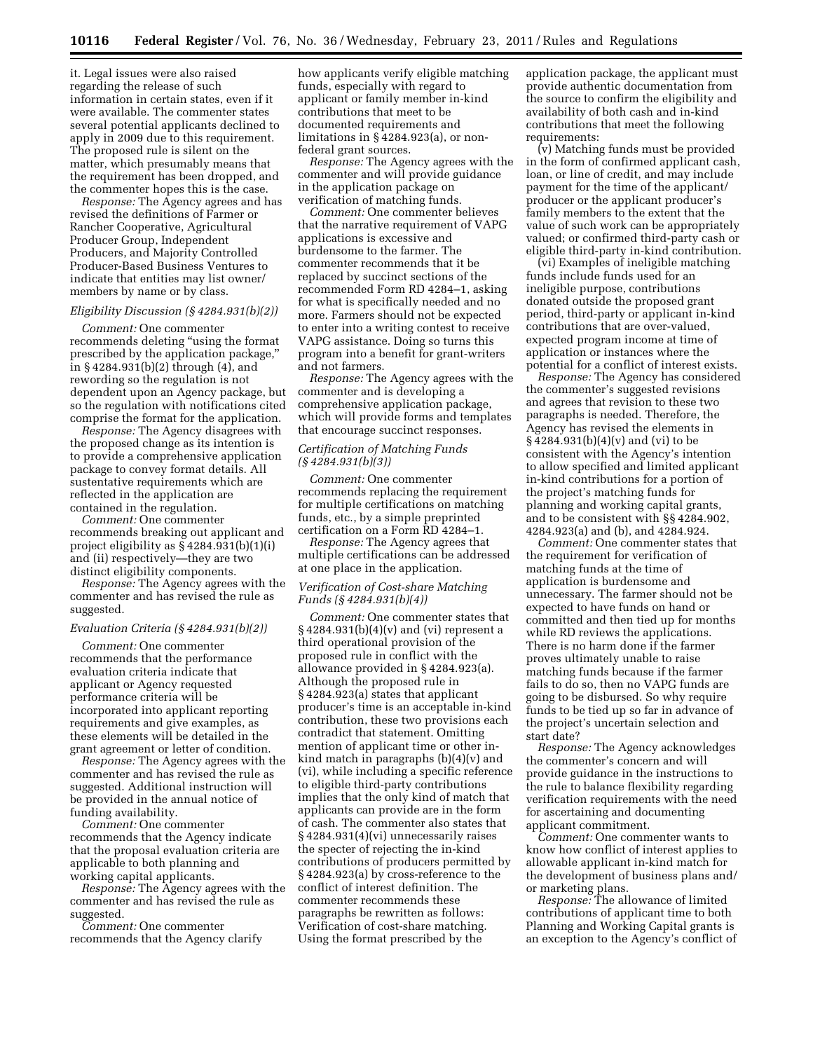it. Legal issues were also raised regarding the release of such information in certain states, even if it were available. The commenter states several potential applicants declined to apply in 2009 due to this requirement. The proposed rule is silent on the matter, which presumably means that the requirement has been dropped, and the commenter hopes this is the case.

*Response:* The Agency agrees and has revised the definitions of Farmer or Rancher Cooperative, Agricultural Producer Group, Independent Producers, and Majority Controlled Producer-Based Business Ventures to indicate that entities may list owner/ members by name or by class.

## *Eligibility Discussion (§ 4284.931(b)(2))*

*Comment:* One commenter recommends deleting ''using the format prescribed by the application package,'' in § 4284.931(b)(2) through (4), and rewording so the regulation is not dependent upon an Agency package, but so the regulation with notifications cited comprise the format for the application.

*Response:* The Agency disagrees with the proposed change as its intention is to provide a comprehensive application package to convey format details. All sustentative requirements which are reflected in the application are contained in the regulation.

*Comment:* One commenter recommends breaking out applicant and project eligibility as  $\S$  4284.931(b)(1)(i) and (ii) respectively—they are two distinct eligibility components.

*Response:* The Agency agrees with the commenter and has revised the rule as suggested.

#### *Evaluation Criteria (§ 4284.931(b)(2))*

*Comment:* One commenter recommends that the performance evaluation criteria indicate that applicant or Agency requested performance criteria will be incorporated into applicant reporting requirements and give examples, as these elements will be detailed in the grant agreement or letter of condition.

*Response:* The Agency agrees with the commenter and has revised the rule as suggested. Additional instruction will be provided in the annual notice of funding availability.

*Comment:* One commenter recommends that the Agency indicate that the proposal evaluation criteria are applicable to both planning and working capital applicants.

*Response:* The Agency agrees with the commenter and has revised the rule as suggested.

*Comment:* One commenter recommends that the Agency clarify how applicants verify eligible matching funds, especially with regard to applicant or family member in-kind contributions that meet to be documented requirements and limitations in § 4284.923(a), or nonfederal grant sources.

*Response:* The Agency agrees with the commenter and will provide guidance in the application package on verification of matching funds.

*Comment:* One commenter believes that the narrative requirement of VAPG applications is excessive and burdensome to the farmer. The commenter recommends that it be replaced by succinct sections of the recommended Form RD 4284–1, asking for what is specifically needed and no more. Farmers should not be expected to enter into a writing contest to receive VAPG assistance. Doing so turns this program into a benefit for grant-writers and not farmers.

*Response:* The Agency agrees with the commenter and is developing a comprehensive application package, which will provide forms and templates that encourage succinct responses.

# *Certification of Matching Funds (§ 4284.931(b)(3))*

*Comment:* One commenter recommends replacing the requirement for multiple certifications on matching funds, etc., by a simple preprinted certification on a Form RD 4284–1.

*Response:* The Agency agrees that multiple certifications can be addressed at one place in the application.

#### *Verification of Cost-share Matching Funds (§ 4284.931(b)(4))*

*Comment:* One commenter states that § 4284.931(b)(4)(v) and (vi) represent a third operational provision of the proposed rule in conflict with the allowance provided in § 4284.923(a). Although the proposed rule in § 4284.923(a) states that applicant producer's time is an acceptable in-kind contribution, these two provisions each contradict that statement. Omitting mention of applicant time or other inkind match in paragraphs (b)(4)(v) and (vi), while including a specific reference to eligible third-party contributions implies that the only kind of match that applicants can provide are in the form of cash. The commenter also states that § 4284.931(4)(vi) unnecessarily raises the specter of rejecting the in-kind contributions of producers permitted by § 4284.923(a) by cross-reference to the conflict of interest definition. The commenter recommends these paragraphs be rewritten as follows: Verification of cost-share matching. Using the format prescribed by the

application package, the applicant must provide authentic documentation from the source to confirm the eligibility and availability of both cash and in-kind contributions that meet the following requirements:

(v) Matching funds must be provided in the form of confirmed applicant cash, loan, or line of credit, and may include payment for the time of the applicant/ producer or the applicant producer's family members to the extent that the value of such work can be appropriately valued; or confirmed third-party cash or eligible third-party in-kind contribution.

(vi) Examples of ineligible matching funds include funds used for an ineligible purpose, contributions donated outside the proposed grant period, third-party or applicant in-kind contributions that are over-valued, expected program income at time of application or instances where the potential for a conflict of interest exists.

*Response:* The Agency has considered the commenter's suggested revisions and agrees that revision to these two paragraphs is needed. Therefore, the Agency has revised the elements in § 4284.931(b)(4)(v) and (vi) to be consistent with the Agency's intention to allow specified and limited applicant in-kind contributions for a portion of the project's matching funds for planning and working capital grants, and to be consistent with §§ 4284.902, 4284.923(a) and (b), and 4284.924.

*Comment:* One commenter states that the requirement for verification of matching funds at the time of application is burdensome and unnecessary. The farmer should not be expected to have funds on hand or committed and then tied up for months while RD reviews the applications. There is no harm done if the farmer proves ultimately unable to raise matching funds because if the farmer fails to do so, then no VAPG funds are going to be disbursed. So why require funds to be tied up so far in advance of the project's uncertain selection and start date?

*Response:* The Agency acknowledges the commenter's concern and will provide guidance in the instructions to the rule to balance flexibility regarding verification requirements with the need for ascertaining and documenting applicant commitment.

*Comment:* One commenter wants to know how conflict of interest applies to allowable applicant in-kind match for the development of business plans and/ or marketing plans.

*Response:* The allowance of limited contributions of applicant time to both Planning and Working Capital grants is an exception to the Agency's conflict of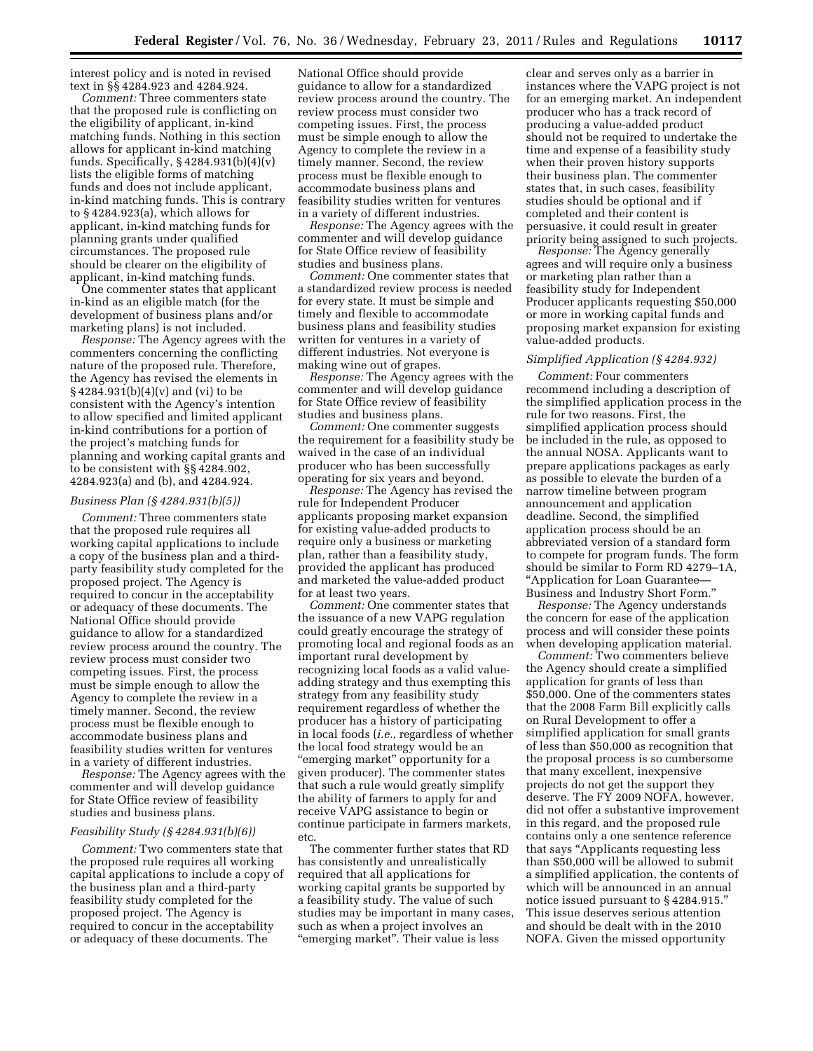interest policy and is noted in revised text in §§ 4284.923 and 4284.924.

*Comment:* Three commenters state that the proposed rule is conflicting on the eligibility of applicant, in-kind matching funds. Nothing in this section allows for applicant in-kind matching funds. Specifically, § 4284.931(b)(4)(v) lists the eligible forms of matching funds and does not include applicant, in-kind matching funds. This is contrary to § 4284.923(a), which allows for applicant, in-kind matching funds for planning grants under qualified circumstances. The proposed rule should be clearer on the eligibility of applicant, in-kind matching funds.

One commenter states that applicant in-kind as an eligible match (for the development of business plans and/or marketing plans) is not included.

*Response:* The Agency agrees with the commenters concerning the conflicting nature of the proposed rule. Therefore, the Agency has revised the elements in § 4284.931(b)(4)(v) and (vi) to be consistent with the Agency's intention to allow specified and limited applicant in-kind contributions for a portion of the project's matching funds for planning and working capital grants and to be consistent with §§ 4284.902, 4284.923(a) and (b), and 4284.924.

#### *Business Plan (§ 4284.931(b)(5))*

*Comment:* Three commenters state that the proposed rule requires all working capital applications to include a copy of the business plan and a thirdparty feasibility study completed for the proposed project. The Agency is required to concur in the acceptability or adequacy of these documents. The National Office should provide guidance to allow for a standardized review process around the country. The review process must consider two competing issues. First, the process must be simple enough to allow the Agency to complete the review in a timely manner. Second, the review process must be flexible enough to accommodate business plans and feasibility studies written for ventures in a variety of different industries.

*Response:* The Agency agrees with the commenter and will develop guidance for State Office review of feasibility studies and business plans.

# *Feasibility Study (§ 4284.931(b)(6))*

*Comment:* Two commenters state that the proposed rule requires all working capital applications to include a copy of the business plan and a third-party feasibility study completed for the proposed project. The Agency is required to concur in the acceptability or adequacy of these documents. The

National Office should provide guidance to allow for a standardized review process around the country. The review process must consider two competing issues. First, the process must be simple enough to allow the Agency to complete the review in a timely manner. Second, the review process must be flexible enough to accommodate business plans and feasibility studies written for ventures in a variety of different industries.

*Response:* The Agency agrees with the commenter and will develop guidance for State Office review of feasibility studies and business plans.

*Comment:* One commenter states that a standardized review process is needed for every state. It must be simple and timely and flexible to accommodate business plans and feasibility studies written for ventures in a variety of different industries. Not everyone is making wine out of grapes.

*Response:* The Agency agrees with the commenter and will develop guidance for State Office review of feasibility studies and business plans.

*Comment:* One commenter suggests the requirement for a feasibility study be waived in the case of an individual producer who has been successfully operating for six years and beyond.

*Response:* The Agency has revised the rule for Independent Producer applicants proposing market expansion for existing value-added products to require only a business or marketing plan, rather than a feasibility study, provided the applicant has produced and marketed the value-added product for at least two years.

*Comment:* One commenter states that the issuance of a new VAPG regulation could greatly encourage the strategy of promoting local and regional foods as an important rural development by recognizing local foods as a valid valueadding strategy and thus exempting this strategy from any feasibility study requirement regardless of whether the producer has a history of participating in local foods (*i.e.,* regardless of whether the local food strategy would be an ''emerging market'' opportunity for a given producer). The commenter states that such a rule would greatly simplify the ability of farmers to apply for and receive VAPG assistance to begin or continue participate in farmers markets, etc.

The commenter further states that RD has consistently and unrealistically required that all applications for working capital grants be supported by a feasibility study. The value of such studies may be important in many cases, such as when a project involves an "emerging market". Their value is less

clear and serves only as a barrier in instances where the VAPG project is not for an emerging market. An independent producer who has a track record of producing a value-added product should not be required to undertake the time and expense of a feasibility study when their proven history supports their business plan. The commenter states that, in such cases, feasibility studies should be optional and if completed and their content is persuasive, it could result in greater priority being assigned to such projects.

*Response:* The Agency generally agrees and will require only a business or marketing plan rather than a feasibility study for Independent Producer applicants requesting \$50,000 or more in working capital funds and proposing market expansion for existing value-added products.

#### *Simplified Application (§ 4284.932)*

*Comment:* Four commenters recommend including a description of the simplified application process in the rule for two reasons. First, the simplified application process should be included in the rule, as opposed to the annual NOSA. Applicants want to prepare applications packages as early as possible to elevate the burden of a narrow timeline between program announcement and application deadline. Second, the simplified application process should be an abbreviated version of a standard form to compete for program funds. The form should be similar to Form RD 4279–1A, ''Application for Loan Guarantee— Business and Industry Short Form.''

*Response:* The Agency understands the concern for ease of the application process and will consider these points when developing application material.

*Comment:* Two commenters believe the Agency should create a simplified application for grants of less than \$50,000. One of the commenters states that the 2008 Farm Bill explicitly calls on Rural Development to offer a simplified application for small grants of less than \$50,000 as recognition that the proposal process is so cumbersome that many excellent, inexpensive projects do not get the support they deserve. The FY 2009 NOFA, however, did not offer a substantive improvement in this regard, and the proposed rule contains only a one sentence reference that says ''Applicants requesting less than \$50,000 will be allowed to submit a simplified application, the contents of which will be announced in an annual notice issued pursuant to § 4284.915.'' This issue deserves serious attention and should be dealt with in the 2010 NOFA. Given the missed opportunity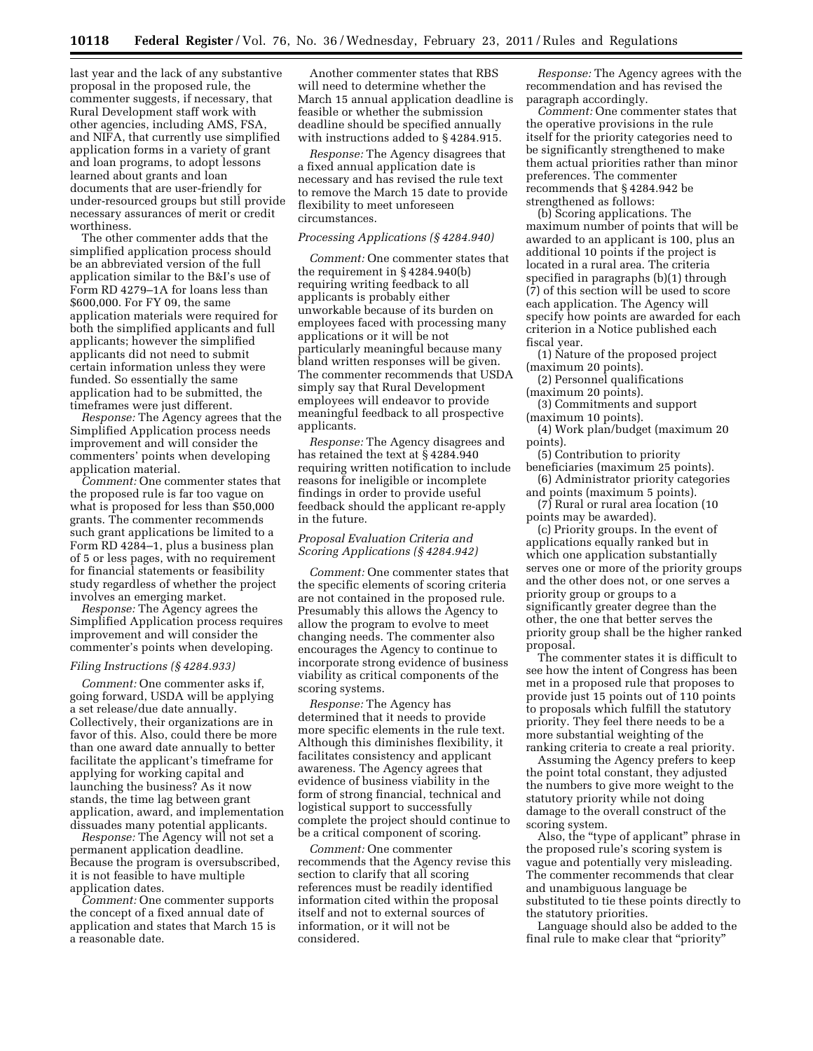last year and the lack of any substantive proposal in the proposed rule, the commenter suggests, if necessary, that Rural Development staff work with other agencies, including AMS, FSA, and NIFA, that currently use simplified application forms in a variety of grant and loan programs, to adopt lessons learned about grants and loan documents that are user-friendly for under-resourced groups but still provide necessary assurances of merit or credit worthiness.

The other commenter adds that the simplified application process should be an abbreviated version of the full application similar to the B&I's use of Form RD 4279–1A for loans less than \$600,000. For FY 09, the same application materials were required for both the simplified applicants and full applicants; however the simplified applicants did not need to submit certain information unless they were funded. So essentially the same application had to be submitted, the timeframes were just different.

*Response:* The Agency agrees that the Simplified Application process needs improvement and will consider the commenters' points when developing application material.

*Comment:* One commenter states that the proposed rule is far too vague on what is proposed for less than \$50,000 grants. The commenter recommends such grant applications be limited to a Form RD 4284–1, plus a business plan of 5 or less pages, with no requirement for financial statements or feasibility study regardless of whether the project involves an emerging market.

*Response:* The Agency agrees the Simplified Application process requires improvement and will consider the commenter's points when developing.

#### *Filing Instructions (§ 4284.933)*

*Comment:* One commenter asks if, going forward, USDA will be applying a set release/due date annually. Collectively, their organizations are in favor of this. Also, could there be more than one award date annually to better facilitate the applicant's timeframe for applying for working capital and launching the business? As it now stands, the time lag between grant application, award, and implementation dissuades many potential applicants.

*Response:* The Agency will not set a permanent application deadline. Because the program is oversubscribed, it is not feasible to have multiple application dates.

*Comment:* One commenter supports the concept of a fixed annual date of application and states that March 15 is a reasonable date.

Another commenter states that RBS will need to determine whether the March 15 annual application deadline is feasible or whether the submission deadline should be specified annually with instructions added to §4284.915.

*Response:* The Agency disagrees that a fixed annual application date is necessary and has revised the rule text to remove the March 15 date to provide flexibility to meet unforeseen circumstances.

#### *Processing Applications (§ 4284.940)*

*Comment:* One commenter states that the requirement in § 4284.940(b) requiring writing feedback to all applicants is probably either unworkable because of its burden on employees faced with processing many applications or it will be not particularly meaningful because many bland written responses will be given. The commenter recommends that USDA simply say that Rural Development employees will endeavor to provide meaningful feedback to all prospective applicants.

*Response:* The Agency disagrees and has retained the text at § 4284.940 requiring written notification to include reasons for ineligible or incomplete findings in order to provide useful feedback should the applicant re-apply in the future.

# *Proposal Evaluation Criteria and Scoring Applications (§ 4284.942)*

*Comment:* One commenter states that the specific elements of scoring criteria are not contained in the proposed rule. Presumably this allows the Agency to allow the program to evolve to meet changing needs. The commenter also encourages the Agency to continue to incorporate strong evidence of business viability as critical components of the scoring systems.

*Response:* The Agency has determined that it needs to provide more specific elements in the rule text. Although this diminishes flexibility, it facilitates consistency and applicant awareness. The Agency agrees that evidence of business viability in the form of strong financial, technical and logistical support to successfully complete the project should continue to be a critical component of scoring.

*Comment:* One commenter recommends that the Agency revise this section to clarify that all scoring references must be readily identified information cited within the proposal itself and not to external sources of information, or it will not be considered.

*Response:* The Agency agrees with the recommendation and has revised the paragraph accordingly.

*Comment:* One commenter states that the operative provisions in the rule itself for the priority categories need to be significantly strengthened to make them actual priorities rather than minor preferences. The commenter recommends that § 4284.942 be strengthened as follows:

(b) Scoring applications. The maximum number of points that will be awarded to an applicant is 100, plus an additional 10 points if the project is located in a rural area. The criteria specified in paragraphs (b)(1) through (7) of this section will be used to score each application. The Agency will specify how points are awarded for each criterion in a Notice published each fiscal year.

(1) Nature of the proposed project (maximum 20 points).

(2) Personnel qualifications (maximum 20 points).

(3) Commitments and support (maximum 10 points).

(4) Work plan/budget (maximum 20 points).

(5) Contribution to priority beneficiaries (maximum 25 points). (6) Administrator priority categories

and points (maximum 5 points). (7) Rural or rural area location (10 points may be awarded).

(c) Priority groups. In the event of applications equally ranked but in which one application substantially serves one or more of the priority groups and the other does not, or one serves a priority group or groups to a significantly greater degree than the other, the one that better serves the priority group shall be the higher ranked proposal.

The commenter states it is difficult to see how the intent of Congress has been met in a proposed rule that proposes to provide just 15 points out of 110 points to proposals which fulfill the statutory priority. They feel there needs to be a more substantial weighting of the ranking criteria to create a real priority.

Assuming the Agency prefers to keep the point total constant, they adjusted the numbers to give more weight to the statutory priority while not doing damage to the overall construct of the scoring system.

Also, the "type of applicant" phrase in the proposed rule's scoring system is vague and potentially very misleading. The commenter recommends that clear and unambiguous language be substituted to tie these points directly to the statutory priorities.

Language should also be added to the final rule to make clear that ''priority''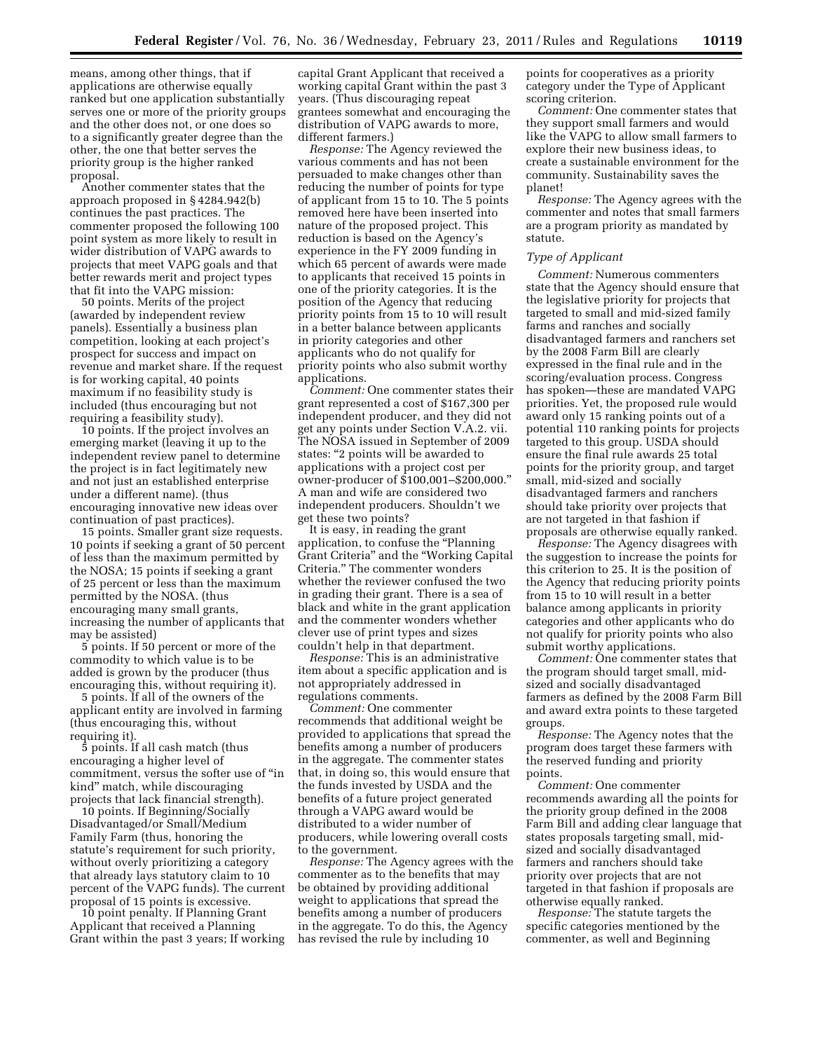means, among other things, that if applications are otherwise equally ranked but one application substantially serves one or more of the priority groups and the other does not, or one does so to a significantly greater degree than the other, the one that better serves the priority group is the higher ranked proposal.

Another commenter states that the approach proposed in § 4284.942(b) continues the past practices. The commenter proposed the following 100 point system as more likely to result in wider distribution of VAPG awards to projects that meet VAPG goals and that better rewards merit and project types that fit into the VAPG mission:

50 points. Merits of the project (awarded by independent review panels). Essentially a business plan competition, looking at each project's prospect for success and impact on revenue and market share. If the request is for working capital, 40 points maximum if no feasibility study is included (thus encouraging but not requiring a feasibility study).

10 points. If the project involves an emerging market (leaving it up to the independent review panel to determine the project is in fact legitimately new and not just an established enterprise under a different name). (thus encouraging innovative new ideas over continuation of past practices).

15 points. Smaller grant size requests. 10 points if seeking a grant of 50 percent of less than the maximum permitted by the NOSA; 15 points if seeking a grant of 25 percent or less than the maximum permitted by the NOSA. (thus encouraging many small grants, increasing the number of applicants that may be assisted)

5 points. If 50 percent or more of the commodity to which value is to be added is grown by the producer (thus encouraging this, without requiring it).

5 points. If all of the owners of the applicant entity are involved in farming (thus encouraging this, without requiring it).

5 points. If all cash match (thus encouraging a higher level of commitment, versus the softer use of ''in kind'' match, while discouraging projects that lack financial strength).

10 points. If Beginning/Socially Disadvantaged/or Small/Medium Family Farm (thus, honoring the statute's requirement for such priority, without overly prioritizing a category that already lays statutory claim to 10 percent of the VAPG funds). The current proposal of 15 points is excessive.

10 point penalty. If Planning Grant Applicant that received a Planning Grant within the past 3 years; If working

capital Grant Applicant that received a working capital Grant within the past 3 years. (Thus discouraging repeat grantees somewhat and encouraging the distribution of VAPG awards to more, different farmers.)

*Response:* The Agency reviewed the various comments and has not been persuaded to make changes other than reducing the number of points for type of applicant from 15 to 10. The 5 points removed here have been inserted into nature of the proposed project. This reduction is based on the Agency's experience in the FY 2009 funding in which 65 percent of awards were made to applicants that received 15 points in one of the priority categories. It is the position of the Agency that reducing priority points from 15 to 10 will result in a better balance between applicants in priority categories and other applicants who do not qualify for priority points who also submit worthy applications.

*Comment:* One commenter states their grant represented a cost of \$167,300 per independent producer, and they did not get any points under Section V.A.2. vii. The NOSA issued in September of 2009 states: ''2 points will be awarded to applications with a project cost per owner-producer of \$100,001–\$200,000.'' A man and wife are considered two independent producers. Shouldn't we get these two points?

It is easy, in reading the grant application, to confuse the ''Planning Grant Criteria'' and the ''Working Capital Criteria.'' The commenter wonders whether the reviewer confused the two in grading their grant. There is a sea of black and white in the grant application and the commenter wonders whether clever use of print types and sizes couldn't help in that department.

*Response:* This is an administrative item about a specific application and is not appropriately addressed in regulations comments.

*Comment:* One commenter recommends that additional weight be provided to applications that spread the benefits among a number of producers in the aggregate. The commenter states that, in doing so, this would ensure that the funds invested by USDA and the benefits of a future project generated through a VAPG award would be distributed to a wider number of producers, while lowering overall costs to the government.

*Response:* The Agency agrees with the commenter as to the benefits that may be obtained by providing additional weight to applications that spread the benefits among a number of producers in the aggregate. To do this, the Agency has revised the rule by including 10

points for cooperatives as a priority category under the Type of Applicant scoring criterion.

*Comment:* One commenter states that they support small farmers and would like the VAPG to allow small farmers to explore their new business ideas, to create a sustainable environment for the community. Sustainability saves the planet!

*Response:* The Agency agrees with the commenter and notes that small farmers are a program priority as mandated by statute.

#### *Type of Applicant*

*Comment:* Numerous commenters state that the Agency should ensure that the legislative priority for projects that targeted to small and mid-sized family farms and ranches and socially disadvantaged farmers and ranchers set by the 2008 Farm Bill are clearly expressed in the final rule and in the scoring/evaluation process. Congress has spoken—these are mandated VAPG priorities. Yet, the proposed rule would award only 15 ranking points out of a potential 110 ranking points for projects targeted to this group. USDA should ensure the final rule awards 25 total points for the priority group, and target small, mid-sized and socially disadvantaged farmers and ranchers should take priority over projects that are not targeted in that fashion if proposals are otherwise equally ranked.

*Response:* The Agency disagrees with the suggestion to increase the points for this criterion to 25. It is the position of the Agency that reducing priority points from 15 to 10 will result in a better balance among applicants in priority categories and other applicants who do not qualify for priority points who also submit worthy applications.

*Comment:* One commenter states that the program should target small, midsized and socially disadvantaged farmers as defined by the 2008 Farm Bill and award extra points to these targeted groups.

*Response:* The Agency notes that the program does target these farmers with the reserved funding and priority points.

*Comment:* One commenter recommends awarding all the points for the priority group defined in the 2008 Farm Bill and adding clear language that states proposals targeting small, midsized and socially disadvantaged farmers and ranchers should take priority over projects that are not targeted in that fashion if proposals are otherwise equally ranked.

*Response:* The statute targets the specific categories mentioned by the commenter, as well and Beginning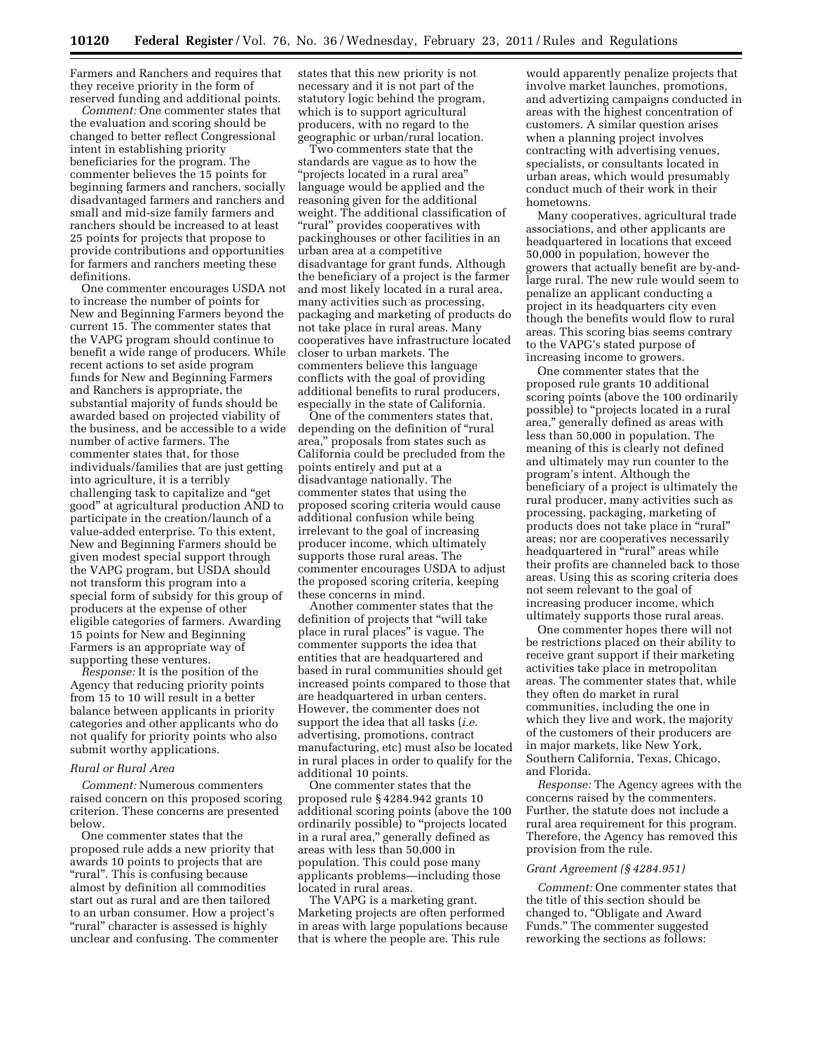Farmers and Ranchers and requires that they receive priority in the form of reserved funding and additional points.

*Comment:* One commenter states that the evaluation and scoring should be changed to better reflect Congressional intent in establishing priority beneficiaries for the program. The commenter believes the 15 points for beginning farmers and ranchers, socially disadvantaged farmers and ranchers and small and mid-size family farmers and ranchers should be increased to at least 25 points for projects that propose to provide contributions and opportunities for farmers and ranchers meeting these definitions.

One commenter encourages USDA not to increase the number of points for New and Beginning Farmers beyond the current 15. The commenter states that the VAPG program should continue to benefit a wide range of producers. While recent actions to set aside program funds for New and Beginning Farmers and Ranchers is appropriate, the substantial majority of funds should be awarded based on projected viability of the business, and be accessible to a wide number of active farmers. The commenter states that, for those individuals/families that are just getting into agriculture, it is a terribly challenging task to capitalize and ''get good'' at agricultural production AND to participate in the creation/launch of a value-added enterprise. To this extent, New and Beginning Farmers should be given modest special support through the VAPG program, but USDA should not transform this program into a special form of subsidy for this group of producers at the expense of other eligible categories of farmers. Awarding 15 points for New and Beginning Farmers is an appropriate way of supporting these ventures.

*Response:* It is the position of the Agency that reducing priority points from 15 to 10 will result in a better balance between applicants in priority categories and other applicants who do not qualify for priority points who also submit worthy applications.

# *Rural or Rural Area*

*Comment:* Numerous commenters raised concern on this proposed scoring criterion. These concerns are presented below.

One commenter states that the proposed rule adds a new priority that awards 10 points to projects that are ''rural''. This is confusing because almost by definition all commodities start out as rural and are then tailored to an urban consumer. How a project's "rural" character is assessed is highly unclear and confusing. The commenter states that this new priority is not necessary and it is not part of the statutory logic behind the program, which is to support agricultural producers, with no regard to the geographic or urban/rural location.

Two commenters state that the standards are vague as to how the ''projects located in a rural area'' language would be applied and the reasoning given for the additional weight. The additional classification of "rural" provides cooperatives with packinghouses or other facilities in an urban area at a competitive disadvantage for grant funds. Although the beneficiary of a project is the farmer and most likely located in a rural area, many activities such as processing, packaging and marketing of products do not take place in rural areas. Many cooperatives have infrastructure located closer to urban markets. The commenters believe this language conflicts with the goal of providing additional benefits to rural producers, especially in the state of California.

One of the commenters states that, depending on the definition of "rural area,'' proposals from states such as California could be precluded from the points entirely and put at a disadvantage nationally. The commenter states that using the proposed scoring criteria would cause additional confusion while being irrelevant to the goal of increasing producer income, which ultimately supports those rural areas. The commenter encourages USDA to adjust the proposed scoring criteria, keeping these concerns in mind.

Another commenter states that the definition of projects that ''will take place in rural places'' is vague. The commenter supports the idea that entities that are headquartered and based in rural communities should get increased points compared to those that are headquartered in urban centers. However, the commenter does not support the idea that all tasks (*i.e.*  advertising, promotions, contract manufacturing, etc) must also be located in rural places in order to qualify for the additional 10 points.

One commenter states that the proposed rule § 4284.942 grants 10 additional scoring points (above the 100 ordinarily possible) to ''projects located in a rural area,'' generally defined as areas with less than 50,000 in population. This could pose many applicants problems—including those located in rural areas.

The VAPG is a marketing grant. Marketing projects are often performed in areas with large populations because that is where the people are. This rule

would apparently penalize projects that involve market launches, promotions, and advertizing campaigns conducted in areas with the highest concentration of customers. A similar question arises when a planning project involves contracting with advertising venues, specialists, or consultants located in urban areas, which would presumably conduct much of their work in their hometowns.

Many cooperatives, agricultural trade associations, and other applicants are headquartered in locations that exceed 50,000 in population, however the growers that actually benefit are by-andlarge rural. The new rule would seem to penalize an applicant conducting a project in its headquarters city even though the benefits would flow to rural areas. This scoring bias seems contrary to the VAPG's stated purpose of increasing income to growers.

One commenter states that the proposed rule grants 10 additional scoring points (above the 100 ordinarily possible) to ''projects located in a rural area,'' generally defined as areas with less than 50,000 in population. The meaning of this is clearly not defined and ultimately may run counter to the program's intent. Although the beneficiary of a project is ultimately the rural producer, many activities such as processing, packaging, marketing of products does not take place in "rural" areas; nor are cooperatives necessarily headquartered in "rural" areas while their profits are channeled back to those areas. Using this as scoring criteria does not seem relevant to the goal of increasing producer income, which ultimately supports those rural areas.

One commenter hopes there will not be restrictions placed on their ability to receive grant support if their marketing activities take place in metropolitan areas. The commenter states that, while they often do market in rural communities, including the one in which they live and work, the majority of the customers of their producers are in major markets, like New York, Southern California, Texas, Chicago, and Florida.

*Response:* The Agency agrees with the concerns raised by the commenters. Further, the statute does not include a rural area requirement for this program. Therefore, the Agency has removed this provision from the rule.

## *Grant Agreement (§ 4284.951)*

*Comment:* One commenter states that the title of this section should be changed to, ''Obligate and Award Funds.'' The commenter suggested reworking the sections as follows: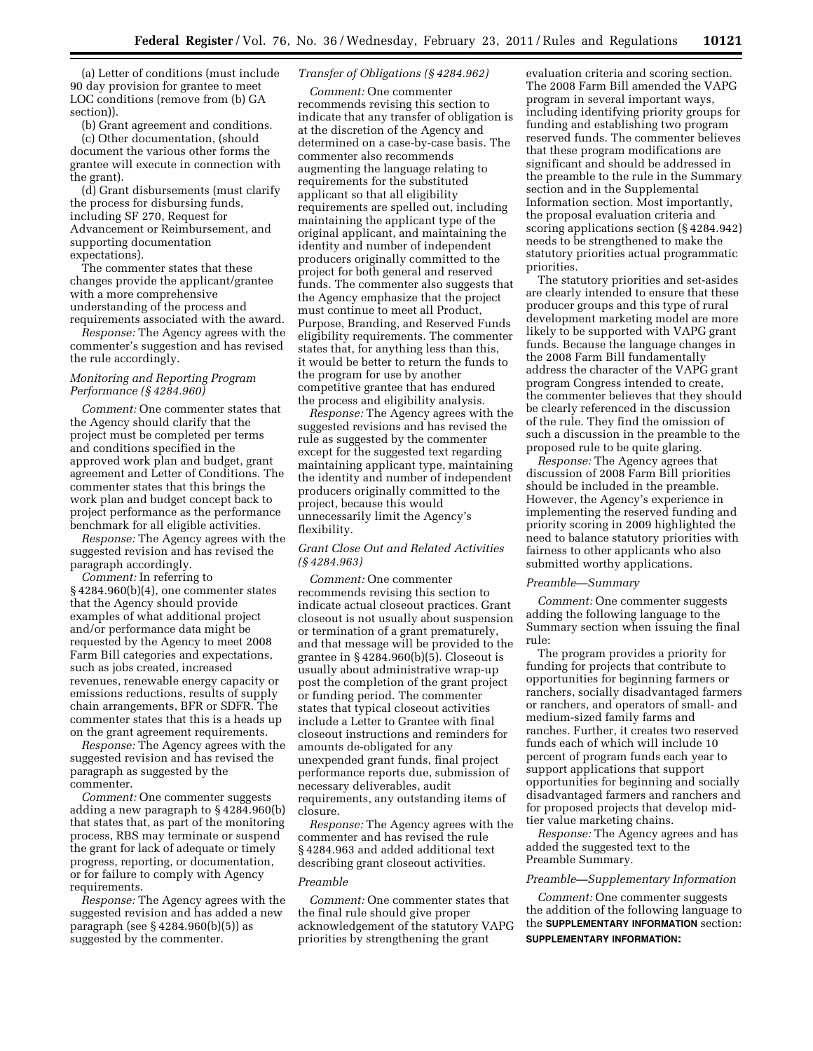(a) Letter of conditions (must include 90 day provision for grantee to meet LOC conditions (remove from (b) GA section)).

(b) Grant agreement and conditions. (c) Other documentation, (should document the various other forms the grantee will execute in connection with the grant).

(d) Grant disbursements (must clarify the process for disbursing funds, including SF 270, Request for Advancement or Reimbursement, and supporting documentation expectations).

The commenter states that these changes provide the applicant/grantee with a more comprehensive understanding of the process and requirements associated with the award.

*Response:* The Agency agrees with the commenter's suggestion and has revised the rule accordingly.

# *Monitoring and Reporting Program Performance (§ 4284.960)*

*Comment:* One commenter states that the Agency should clarify that the project must be completed per terms and conditions specified in the approved work plan and budget, grant agreement and Letter of Conditions. The commenter states that this brings the work plan and budget concept back to project performance as the performance benchmark for all eligible activities.

*Response:* The Agency agrees with the suggested revision and has revised the paragraph accordingly.

*Comment:* In referring to § 4284.960(b)(4), one commenter states that the Agency should provide examples of what additional project and/or performance data might be requested by the Agency to meet 2008 Farm Bill categories and expectations, such as jobs created, increased revenues, renewable energy capacity or emissions reductions, results of supply chain arrangements, BFR or SDFR. The commenter states that this is a heads up on the grant agreement requirements.

*Response:* The Agency agrees with the suggested revision and has revised the paragraph as suggested by the commenter.

*Comment:* One commenter suggests adding a new paragraph to § 4284.960(b) that states that, as part of the monitoring process, RBS may terminate or suspend the grant for lack of adequate or timely progress, reporting, or documentation, or for failure to comply with Agency requirements.

*Response:* The Agency agrees with the suggested revision and has added a new paragraph (see § 4284.960(b)(5)) as suggested by the commenter.

# *Transfer of Obligations (§ 4284.962)*

*Comment:* One commenter recommends revising this section to indicate that any transfer of obligation is at the discretion of the Agency and determined on a case-by-case basis. The commenter also recommends augmenting the language relating to requirements for the substituted applicant so that all eligibility requirements are spelled out, including maintaining the applicant type of the original applicant, and maintaining the identity and number of independent producers originally committed to the project for both general and reserved funds. The commenter also suggests that the Agency emphasize that the project must continue to meet all Product, Purpose, Branding, and Reserved Funds eligibility requirements. The commenter states that, for anything less than this, it would be better to return the funds to the program for use by another competitive grantee that has endured the process and eligibility analysis.

*Response:* The Agency agrees with the suggested revisions and has revised the rule as suggested by the commenter except for the suggested text regarding maintaining applicant type, maintaining the identity and number of independent producers originally committed to the project, because this would unnecessarily limit the Agency's flexibility.

# *Grant Close Out and Related Activities (§ 4284.963)*

*Comment:* One commenter recommends revising this section to indicate actual closeout practices. Grant closeout is not usually about suspension or termination of a grant prematurely, and that message will be provided to the grantee in § 4284.960(b)(5). Closeout is usually about administrative wrap-up post the completion of the grant project or funding period. The commenter states that typical closeout activities include a Letter to Grantee with final closeout instructions and reminders for amounts de-obligated for any unexpended grant funds, final project performance reports due, submission of necessary deliverables, audit requirements, any outstanding items of closure.

*Response:* The Agency agrees with the commenter and has revised the rule § 4284.963 and added additional text describing grant closeout activities.

### *Preamble*

*Comment:* One commenter states that the final rule should give proper acknowledgement of the statutory VAPG priorities by strengthening the grant

evaluation criteria and scoring section. The 2008 Farm Bill amended the VAPG program in several important ways, including identifying priority groups for funding and establishing two program reserved funds. The commenter believes that these program modifications are significant and should be addressed in the preamble to the rule in the Summary section and in the Supplemental Information section. Most importantly, the proposal evaluation criteria and scoring applications section (§ 4284.942) needs to be strengthened to make the statutory priorities actual programmatic priorities.

The statutory priorities and set-asides are clearly intended to ensure that these producer groups and this type of rural development marketing model are more likely to be supported with VAPG grant funds. Because the language changes in the 2008 Farm Bill fundamentally address the character of the VAPG grant program Congress intended to create, the commenter believes that they should be clearly referenced in the discussion of the rule. They find the omission of such a discussion in the preamble to the proposed rule to be quite glaring.

*Response:* The Agency agrees that discussion of 2008 Farm Bill priorities should be included in the preamble. However, the Agency's experience in implementing the reserved funding and priority scoring in 2009 highlighted the need to balance statutory priorities with fairness to other applicants who also submitted worthy applications.

#### *Preamble—Summary*

*Comment:* One commenter suggests adding the following language to the Summary section when issuing the final rule:

The program provides a priority for funding for projects that contribute to opportunities for beginning farmers or ranchers, socially disadvantaged farmers or ranchers, and operators of small- and medium-sized family farms and ranches. Further, it creates two reserved funds each of which will include 10 percent of program funds each year to support applications that support opportunities for beginning and socially disadvantaged farmers and ranchers and for proposed projects that develop midtier value marketing chains.

*Response:* The Agency agrees and has added the suggested text to the Preamble Summary.

# *Preamble—Supplementary Information*

*Comment:* One commenter suggests the addition of the following language to the **SUPPLEMENTARY INFORMATION** section: **SUPPLEMENTARY INFORMATION:**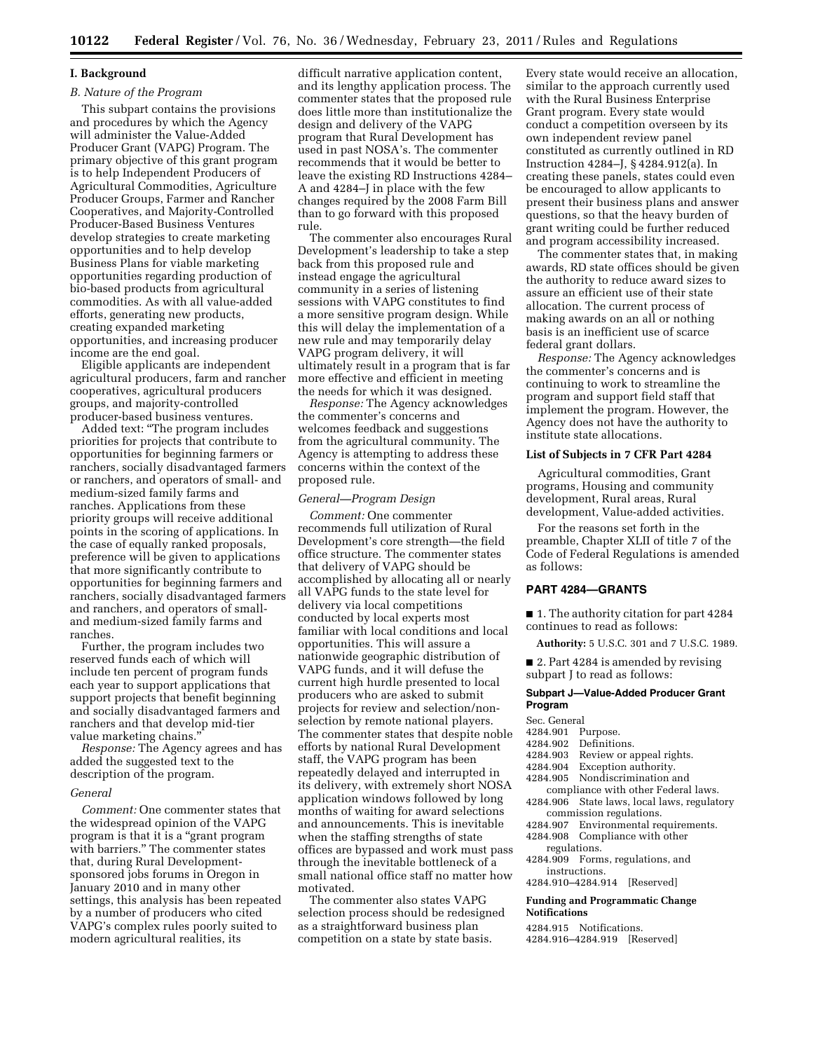#### **I. Background**

# *B. Nature of the Program*

This subpart contains the provisions and procedures by which the Agency will administer the Value-Added Producer Grant (VAPG) Program. The primary objective of this grant program is to help Independent Producers of Agricultural Commodities, Agriculture Producer Groups, Farmer and Rancher Cooperatives, and Majority-Controlled Producer-Based Business Ventures develop strategies to create marketing opportunities and to help develop Business Plans for viable marketing opportunities regarding production of bio-based products from agricultural commodities. As with all value-added efforts, generating new products, creating expanded marketing opportunities, and increasing producer income are the end goal.

Eligible applicants are independent agricultural producers, farm and rancher cooperatives, agricultural producers groups, and majority-controlled producer-based business ventures.

Added text: ''The program includes priorities for projects that contribute to opportunities for beginning farmers or ranchers, socially disadvantaged farmers or ranchers, and operators of small- and medium-sized family farms and ranches. Applications from these priority groups will receive additional points in the scoring of applications. In the case of equally ranked proposals, preference will be given to applications that more significantly contribute to opportunities for beginning farmers and ranchers, socially disadvantaged farmers and ranchers, and operators of smalland medium-sized family farms and ranches.

Further, the program includes two reserved funds each of which will include ten percent of program funds each year to support applications that support projects that benefit beginning and socially disadvantaged farmers and ranchers and that develop mid-tier value marketing chains.''

*Response:* The Agency agrees and has added the suggested text to the description of the program.

#### *General*

*Comment:* One commenter states that the widespread opinion of the VAPG program is that it is a ''grant program with barriers.'' The commenter states that, during Rural Developmentsponsored jobs forums in Oregon in January 2010 and in many other settings, this analysis has been repeated by a number of producers who cited VAPG's complex rules poorly suited to modern agricultural realities, its

difficult narrative application content, and its lengthy application process. The commenter states that the proposed rule does little more than institutionalize the design and delivery of the VAPG program that Rural Development has used in past NOSA's. The commenter recommends that it would be better to leave the existing RD Instructions 4284– A and 4284–J in place with the few changes required by the 2008 Farm Bill than to go forward with this proposed rule.

The commenter also encourages Rural Development's leadership to take a step back from this proposed rule and instead engage the agricultural community in a series of listening sessions with VAPG constitutes to find a more sensitive program design. While this will delay the implementation of a new rule and may temporarily delay VAPG program delivery, it will ultimately result in a program that is far more effective and efficient in meeting the needs for which it was designed.

*Response:* The Agency acknowledges the commenter's concerns and welcomes feedback and suggestions from the agricultural community. The Agency is attempting to address these concerns within the context of the proposed rule.

### *General—Program Design*

*Comment:* One commenter recommends full utilization of Rural Development's core strength—the field office structure. The commenter states that delivery of VAPG should be accomplished by allocating all or nearly all VAPG funds to the state level for delivery via local competitions conducted by local experts most familiar with local conditions and local opportunities. This will assure a nationwide geographic distribution of VAPG funds, and it will defuse the current high hurdle presented to local producers who are asked to submit projects for review and selection/nonselection by remote national players. The commenter states that despite noble efforts by national Rural Development staff, the VAPG program has been repeatedly delayed and interrupted in its delivery, with extremely short NOSA application windows followed by long months of waiting for award selections and announcements. This is inevitable when the staffing strengths of state offices are bypassed and work must pass through the inevitable bottleneck of a small national office staff no matter how motivated.

The commenter also states VAPG selection process should be redesigned as a straightforward business plan competition on a state by state basis.

Every state would receive an allocation, similar to the approach currently used with the Rural Business Enterprise Grant program. Every state would conduct a competition overseen by its own independent review panel constituted as currently outlined in RD Instruction 4284–J, § 4284.912(a). In creating these panels, states could even be encouraged to allow applicants to present their business plans and answer questions, so that the heavy burden of grant writing could be further reduced and program accessibility increased.

The commenter states that, in making awards, RD state offices should be given the authority to reduce award sizes to assure an efficient use of their state allocation. The current process of making awards on an all or nothing basis is an inefficient use of scarce federal grant dollars.

*Response:* The Agency acknowledges the commenter's concerns and is continuing to work to streamline the program and support field staff that implement the program. However, the Agency does not have the authority to institute state allocations.

## **List of Subjects in 7 CFR Part 4284**

Agricultural commodities, Grant programs, Housing and community development, Rural areas, Rural development, Value-added activities.

For the reasons set forth in the preamble, Chapter XLII of title 7 of the Code of Federal Regulations is amended as follows:

# **PART 4284—GRANTS**

■ 1. The authority citation for part 4284 continues to read as follows:

**Authority:** 5 U.S.C. 301 and 7 U.S.C. 1989.

■ 2. Part 4284 is amended by revising subpart J to read as follows:

#### **Subpart J—Value-Added Producer Grant Program**

Sec. General

4284.901 Purpose.

| 4284.902 | Definitions. |  |
|----------|--------------|--|
|          |              |  |

- 4284.903 Review or appeal rights.
- 
- 4284.904 Exception authority.<br>4284.905 Nondiscrimination a Nondiscrimination and
	- compliance with other Federal laws.
- 4284.906 State laws, local laws, regulatory commission regulations.
- 4284.907 Environmental requirements. 4284.908 Compliance with other regulations.
- 4284.909 Forms, regulations, and instructions.
- 4284.910–4284.914 [Reserved]

### **Funding and Programmatic Change Notifications**

4284.915 Notifications. 4284.916–4284.919 [Reserved]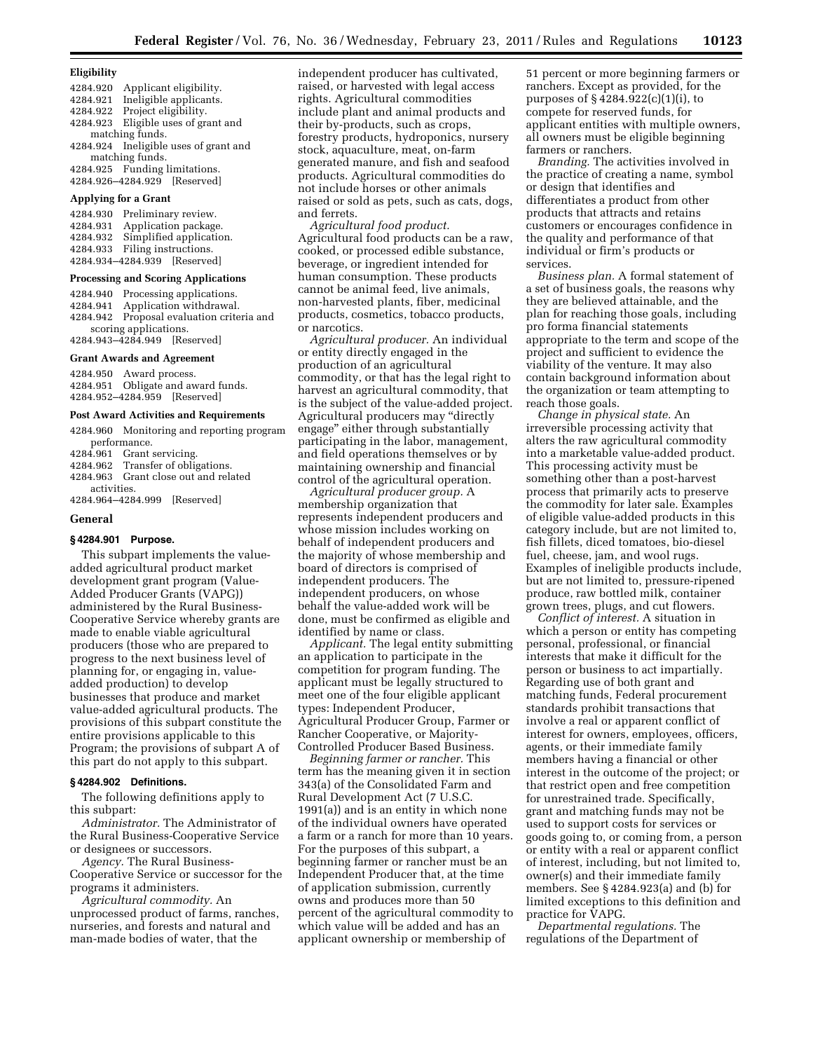### **Eligibility**

- 4284.920 Applicant eligibility. 4284.921 Ineligible applicants.
- 4284.922 Project eligibility. 4284.923 Eligible uses of grant and
- matching funds. 4284.924 Ineligible uses of grant and

matching funds. 4284.925 Funding limitations. 4284.926–4284.929 [Reserved]

#### **Applying for a Grant**

4284.930 Preliminary review. Application package. 4284.932 Simplified application. 4284.933 Filing instructions. 4284.934–4284.939 [Reserved]

#### **Processing and Scoring Applications**

4284.940 Processing applications. 4284.941 Application withdrawal. 4284.942 Proposal evaluation criteria and scoring applications. 4284.943–4284.949 [Reserved]

## **Grant Awards and Agreement**

4284.950 Award process. 4284.951 Obligate and award funds. 4284.952–4284.959 [Reserved]

#### **Post Award Activities and Requirements**

4284.960 Monitoring and reporting program performance. 4284.961 Grant servicing.

4284.962 Transfer of obligations.

4284.963 Grant close out and related activities.

4284.964–4284.999 [Reserved]

#### **General**

### **§ 4284.901 Purpose.**

This subpart implements the valueadded agricultural product market development grant program (Value-Added Producer Grants (VAPG)) administered by the Rural Business-Cooperative Service whereby grants are made to enable viable agricultural producers (those who are prepared to progress to the next business level of planning for, or engaging in, valueadded production) to develop businesses that produce and market value-added agricultural products. The provisions of this subpart constitute the entire provisions applicable to this Program; the provisions of subpart A of this part do not apply to this subpart.

### **§ 4284.902 Definitions.**

The following definitions apply to this subpart:

*Administrator.* The Administrator of the Rural Business-Cooperative Service or designees or successors.

*Agency.* The Rural Business-Cooperative Service or successor for the programs it administers.

*Agricultural commodity.* An unprocessed product of farms, ranches, nurseries, and forests and natural and man-made bodies of water, that the

independent producer has cultivated, raised, or harvested with legal access rights. Agricultural commodities include plant and animal products and their by-products, such as crops, forestry products, hydroponics, nursery stock, aquaculture, meat, on-farm generated manure, and fish and seafood products. Agricultural commodities do not include horses or other animals raised or sold as pets, such as cats, dogs, and ferrets.

*Agricultural food product.*  Agricultural food products can be a raw, cooked, or processed edible substance, beverage, or ingredient intended for human consumption. These products cannot be animal feed, live animals, non-harvested plants, fiber, medicinal products, cosmetics, tobacco products, or narcotics.

*Agricultural producer.* An individual or entity directly engaged in the production of an agricultural commodity, or that has the legal right to harvest an agricultural commodity, that is the subject of the value-added project. Agricultural producers may ''directly engage'' either through substantially participating in the labor, management, and field operations themselves or by maintaining ownership and financial control of the agricultural operation.

*Agricultural producer group.* A membership organization that represents independent producers and whose mission includes working on behalf of independent producers and the majority of whose membership and board of directors is comprised of independent producers. The independent producers, on whose behalf the value-added work will be done, must be confirmed as eligible and identified by name or class.

*Applicant.* The legal entity submitting an application to participate in the competition for program funding. The applicant must be legally structured to meet one of the four eligible applicant types: Independent Producer, Agricultural Producer Group, Farmer or Rancher Cooperative, or Majority-Controlled Producer Based Business.

*Beginning farmer or rancher.* This term has the meaning given it in section 343(a) of the Consolidated Farm and Rural Development Act (7 U.S.C. 1991(a)) and is an entity in which none of the individual owners have operated a farm or a ranch for more than 10 years. For the purposes of this subpart, a beginning farmer or rancher must be an Independent Producer that, at the time of application submission, currently owns and produces more than 50 percent of the agricultural commodity to which value will be added and has an applicant ownership or membership of

51 percent or more beginning farmers or ranchers. Except as provided, for the purposes of § 4284.922(c)(1)(i), to compete for reserved funds, for applicant entities with multiple owners, all owners must be eligible beginning farmers or ranchers.

*Branding.* The activities involved in the practice of creating a name, symbol or design that identifies and differentiates a product from other products that attracts and retains customers or encourages confidence in the quality and performance of that individual or firm's products or services.

*Business plan.* A formal statement of a set of business goals, the reasons why they are believed attainable, and the plan for reaching those goals, including pro forma financial statements appropriate to the term and scope of the project and sufficient to evidence the viability of the venture. It may also contain background information about the organization or team attempting to reach those goals.

*Change in physical state.* An irreversible processing activity that alters the raw agricultural commodity into a marketable value-added product. This processing activity must be something other than a post-harvest process that primarily acts to preserve the commodity for later sale. Examples of eligible value-added products in this category include, but are not limited to, fish fillets, diced tomatoes, bio-diesel fuel, cheese, jam, and wool rugs. Examples of ineligible products include, but are not limited to, pressure-ripened produce, raw bottled milk, container grown trees, plugs, and cut flowers.

*Conflict of interest.* A situation in which a person or entity has competing personal, professional, or financial interests that make it difficult for the person or business to act impartially. Regarding use of both grant and matching funds, Federal procurement standards prohibit transactions that involve a real or apparent conflict of interest for owners, employees, officers, agents, or their immediate family members having a financial or other interest in the outcome of the project; or that restrict open and free competition for unrestrained trade. Specifically, grant and matching funds may not be used to support costs for services or goods going to, or coming from, a person or entity with a real or apparent conflict of interest, including, but not limited to, owner(s) and their immediate family members. See § 4284.923(a) and (b) for limited exceptions to this definition and practice for VAPG.

*Departmental regulations.* The regulations of the Department of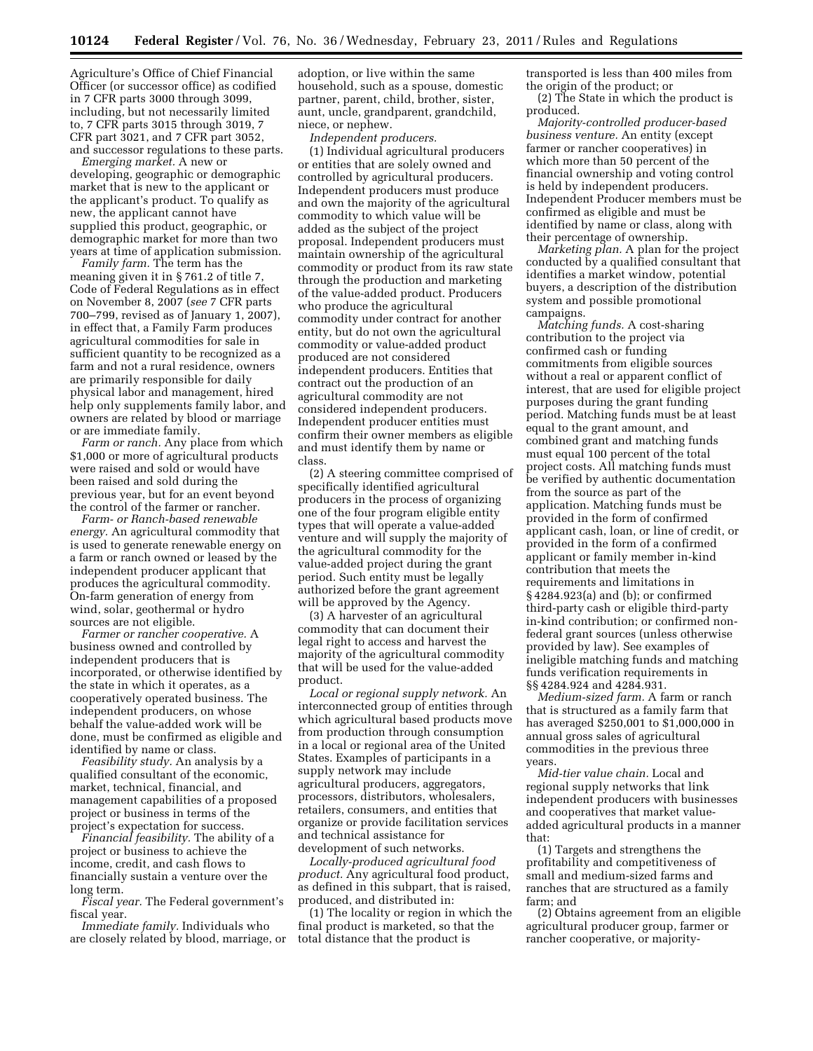Agriculture's Office of Chief Financial Officer (or successor office) as codified in 7 CFR parts 3000 through 3099, including, but not necessarily limited to, 7 CFR parts 3015 through 3019, 7 CFR part 3021, and 7 CFR part 3052, and successor regulations to these parts.

*Emerging market.* A new or developing, geographic or demographic market that is new to the applicant or the applicant's product. To qualify as new, the applicant cannot have supplied this product, geographic, or demographic market for more than two years at time of application submission.

*Family farm.* The term has the meaning given it in § 761.2 of title 7, Code of Federal Regulations as in effect on November 8, 2007 (*see* 7 CFR parts 700–799, revised as of January 1, 2007), in effect that, a Family Farm produces agricultural commodities for sale in sufficient quantity to be recognized as a farm and not a rural residence, owners are primarily responsible for daily physical labor and management, hired help only supplements family labor, and owners are related by blood or marriage or are immediate family.

*Farm or ranch.* Any place from which \$1,000 or more of agricultural products were raised and sold or would have been raised and sold during the previous year, but for an event beyond the control of the farmer or rancher.

*Farm- or Ranch-based renewable energy.* An agricultural commodity that is used to generate renewable energy on a farm or ranch owned or leased by the independent producer applicant that produces the agricultural commodity. On-farm generation of energy from wind, solar, geothermal or hydro sources are not eligible.

*Farmer or rancher cooperative.* A business owned and controlled by independent producers that is incorporated, or otherwise identified by the state in which it operates, as a cooperatively operated business. The independent producers, on whose behalf the value-added work will be done, must be confirmed as eligible and identified by name or class.

*Feasibility study.* An analysis by a qualified consultant of the economic, market, technical, financial, and management capabilities of a proposed project or business in terms of the project's expectation for success.

*Financial feasibility.* The ability of a project or business to achieve the income, credit, and cash flows to financially sustain a venture over the long term.

*Fiscal year.* The Federal government's fiscal year.

*Immediate family.* Individuals who are closely related by blood, marriage, or adoption, or live within the same household, such as a spouse, domestic partner, parent, child, brother, sister, aunt, uncle, grandparent, grandchild, niece, or nephew.

*Independent producers.* 

(1) Individual agricultural producers or entities that are solely owned and controlled by agricultural producers. Independent producers must produce and own the majority of the agricultural commodity to which value will be added as the subject of the project proposal. Independent producers must maintain ownership of the agricultural commodity or product from its raw state through the production and marketing of the value-added product. Producers who produce the agricultural commodity under contract for another entity, but do not own the agricultural commodity or value-added product produced are not considered independent producers. Entities that contract out the production of an agricultural commodity are not considered independent producers. Independent producer entities must confirm their owner members as eligible and must identify them by name or class.

(2) A steering committee comprised of specifically identified agricultural producers in the process of organizing one of the four program eligible entity types that will operate a value-added venture and will supply the majority of the agricultural commodity for the value-added project during the grant period. Such entity must be legally authorized before the grant agreement will be approved by the Agency.

(3) A harvester of an agricultural commodity that can document their legal right to access and harvest the majority of the agricultural commodity that will be used for the value-added product.

*Local or regional supply network.* An interconnected group of entities through which agricultural based products move from production through consumption in a local or regional area of the United States. Examples of participants in a supply network may include agricultural producers, aggregators, processors, distributors, wholesalers, retailers, consumers, and entities that organize or provide facilitation services and technical assistance for development of such networks.

*Locally-produced agricultural food product.* Any agricultural food product, as defined in this subpart, that is raised, produced, and distributed in:

(1) The locality or region in which the final product is marketed, so that the total distance that the product is

transported is less than 400 miles from the origin of the product; or

(2) The State in which the product is produced.

*Majority-controlled producer-based business venture.* An entity (except farmer or rancher cooperatives) in which more than 50 percent of the financial ownership and voting control is held by independent producers. Independent Producer members must be confirmed as eligible and must be identified by name or class, along with their percentage of ownership.

*Marketing plan.* A plan for the project conducted by a qualified consultant that identifies a market window, potential buyers, a description of the distribution system and possible promotional campaigns.

*Matching funds.* A cost-sharing contribution to the project via confirmed cash or funding commitments from eligible sources without a real or apparent conflict of interest, that are used for eligible project purposes during the grant funding period. Matching funds must be at least equal to the grant amount, and combined grant and matching funds must equal 100 percent of the total project costs. All matching funds must be verified by authentic documentation from the source as part of the application. Matching funds must be provided in the form of confirmed applicant cash, loan, or line of credit, or provided in the form of a confirmed applicant or family member in-kind contribution that meets the requirements and limitations in § 4284.923(a) and (b); or confirmed third-party cash or eligible third-party in-kind contribution; or confirmed nonfederal grant sources (unless otherwise provided by law). See examples of ineligible matching funds and matching funds verification requirements in §§ 4284.924 and 4284.931.

*Medium-sized farm.* A farm or ranch that is structured as a family farm that has averaged \$250,001 to \$1,000,000 in annual gross sales of agricultural commodities in the previous three years.

*Mid-tier value chain.* Local and regional supply networks that link independent producers with businesses and cooperatives that market valueadded agricultural products in a manner that:

(1) Targets and strengthens the profitability and competitiveness of small and medium-sized farms and ranches that are structured as a family farm; and

(2) Obtains agreement from an eligible agricultural producer group, farmer or rancher cooperative, or majority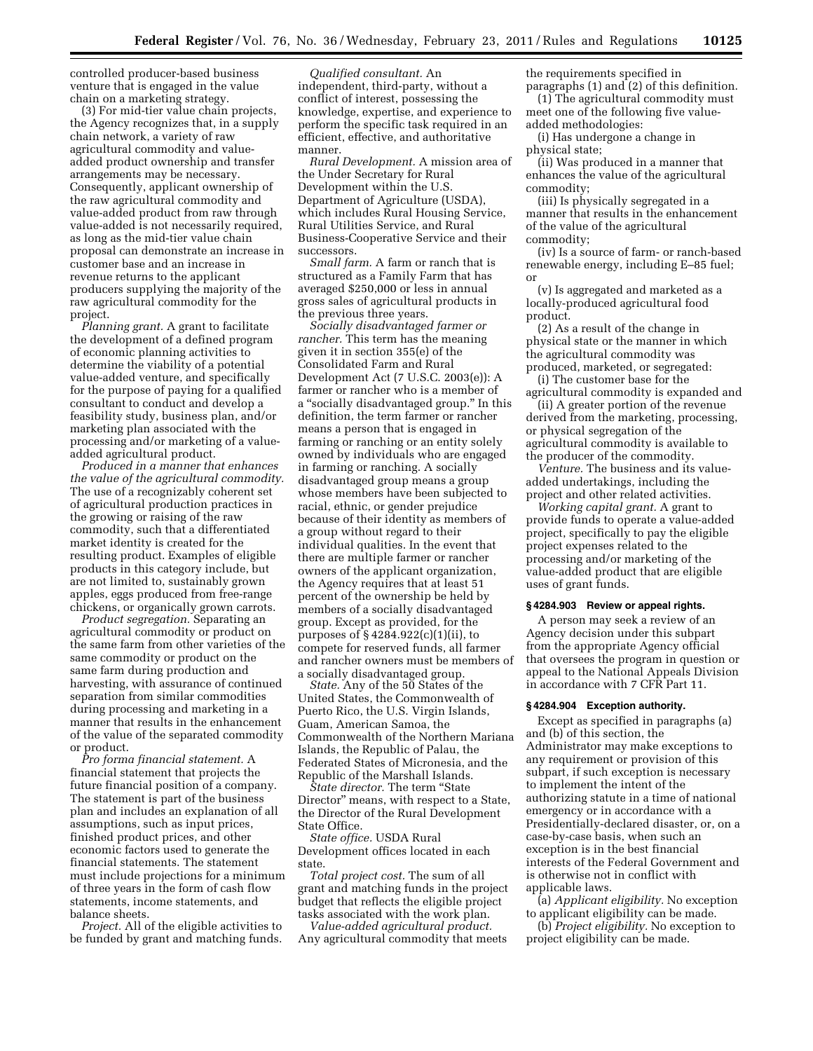controlled producer-based business venture that is engaged in the value chain on a marketing strategy.

(3) For mid-tier value chain projects, the Agency recognizes that, in a supply chain network, a variety of raw agricultural commodity and valueadded product ownership and transfer arrangements may be necessary. Consequently, applicant ownership of the raw agricultural commodity and value-added product from raw through value-added is not necessarily required, as long as the mid-tier value chain proposal can demonstrate an increase in customer base and an increase in revenue returns to the applicant producers supplying the majority of the raw agricultural commodity for the project.

*Planning grant.* A grant to facilitate the development of a defined program of economic planning activities to determine the viability of a potential value-added venture, and specifically for the purpose of paying for a qualified consultant to conduct and develop a feasibility study, business plan, and/or marketing plan associated with the processing and/or marketing of a valueadded agricultural product.

*Produced in a manner that enhances the value of the agricultural commodity.*  The use of a recognizably coherent set of agricultural production practices in the growing or raising of the raw commodity, such that a differentiated market identity is created for the resulting product. Examples of eligible products in this category include, but are not limited to, sustainably grown apples, eggs produced from free-range chickens, or organically grown carrots.

*Product segregation.* Separating an agricultural commodity or product on the same farm from other varieties of the same commodity or product on the same farm during production and harvesting, with assurance of continued separation from similar commodities during processing and marketing in a manner that results in the enhancement of the value of the separated commodity or product.

*Pro forma financial statement.* A financial statement that projects the future financial position of a company. The statement is part of the business plan and includes an explanation of all assumptions, such as input prices, finished product prices, and other economic factors used to generate the financial statements. The statement must include projections for a minimum of three years in the form of cash flow statements, income statements, and balance sheets.

*Project.* All of the eligible activities to be funded by grant and matching funds.

*Qualified consultant.* An independent, third-party, without a conflict of interest, possessing the knowledge, expertise, and experience to perform the specific task required in an efficient, effective, and authoritative manner.

*Rural Development.* A mission area of the Under Secretary for Rural Development within the U.S. Department of Agriculture (USDA), which includes Rural Housing Service, Rural Utilities Service, and Rural Business-Cooperative Service and their successors.

*Small farm.* A farm or ranch that is structured as a Family Farm that has averaged \$250,000 or less in annual gross sales of agricultural products in the previous three years.

*Socially disadvantaged farmer or rancher.* This term has the meaning given it in section 355(e) of the Consolidated Farm and Rural Development Act (7 U.S.C. 2003(e)): A farmer or rancher who is a member of a ''socially disadvantaged group.'' In this definition, the term farmer or rancher means a person that is engaged in farming or ranching or an entity solely owned by individuals who are engaged in farming or ranching. A socially disadvantaged group means a group whose members have been subjected to racial, ethnic, or gender prejudice because of their identity as members of a group without regard to their individual qualities. In the event that there are multiple farmer or rancher owners of the applicant organization, the Agency requires that at least 51 percent of the ownership be held by members of a socially disadvantaged group. Except as provided, for the purposes of § 4284.922(c)(1)(ii), to compete for reserved funds, all farmer and rancher owners must be members of a socially disadvantaged group.

*State.* Any of the 50 States of the United States, the Commonwealth of Puerto Rico, the U.S. Virgin Islands, Guam, American Samoa, the Commonwealth of the Northern Mariana Islands, the Republic of Palau, the Federated States of Micronesia, and the Republic of the Marshall Islands.

*State director.* The term ''State Director'' means, with respect to a State, the Director of the Rural Development State Office.

*State office.* USDA Rural Development offices located in each state.

*Total project cost.* The sum of all grant and matching funds in the project budget that reflects the eligible project tasks associated with the work plan.

*Value-added agricultural product.*  Any agricultural commodity that meets the requirements specified in

paragraphs (1) and (2) of this definition. (1) The agricultural commodity must meet one of the following five valueadded methodologies:

(i) Has undergone a change in physical state;

(ii) Was produced in a manner that enhances the value of the agricultural commodity;

(iii) Is physically segregated in a manner that results in the enhancement of the value of the agricultural commodity;

(iv) Is a source of farm- or ranch-based renewable energy, including E–85 fuel; or

(v) Is aggregated and marketed as a locally-produced agricultural food product.

(2) As a result of the change in physical state or the manner in which the agricultural commodity was produced, marketed, or segregated:

(i) The customer base for the agricultural commodity is expanded and

(ii) A greater portion of the revenue derived from the marketing, processing, or physical segregation of the agricultural commodity is available to the producer of the commodity.

*Venture.* The business and its valueadded undertakings, including the project and other related activities.

*Working capital grant.* A grant to provide funds to operate a value-added project, specifically to pay the eligible project expenses related to the processing and/or marketing of the value-added product that are eligible uses of grant funds.

# **§ 4284.903 Review or appeal rights.**

A person may seek a review of an Agency decision under this subpart from the appropriate Agency official that oversees the program in question or appeal to the National Appeals Division in accordance with 7 CFR Part 11.

### **§ 4284.904 Exception authority.**

Except as specified in paragraphs (a) and (b) of this section, the Administrator may make exceptions to any requirement or provision of this subpart, if such exception is necessary to implement the intent of the authorizing statute in a time of national emergency or in accordance with a Presidentially-declared disaster, or, on a case-by-case basis, when such an exception is in the best financial interests of the Federal Government and is otherwise not in conflict with applicable laws.

(a) *Applicant eligibility.* No exception to applicant eligibility can be made.

(b) *Project eligibility.* No exception to project eligibility can be made.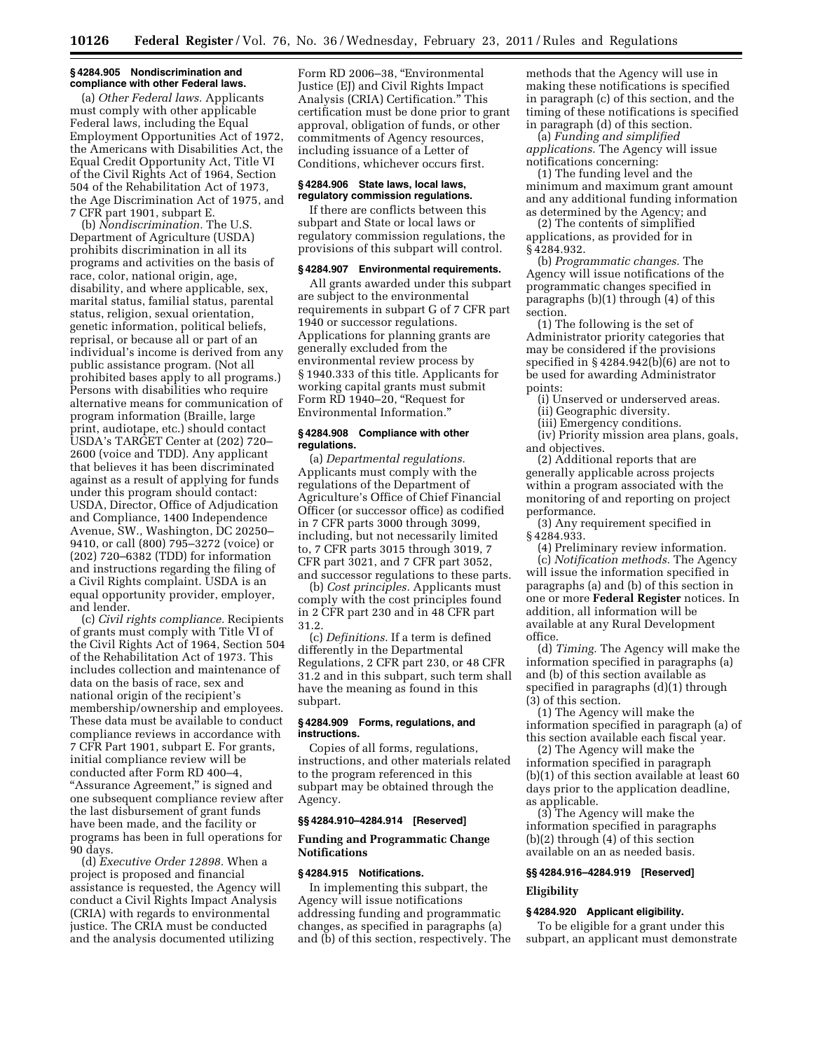# **§ 4284.905 Nondiscrimination and compliance with other Federal laws.**

(a) *Other Federal laws.* Applicants must comply with other applicable Federal laws, including the Equal Employment Opportunities Act of 1972, the Americans with Disabilities Act, the Equal Credit Opportunity Act, Title VI of the Civil Rights Act of 1964, Section 504 of the Rehabilitation Act of 1973, the Age Discrimination Act of 1975, and 7 CFR part 1901, subpart E.

(b) *Nondiscrimination.* The U.S. Department of Agriculture (USDA) prohibits discrimination in all its programs and activities on the basis of race, color, national origin, age, disability, and where applicable, sex, marital status, familial status, parental status, religion, sexual orientation, genetic information, political beliefs, reprisal, or because all or part of an individual's income is derived from any public assistance program. (Not all prohibited bases apply to all programs.) Persons with disabilities who require alternative means for communication of program information (Braille, large print, audiotape, etc.) should contact USDA's TARGET Center at (202) 720– 2600 (voice and TDD). Any applicant that believes it has been discriminated against as a result of applying for funds under this program should contact: USDA, Director, Office of Adjudication and Compliance, 1400 Independence Avenue, SW., Washington, DC 20250– 9410, or call (800) 795–3272 (voice) or (202) 720–6382 (TDD) for information and instructions regarding the filing of a Civil Rights complaint. USDA is an equal opportunity provider, employer, and lender.

(c) *Civil rights compliance.* Recipients of grants must comply with Title VI of the Civil Rights Act of 1964, Section 504 of the Rehabilitation Act of 1973. This includes collection and maintenance of data on the basis of race, sex and national origin of the recipient's membership/ownership and employees. These data must be available to conduct compliance reviews in accordance with 7 CFR Part 1901, subpart E. For grants, initial compliance review will be conducted after Form RD 400–4, "Assurance Agreement," is signed and one subsequent compliance review after the last disbursement of grant funds have been made, and the facility or programs has been in full operations for 90 days.

(d) *Executive Order 12898.* When a project is proposed and financial assistance is requested, the Agency will conduct a Civil Rights Impact Analysis (CRIA) with regards to environmental justice. The CRIA must be conducted and the analysis documented utilizing

Form RD 2006-38, "Environmental Justice (EJ) and Civil Rights Impact Analysis (CRIA) Certification.'' This certification must be done prior to grant approval, obligation of funds, or other commitments of Agency resources, including issuance of a Letter of Conditions, whichever occurs first.

#### **§ 4284.906 State laws, local laws, regulatory commission regulations.**

If there are conflicts between this subpart and State or local laws or regulatory commission regulations, the provisions of this subpart will control.

### **§ 4284.907 Environmental requirements.**

All grants awarded under this subpart are subject to the environmental requirements in subpart G of 7 CFR part 1940 or successor regulations. Applications for planning grants are generally excluded from the environmental review process by § 1940.333 of this title. Applicants for working capital grants must submit Form RD 1940–20, "Request for Environmental Information.''

#### **§ 4284.908 Compliance with other regulations.**

(a) *Departmental regulations.*  Applicants must comply with the regulations of the Department of Agriculture's Office of Chief Financial Officer (or successor office) as codified in 7 CFR parts 3000 through 3099, including, but not necessarily limited to, 7 CFR parts 3015 through 3019, 7 CFR part 3021, and 7 CFR part 3052, and successor regulations to these parts.

(b) *Cost principles.* Applicants must comply with the cost principles found in 2 CFR part 230 and in 48 CFR part 31.2.

(c) *Definitions.* If a term is defined differently in the Departmental Regulations, 2 CFR part 230, or 48 CFR 31.2 and in this subpart, such term shall have the meaning as found in this subpart.

## **§ 4284.909 Forms, regulations, and instructions.**

Copies of all forms, regulations, instructions, and other materials related to the program referenced in this subpart may be obtained through the Agency.

# **§§ 4284.910–4284.914 [Reserved]**

# **Funding and Programmatic Change Notifications**

# **§ 4284.915 Notifications.**

In implementing this subpart, the Agency will issue notifications addressing funding and programmatic changes, as specified in paragraphs (a) and (b) of this section, respectively. The methods that the Agency will use in making these notifications is specified in paragraph (c) of this section, and the timing of these notifications is specified in paragraph (d) of this section.

(a) *Funding and simplified applications.* The Agency will issue notifications concerning:

(1) The funding level and the minimum and maximum grant amount and any additional funding information as determined by the Agency; and

(2) The contents of simplified applications, as provided for in § 4284.932.

(b) *Programmatic changes.* The Agency will issue notifications of the programmatic changes specified in paragraphs (b)(1) through (4) of this section.

(1) The following is the set of Administrator priority categories that may be considered if the provisions specified in § 4284.942(b)(6) are not to be used for awarding Administrator points:

- (i) Unserved or underserved areas.
- (ii) Geographic diversity.
- (iii) Emergency conditions.

(iv) Priority mission area plans, goals, and objectives.

(2) Additional reports that are generally applicable across projects within a program associated with the monitoring of and reporting on project performance.

(3) Any requirement specified in § 4284.933.

(4) Preliminary review information. (c) *Notification methods.* The Agency will issue the information specified in paragraphs (a) and (b) of this section in one or more **Federal Register** notices. In addition, all information will be available at any Rural Development office.

(d) *Timing.* The Agency will make the information specified in paragraphs (a) and (b) of this section available as specified in paragraphs (d)(1) through (3) of this section.

(1) The Agency will make the information specified in paragraph (a) of this section available each fiscal year.

(2) The Agency will make the information specified in paragraph (b)(1) of this section available at least 60 days prior to the application deadline, as applicable.

(3) The Agency will make the information specified in paragraphs (b)(2) through (4) of this section available on an as needed basis.

# **§§ 4284.916–4284.919 [Reserved]**

# **Eligibility**

# **§ 4284.920 Applicant eligibility.**

To be eligible for a grant under this subpart, an applicant must demonstrate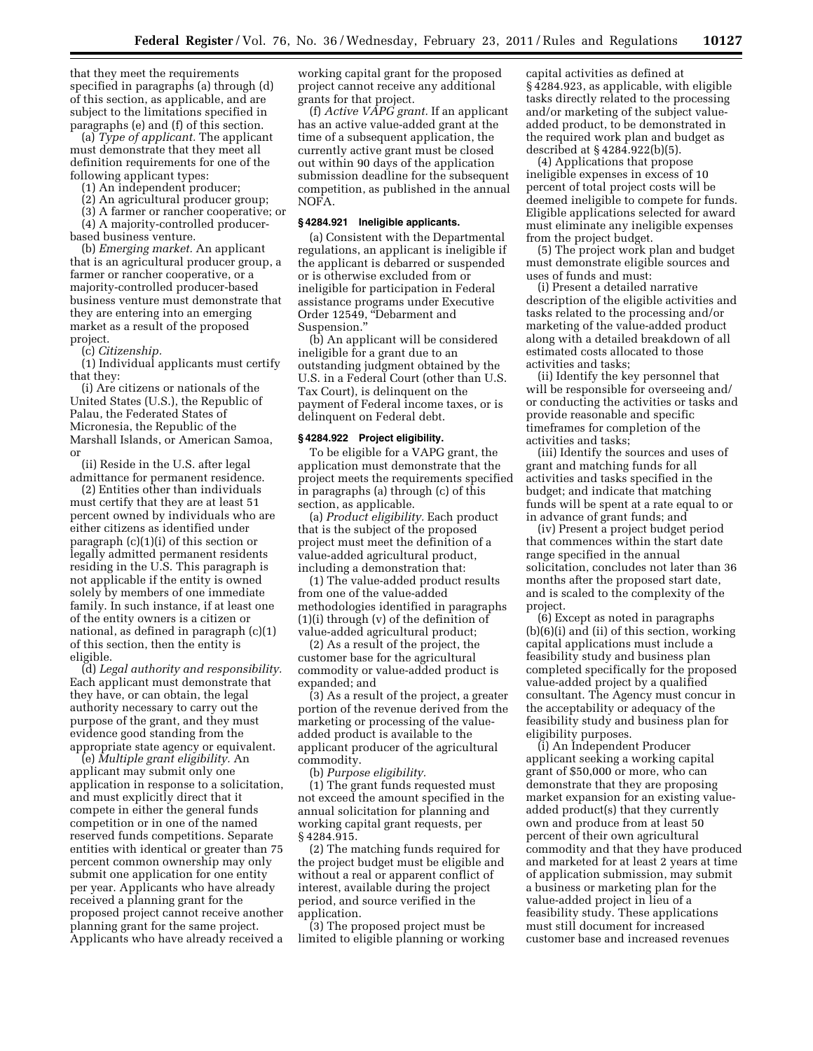that they meet the requirements specified in paragraphs (a) through (d) of this section, as applicable, and are subject to the limitations specified in paragraphs (e) and (f) of this section.

(a) *Type of applicant.* The applicant must demonstrate that they meet all definition requirements for one of the following applicant types:

(1) An independent producer;

(2) An agricultural producer group;

(3) A farmer or rancher cooperative; or

(4) A majority-controlled producerbased business venture.

(b) *Emerging market.* An applicant that is an agricultural producer group, a farmer or rancher cooperative, or a majority-controlled producer-based business venture must demonstrate that they are entering into an emerging market as a result of the proposed project.

(c) *Citizenship.* 

(1) Individual applicants must certify that they:

(i) Are citizens or nationals of the United States (U.S.), the Republic of Palau, the Federated States of Micronesia, the Republic of the Marshall Islands, or American Samoa, or

(ii) Reside in the U.S. after legal admittance for permanent residence.

(2) Entities other than individuals must certify that they are at least 51 percent owned by individuals who are either citizens as identified under paragraph (c)(1)(i) of this section or legally admitted permanent residents residing in the U.S. This paragraph is not applicable if the entity is owned solely by members of one immediate family. In such instance, if at least one of the entity owners is a citizen or national, as defined in paragraph (c)(1) of this section, then the entity is eligible.

(d) *Legal authority and responsibility.*  Each applicant must demonstrate that they have, or can obtain, the legal authority necessary to carry out the purpose of the grant, and they must evidence good standing from the appropriate state agency or equivalent.

(e) *Multiple grant eligibility.* An applicant may submit only one application in response to a solicitation, and must explicitly direct that it compete in either the general funds competition or in one of the named reserved funds competitions. Separate entities with identical or greater than 75 percent common ownership may only submit one application for one entity per year. Applicants who have already received a planning grant for the proposed project cannot receive another planning grant for the same project. Applicants who have already received a

working capital grant for the proposed project cannot receive any additional grants for that project.

(f) *Active VAPG grant.* If an applicant has an active value-added grant at the time of a subsequent application, the currently active grant must be closed out within 90 days of the application submission deadline for the subsequent competition, as published in the annual NOFA.

# **§ 4284.921 Ineligible applicants.**

(a) Consistent with the Departmental regulations, an applicant is ineligible if the applicant is debarred or suspended or is otherwise excluded from or ineligible for participation in Federal assistance programs under Executive Order 12549, ''Debarment and Suspension.''

(b) An applicant will be considered ineligible for a grant due to an outstanding judgment obtained by the U.S. in a Federal Court (other than U.S. Tax Court), is delinquent on the payment of Federal income taxes, or is delinquent on Federal debt.

## **§ 4284.922 Project eligibility.**

To be eligible for a VAPG grant, the application must demonstrate that the project meets the requirements specified in paragraphs (a) through (c) of this section, as applicable.

(a) *Product eligibility.* Each product that is the subject of the proposed project must meet the definition of a value-added agricultural product, including a demonstration that:

(1) The value-added product results from one of the value-added methodologies identified in paragraphs (1)(i) through (v) of the definition of value-added agricultural product;

(2) As a result of the project, the customer base for the agricultural commodity or value-added product is expanded; and

(3) As a result of the project, a greater portion of the revenue derived from the marketing or processing of the valueadded product is available to the applicant producer of the agricultural commodity.

(b) *Purpose eligibility.* 

(1) The grant funds requested must not exceed the amount specified in the annual solicitation for planning and working capital grant requests, per § 4284.915.

(2) The matching funds required for the project budget must be eligible and without a real or apparent conflict of interest, available during the project period, and source verified in the application.

(3) The proposed project must be limited to eligible planning or working capital activities as defined at § 4284.923, as applicable, with eligible tasks directly related to the processing and/or marketing of the subject valueadded product, to be demonstrated in the required work plan and budget as described at § 4284.922(b)(5).

(4) Applications that propose ineligible expenses in excess of 10 percent of total project costs will be deemed ineligible to compete for funds. Eligible applications selected for award must eliminate any ineligible expenses from the project budget.

(5) The project work plan and budget must demonstrate eligible sources and uses of funds and must:

(i) Present a detailed narrative description of the eligible activities and tasks related to the processing and/or marketing of the value-added product along with a detailed breakdown of all estimated costs allocated to those activities and tasks;

(ii) Identify the key personnel that will be responsible for overseeing and/ or conducting the activities or tasks and provide reasonable and specific timeframes for completion of the activities and tasks;

(iii) Identify the sources and uses of grant and matching funds for all activities and tasks specified in the budget; and indicate that matching funds will be spent at a rate equal to or in advance of grant funds; and

(iv) Present a project budget period that commences within the start date range specified in the annual solicitation, concludes not later than 36 months after the proposed start date, and is scaled to the complexity of the project.

(6) Except as noted in paragraphs (b)(6)(i) and (ii) of this section, working capital applications must include a feasibility study and business plan completed specifically for the proposed value-added project by a qualified consultant. The Agency must concur in the acceptability or adequacy of the feasibility study and business plan for eligibility purposes.

(i) An Independent Producer applicant seeking a working capital grant of \$50,000 or more, who can demonstrate that they are proposing market expansion for an existing valueadded product(s) that they currently own and produce from at least 50 percent of their own agricultural commodity and that they have produced and marketed for at least 2 years at time of application submission, may submit a business or marketing plan for the value-added project in lieu of a feasibility study. These applications must still document for increased customer base and increased revenues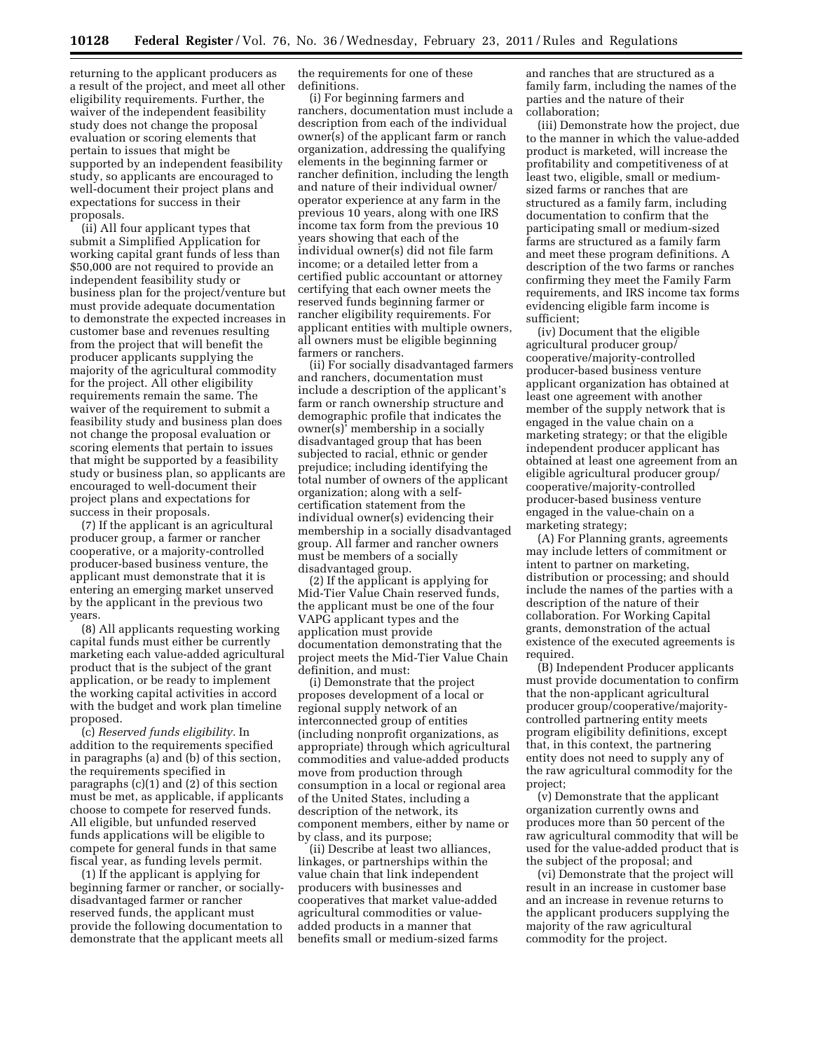returning to the applicant producers as a result of the project, and meet all other eligibility requirements. Further, the waiver of the independent feasibility study does not change the proposal evaluation or scoring elements that pertain to issues that might be supported by an independent feasibility study, so applicants are encouraged to well-document their project plans and expectations for success in their proposals.

(ii) All four applicant types that submit a Simplified Application for working capital grant funds of less than \$50,000 are not required to provide an independent feasibility stu $\bar{\rm d}$ v or business plan for the project/venture but must provide adequate documentation to demonstrate the expected increases in customer base and revenues resulting from the project that will benefit the producer applicants supplying the majority of the agricultural commodity for the project. All other eligibility requirements remain the same. The waiver of the requirement to submit a feasibility study and business plan does not change the proposal evaluation or scoring elements that pertain to issues that might be supported by a feasibility study or business plan, so applicants are encouraged to well-document their project plans and expectations for success in their proposals.

(7) If the applicant is an agricultural producer group, a farmer or rancher cooperative, or a majority-controlled producer-based business venture, the applicant must demonstrate that it is entering an emerging market unserved by the applicant in the previous two years.

(8) All applicants requesting working capital funds must either be currently marketing each value-added agricultural product that is the subject of the grant application, or be ready to implement the working capital activities in accord with the budget and work plan timeline proposed.

(c) *Reserved funds eligibility.* In addition to the requirements specified in paragraphs (a) and (b) of this section, the requirements specified in paragraphs (c)(1) and (2) of this section must be met, as applicable, if applicants choose to compete for reserved funds. All eligible, but unfunded reserved funds applications will be eligible to compete for general funds in that same fiscal year, as funding levels permit.

(1) If the applicant is applying for beginning farmer or rancher, or sociallydisadvantaged farmer or rancher reserved funds, the applicant must provide the following documentation to demonstrate that the applicant meets all

the requirements for one of these definitions.

(i) For beginning farmers and ranchers, documentation must include a description from each of the individual owner(s) of the applicant farm or ranch organization, addressing the qualifying elements in the beginning farmer or rancher definition, including the length and nature of their individual owner/ operator experience at any farm in the previous 10 years, along with one IRS income tax form from the previous 10 years showing that each of the individual owner(s) did not file farm income; or a detailed letter from a certified public accountant or attorney certifying that each owner meets the reserved funds beginning farmer or rancher eligibility requirements. For applicant entities with multiple owners, all owners must be eligible beginning farmers or ranchers.

(ii) For socially disadvantaged farmers and ranchers, documentation must include a description of the applicant's farm or ranch ownership structure and demographic profile that indicates the owner(s)' membership in a socially disadvantaged group that has been subjected to racial, ethnic or gender prejudice; including identifying the total number of owners of the applicant organization; along with a selfcertification statement from the individual owner(s) evidencing their membership in a socially disadvantaged group. All farmer and rancher owners must be members of a socially disadvantaged group.

(2) If the applicant is applying for Mid-Tier Value Chain reserved funds, the applicant must be one of the four VAPG applicant types and the application must provide documentation demonstrating that the project meets the Mid-Tier Value Chain definition, and must:

(i) Demonstrate that the project proposes development of a local or regional supply network of an interconnected group of entities (including nonprofit organizations, as appropriate) through which agricultural commodities and value-added products move from production through consumption in a local or regional area of the United States, including a description of the network, its component members, either by name or by class, and its purpose;

(ii) Describe at least two alliances, linkages, or partnerships within the value chain that link independent producers with businesses and cooperatives that market value-added agricultural commodities or valueadded products in a manner that benefits small or medium-sized farms and ranches that are structured as a family farm, including the names of the parties and the nature of their collaboration;

(iii) Demonstrate how the project, due to the manner in which the value-added product is marketed, will increase the profitability and competitiveness of at least two, eligible, small or mediumsized farms or ranches that are structured as a family farm, including documentation to confirm that the participating small or medium-sized farms are structured as a family farm and meet these program definitions. A description of the two farms or ranches confirming they meet the Family Farm requirements, and IRS income tax forms evidencing eligible farm income is sufficient;

(iv) Document that the eligible agricultural producer group/ cooperative/majority-controlled producer-based business venture applicant organization has obtained at least one agreement with another member of the supply network that is engaged in the value chain on a marketing strategy; or that the eligible independent producer applicant has obtained at least one agreement from an eligible agricultural producer group/ cooperative/majority-controlled producer-based business venture engaged in the value-chain on a marketing strategy;

(A) For Planning grants, agreements may include letters of commitment or intent to partner on marketing, distribution or processing; and should include the names of the parties with a description of the nature of their collaboration. For Working Capital grants, demonstration of the actual existence of the executed agreements is required.

(B) Independent Producer applicants must provide documentation to confirm that the non-applicant agricultural producer group/cooperative/majoritycontrolled partnering entity meets program eligibility definitions, except that, in this context, the partnering entity does not need to supply any of the raw agricultural commodity for the project;

(v) Demonstrate that the applicant organization currently owns and produces more than 50 percent of the raw agricultural commodity that will be used for the value-added product that is the subject of the proposal; and

(vi) Demonstrate that the project will result in an increase in customer base and an increase in revenue returns to the applicant producers supplying the majority of the raw agricultural commodity for the project.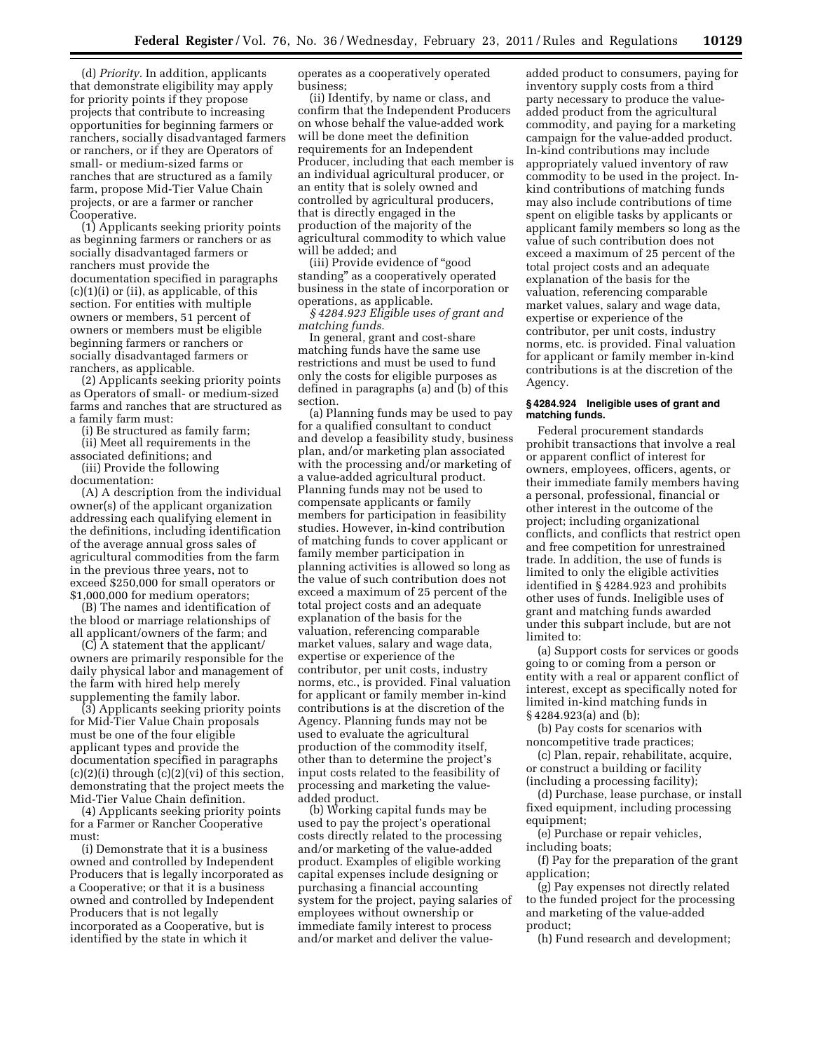(d) *Priority.* In addition, applicants that demonstrate eligibility may apply for priority points if they propose projects that contribute to increasing opportunities for beginning farmers or ranchers, socially disadvantaged farmers or ranchers, or if they are Operators of small- or medium-sized farms or ranches that are structured as a family farm, propose Mid-Tier Value Chain projects, or are a farmer or rancher Cooperative.

(1) Applicants seeking priority points as beginning farmers or ranchers or as socially disadvantaged farmers or ranchers must provide the documentation specified in paragraphs (c)(1)(i) or (ii), as applicable, of this section. For entities with multiple owners or members, 51 percent of owners or members must be eligible beginning farmers or ranchers or socially disadvantaged farmers or ranchers, as applicable.

(2) Applicants seeking priority points as Operators of small- or medium-sized farms and ranches that are structured as a family farm must:

(i) Be structured as family farm;

(ii) Meet all requirements in the associated definitions; and

(iii) Provide the following documentation:

(A) A description from the individual owner(s) of the applicant organization addressing each qualifying element in the definitions, including identification of the average annual gross sales of agricultural commodities from the farm in the previous three years, not to exceed \$250,000 for small operators or \$1,000,000 for medium operators;

(B) The names and identification of the blood or marriage relationships of all applicant/owners of the farm; and

(C) A statement that the applicant/ owners are primarily responsible for the daily physical labor and management of the farm with hired help merely supplementing the family labor.

(3) Applicants seeking priority points for Mid-Tier Value Chain proposals must be one of the four eligible applicant types and provide the documentation specified in paragraphs  $(c)(2)(i)$  through  $(c)(2)(vi)$  of this section, demonstrating that the project meets the Mid-Tier Value Chain definition.

(4) Applicants seeking priority points for a Farmer or Rancher Cooperative must:

(i) Demonstrate that it is a business owned and controlled by Independent Producers that is legally incorporated as a Cooperative; or that it is a business owned and controlled by Independent Producers that is not legally incorporated as a Cooperative, but is identified by the state in which it

operates as a cooperatively operated business;

(ii) Identify, by name or class, and confirm that the Independent Producers on whose behalf the value-added work will be done meet the definition requirements for an Independent Producer, including that each member is an individual agricultural producer, or an entity that is solely owned and controlled by agricultural producers, that is directly engaged in the production of the majority of the agricultural commodity to which value will be added; and

(iii) Provide evidence of ''good standing'' as a cooperatively operated business in the state of incorporation or operations, as applicable.

*§ 4284.923 Eligible uses of grant and matching funds.* 

In general, grant and cost-share matching funds have the same use restrictions and must be used to fund only the costs for eligible purposes as defined in paragraphs (a) and (b) of this section.

(a) Planning funds may be used to pay for a qualified consultant to conduct and develop a feasibility study, business plan, and/or marketing plan associated with the processing and/or marketing of a value-added agricultural product. Planning funds may not be used to compensate applicants or family members for participation in feasibility studies. However, in-kind contribution of matching funds to cover applicant or family member participation in planning activities is allowed so long as the value of such contribution does not exceed a maximum of 25 percent of the total project costs and an adequate explanation of the basis for the valuation, referencing comparable market values, salary and wage data, expertise or experience of the contributor, per unit costs, industry norms, etc., is provided. Final valuation for applicant or family member in-kind contributions is at the discretion of the Agency. Planning funds may not be used to evaluate the agricultural production of the commodity itself, other than to determine the project's input costs related to the feasibility of processing and marketing the valueadded product.

(b) Working capital funds may be used to pay the project's operational costs directly related to the processing and/or marketing of the value-added product. Examples of eligible working capital expenses include designing or purchasing a financial accounting system for the project, paying salaries of employees without ownership or immediate family interest to process and/or market and deliver the valueadded product to consumers, paying for inventory supply costs from a third party necessary to produce the valueadded product from the agricultural commodity, and paying for a marketing campaign for the value-added product. In-kind contributions may include appropriately valued inventory of raw commodity to be used in the project. Inkind contributions of matching funds may also include contributions of time spent on eligible tasks by applicants or applicant family members so long as the value of such contribution does not exceed a maximum of 25 percent of the total project costs and an adequate explanation of the basis for the valuation, referencing comparable market values, salary and wage data, expertise or experience of the contributor, per unit costs, industry norms, etc. is provided. Final valuation for applicant or family member in-kind contributions is at the discretion of the Agency.

### **§ 4284.924 Ineligible uses of grant and matching funds.**

Federal procurement standards prohibit transactions that involve a real or apparent conflict of interest for owners, employees, officers, agents, or their immediate family members having a personal, professional, financial or other interest in the outcome of the project; including organizational conflicts, and conflicts that restrict open and free competition for unrestrained trade. In addition, the use of funds is limited to only the eligible activities identified in § 4284.923 and prohibits other uses of funds. Ineligible uses of grant and matching funds awarded under this subpart include, but are not limited to:

(a) Support costs for services or goods going to or coming from a person or entity with a real or apparent conflict of interest, except as specifically noted for limited in-kind matching funds in § 4284.923(a) and (b);

(b) Pay costs for scenarios with noncompetitive trade practices;

(c) Plan, repair, rehabilitate, acquire, or construct a building or facility (including a processing facility);

(d) Purchase, lease purchase, or install fixed equipment, including processing equipment;

(e) Purchase or repair vehicles, including boats;

(f) Pay for the preparation of the grant application;

(g) Pay expenses not directly related to the funded project for the processing and marketing of the value-added product;

(h) Fund research and development;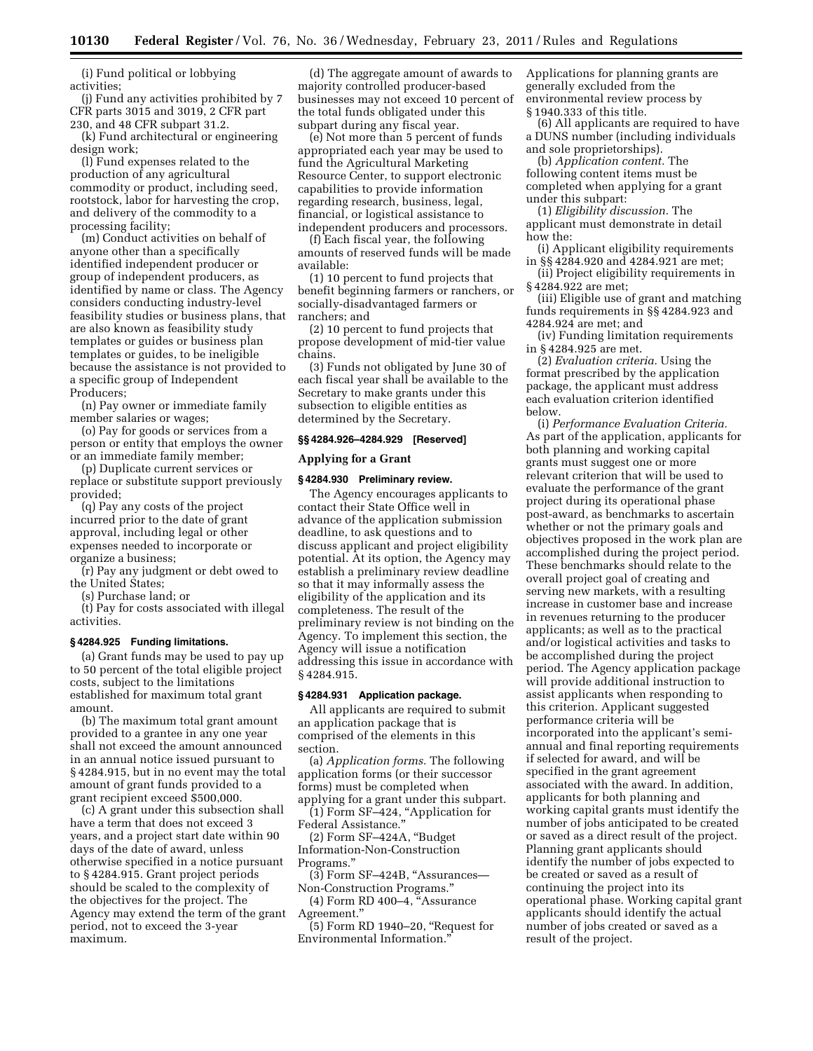(i) Fund political or lobbying activities;

(j) Fund any activities prohibited by 7 CFR parts 3015 and 3019, 2 CFR part 230, and 48 CFR subpart 31.2.

(k) Fund architectural or engineering design work;

(l) Fund expenses related to the production of any agricultural commodity or product, including seed, rootstock, labor for harvesting the crop, and delivery of the commodity to a processing facility;

(m) Conduct activities on behalf of anyone other than a specifically identified independent producer or group of independent producers, as identified by name or class. The Agency considers conducting industry-level feasibility studies or business plans, that are also known as feasibility study templates or guides or business plan templates or guides, to be ineligible because the assistance is not provided to a specific group of Independent Producers;

(n) Pay owner or immediate family member salaries or wages;

(o) Pay for goods or services from a person or entity that employs the owner or an immediate family member;

(p) Duplicate current services or replace or substitute support previously provided;

(q) Pay any costs of the project incurred prior to the date of grant approval, including legal or other expenses needed to incorporate or organize a business;

(r) Pay any judgment or debt owed to the United States;

(s) Purchase land; or

(t) Pay for costs associated with illegal activities.

### **§ 4284.925 Funding limitations.**

(a) Grant funds may be used to pay up to 50 percent of the total eligible project costs, subject to the limitations established for maximum total grant amount.

(b) The maximum total grant amount provided to a grantee in any one year shall not exceed the amount announced in an annual notice issued pursuant to § 4284.915, but in no event may the total amount of grant funds provided to a grant recipient exceed \$500,000.

(c) A grant under this subsection shall have a term that does not exceed 3 years, and a project start date within 90 days of the date of award, unless otherwise specified in a notice pursuant to § 4284.915. Grant project periods should be scaled to the complexity of the objectives for the project. The Agency may extend the term of the grant period, not to exceed the 3-year maximum.

(d) The aggregate amount of awards to majority controlled producer-based businesses may not exceed 10 percent of the total funds obligated under this subpart during any fiscal year.

(e) Not more than 5 percent of funds appropriated each year may be used to fund the Agricultural Marketing Resource Center, to support electronic capabilities to provide information regarding research, business, legal, financial, or logistical assistance to independent producers and processors.

(f) Each fiscal year, the following amounts of reserved funds will be made available:

(1) 10 percent to fund projects that benefit beginning farmers or ranchers, or socially-disadvantaged farmers or ranchers; and

(2) 10 percent to fund projects that propose development of mid-tier value chains.

(3) Funds not obligated by June 30 of each fiscal year shall be available to the Secretary to make grants under this subsection to eligible entities as determined by the Secretary.

# **§§ 4284.926–4284.929 [Reserved]**

# **Applying for a Grant**

### **§ 4284.930 Preliminary review.**

The Agency encourages applicants to contact their State Office well in advance of the application submission deadline, to ask questions and to discuss applicant and project eligibility potential. At its option, the Agency may establish a preliminary review deadline so that it may informally assess the eligibility of the application and its completeness. The result of the preliminary review is not binding on the Agency. To implement this section, the Agency will issue a notification addressing this issue in accordance with § 4284.915.

#### **§ 4284.931 Application package.**

All applicants are required to submit an application package that is comprised of the elements in this section.

(a) *Application forms.* The following application forms (or their successor forms) must be completed when

applying for a grant under this subpart. (1) Form SF–424, ''Application for Federal Assistance.''

(2) Form SF–424A, ''Budget

Information-Non-Construction Programs.''

 $(3)$  Form SF-424B, "Assurances-Non-Construction Programs.''

(4) Form RD 400–4,  $K$ Assurance Agreement.''

(5) Form RD 1940–20, ''Request for Environmental Information.''

Applications for planning grants are generally excluded from the environmental review process by § 1940.333 of this title.

(6) All applicants are required to have a DUNS number (including individuals and sole proprietorships).

(b) *Application content.* The following content items must be completed when applying for a grant under this subpart:

(1) *Eligibility discussion.* The applicant must demonstrate in detail how the:

(i) Applicant eligibility requirements in §§ 4284.920 and 4284.921 are met;

(ii) Project eligibility requirements in § 4284.922 are met;

(iii) Eligible use of grant and matching funds requirements in §§ 4284.923 and 4284.924 are met; and

(iv) Funding limitation requirements in § 4284.925 are met.

(2) *Evaluation criteria.* Using the format prescribed by the application package, the applicant must address each evaluation criterion identified below.

(i) *Performance Evaluation Criteria.*  As part of the application, applicants for both planning and working capital grants must suggest one or more relevant criterion that will be used to evaluate the performance of the grant project during its operational phase post-award, as benchmarks to ascertain whether or not the primary goals and objectives proposed in the work plan are accomplished during the project period. These benchmarks should relate to the overall project goal of creating and serving new markets, with a resulting increase in customer base and increase in revenues returning to the producer applicants; as well as to the practical and/or logistical activities and tasks to be accomplished during the project period. The Agency application package will provide additional instruction to assist applicants when responding to this criterion. Applicant suggested performance criteria will be incorporated into the applicant's semiannual and final reporting requirements if selected for award, and will be specified in the grant agreement associated with the award. In addition, applicants for both planning and working capital grants must identify the number of jobs anticipated to be created or saved as a direct result of the project. Planning grant applicants should identify the number of jobs expected to be created or saved as a result of continuing the project into its operational phase. Working capital grant applicants should identify the actual number of jobs created or saved as a result of the project.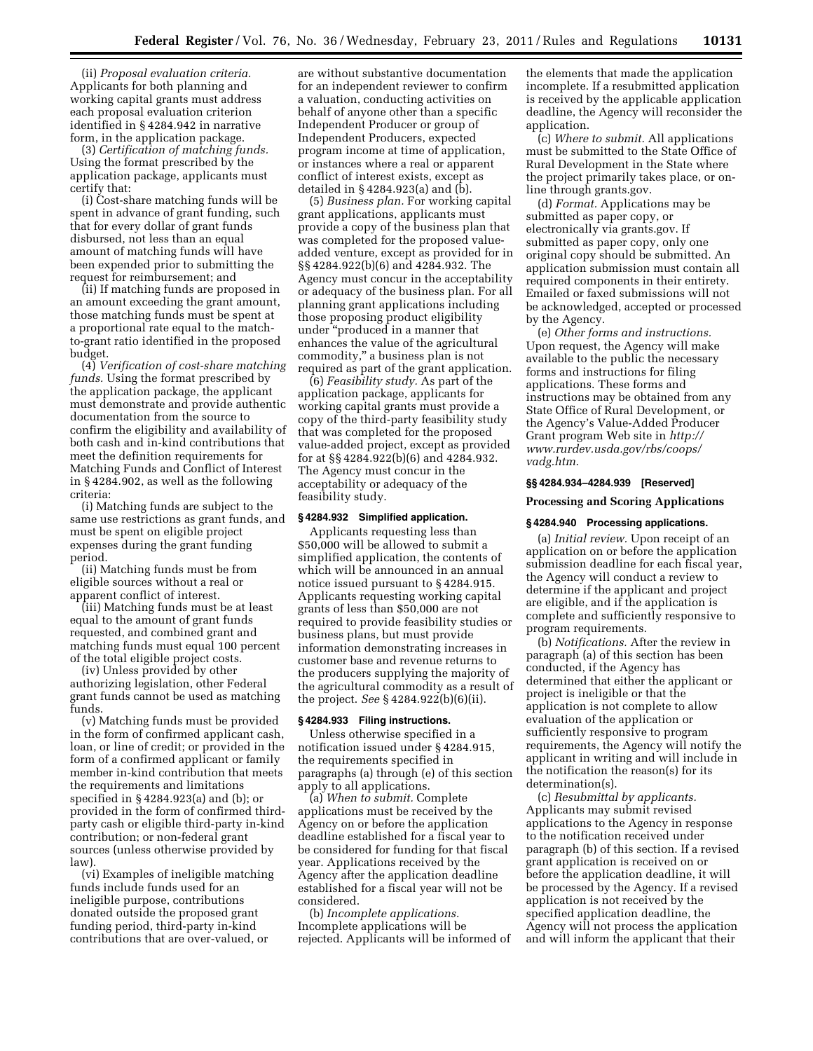(ii) *Proposal evaluation criteria.*  Applicants for both planning and working capital grants must address each proposal evaluation criterion identified in § 4284.942 in narrative form, in the application package.

(3) *Certification of matching funds.*  Using the format prescribed by the application package, applicants must certify that:

(i) Cost-share matching funds will be spent in advance of grant funding, such that for every dollar of grant funds disbursed, not less than an equal amount of matching funds will have been expended prior to submitting the request for reimbursement; and

(ii) If matching funds are proposed in an amount exceeding the grant amount, those matching funds must be spent at a proportional rate equal to the matchto-grant ratio identified in the proposed budget.

(4) *Verification of cost-share matching funds.* Using the format prescribed by the application package, the applicant must demonstrate and provide authentic documentation from the source to confirm the eligibility and availability of both cash and in-kind contributions that meet the definition requirements for Matching Funds and Conflict of Interest in § 4284.902, as well as the following criteria:

(i) Matching funds are subject to the same use restrictions as grant funds, and must be spent on eligible project expenses during the grant funding period.

(ii) Matching funds must be from eligible sources without a real or apparent conflict of interest.

(iii) Matching funds must be at least equal to the amount of grant funds requested, and combined grant and matching funds must equal 100 percent of the total eligible project costs.

(iv) Unless provided by other authorizing legislation, other Federal grant funds cannot be used as matching funds.

(v) Matching funds must be provided in the form of confirmed applicant cash, loan, or line of credit; or provided in the form of a confirmed applicant or family member in-kind contribution that meets the requirements and limitations specified in § 4284.923(a) and (b); or provided in the form of confirmed thirdparty cash or eligible third-party in-kind contribution; or non-federal grant sources (unless otherwise provided by law).

(vi) Examples of ineligible matching funds include funds used for an ineligible purpose, contributions donated outside the proposed grant funding period, third-party in-kind contributions that are over-valued, or

are without substantive documentation for an independent reviewer to confirm a valuation, conducting activities on behalf of anyone other than a specific Independent Producer or group of Independent Producers, expected program income at time of application, or instances where a real or apparent conflict of interest exists, except as detailed in § 4284.923(a) and (b).

(5) *Business plan.* For working capital grant applications, applicants must provide a copy of the business plan that was completed for the proposed valueadded venture, except as provided for in §§ 4284.922(b)(6) and 4284.932. The Agency must concur in the acceptability or adequacy of the business plan. For all planning grant applications including those proposing product eligibility under ''produced in a manner that enhances the value of the agricultural commodity,'' a business plan is not required as part of the grant application.

(6) *Feasibility study.* As part of the application package, applicants for working capital grants must provide a copy of the third-party feasibility study that was completed for the proposed value-added project, except as provided for at §§ 4284.922(b)(6) and 4284.932. The Agency must concur in the acceptability or adequacy of the feasibility study.

# **§ 4284.932 Simplified application.**

Applicants requesting less than \$50,000 will be allowed to submit a simplified application, the contents of which will be announced in an annual notice issued pursuant to § 4284.915. Applicants requesting working capital grants of less than \$50,000 are not required to provide feasibility studies or business plans, but must provide information demonstrating increases in customer base and revenue returns to the producers supplying the majority of the agricultural commodity as a result of the project. *See* § 4284.922(b)(6)(ii).

# **§ 4284.933 Filing instructions.**

Unless otherwise specified in a notification issued under § 4284.915, the requirements specified in paragraphs (a) through (e) of this section apply to all applications.

(a) *When to submit.* Complete applications must be received by the Agency on or before the application deadline established for a fiscal year to be considered for funding for that fiscal year. Applications received by the Agency after the application deadline established for a fiscal year will not be considered.

(b) *Incomplete applications.*  Incomplete applications will be rejected. Applicants will be informed of the elements that made the application incomplete. If a resubmitted application is received by the applicable application deadline, the Agency will reconsider the application.

(c) *Where to submit.* All applications must be submitted to the State Office of Rural Development in the State where the project primarily takes place, or online through grants.gov.

(d) *Format.* Applications may be submitted as paper copy, or electronically via grants.gov. If submitted as paper copy, only one original copy should be submitted. An application submission must contain all required components in their entirety. Emailed or faxed submissions will not be acknowledged, accepted or processed by the Agency.

(e) *Other forms and instructions.*  Upon request, the Agency will make available to the public the necessary forms and instructions for filing applications. These forms and instructions may be obtained from any State Office of Rural Development, or the Agency's Value-Added Producer Grant program Web site in *http:// www.rurdev.usda.gov/rbs/coops/ vadg.htm*.

# **§§ 4284.934–4284.939 [Reserved]**

# **Processing and Scoring Applications**

### **§ 4284.940 Processing applications.**

(a) *Initial review.* Upon receipt of an application on or before the application submission deadline for each fiscal year, the Agency will conduct a review to determine if the applicant and project are eligible, and if the application is complete and sufficiently responsive to program requirements.

(b) *Notifications.* After the review in paragraph (a) of this section has been conducted, if the Agency has determined that either the applicant or project is ineligible or that the application is not complete to allow evaluation of the application or sufficiently responsive to program requirements, the Agency will notify the applicant in writing and will include in the notification the reason(s) for its determination(s).

(c) *Resubmittal by applicants.*  Applicants may submit revised applications to the Agency in response to the notification received under paragraph (b) of this section. If a revised grant application is received on or before the application deadline, it will be processed by the Agency. If a revised application is not received by the specified application deadline, the Agency will not process the application and will inform the applicant that their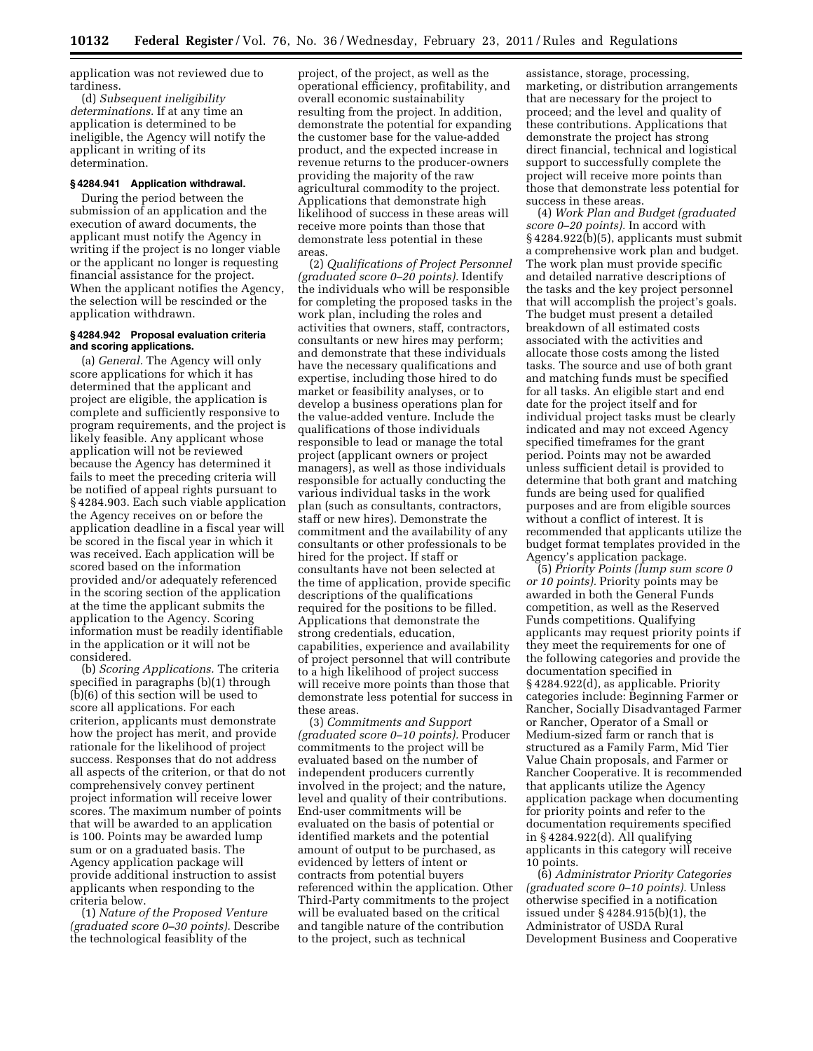application was not reviewed due to tardiness.

(d) *Subsequent ineligibility determinations.* If at any time an application is determined to be ineligible, the Agency will notify the applicant in writing of its determination.

## **§ 4284.941 Application withdrawal.**

During the period between the submission of an application and the execution of award documents, the applicant must notify the Agency in writing if the project is no longer viable or the applicant no longer is requesting financial assistance for the project. When the applicant notifies the Agency, the selection will be rescinded or the application withdrawn.

#### **§ 4284.942 Proposal evaluation criteria and scoring applications.**

(a) *General.* The Agency will only score applications for which it has determined that the applicant and project are eligible, the application is complete and sufficiently responsive to program requirements, and the project is likely feasible. Any applicant whose application will not be reviewed because the Agency has determined it fails to meet the preceding criteria will be notified of appeal rights pursuant to § 4284.903. Each such viable application the Agency receives on or before the application deadline in a fiscal year will be scored in the fiscal year in which it was received. Each application will be scored based on the information provided and/or adequately referenced in the scoring section of the application at the time the applicant submits the application to the Agency. Scoring information must be readily identifiable in the application or it will not be considered.

(b) *Scoring Applications.* The criteria specified in paragraphs (b)(1) through (b)(6) of this section will be used to score all applications. For each criterion, applicants must demonstrate how the project has merit, and provide rationale for the likelihood of project success. Responses that do not address all aspects of the criterion, or that do not comprehensively convey pertinent project information will receive lower scores. The maximum number of points that will be awarded to an application is 100. Points may be awarded lump sum or on a graduated basis. The Agency application package will provide additional instruction to assist applicants when responding to the criteria below.

(1) *Nature of the Proposed Venture (graduated score 0–30 points).* Describe the technological feasiblity of the

project, of the project, as well as the operational efficiency, profitability, and overall economic sustainability resulting from the project. In addition, demonstrate the potential for expanding the customer base for the value-added product, and the expected increase in revenue returns to the producer-owners providing the majority of the raw agricultural commodity to the project. Applications that demonstrate high likelihood of success in these areas will receive more points than those that demonstrate less potential in these areas.

(2) *Qualifications of Project Personnel (graduated score 0–20 points).* Identify the individuals who will be responsible for completing the proposed tasks in the work plan, including the roles and activities that owners, staff, contractors, consultants or new hires may perform; and demonstrate that these individuals have the necessary qualifications and expertise, including those hired to do market or feasibility analyses, or to develop a business operations plan for the value-added venture. Include the qualifications of those individuals responsible to lead or manage the total project (applicant owners or project managers), as well as those individuals responsible for actually conducting the various individual tasks in the work plan (such as consultants, contractors, staff or new hires). Demonstrate the commitment and the availability of any consultants or other professionals to be hired for the project. If staff or consultants have not been selected at the time of application, provide specific descriptions of the qualifications required for the positions to be filled. Applications that demonstrate the strong credentials, education, capabilities, experience and availability of project personnel that will contribute to a high likelihood of project success will receive more points than those that demonstrate less potential for success in these areas.

(3) *Commitments and Support (graduated score 0–10 points).* Producer commitments to the project will be evaluated based on the number of independent producers currently involved in the project; and the nature, level and quality of their contributions. End-user commitments will be evaluated on the basis of potential or identified markets and the potential amount of output to be purchased, as evidenced by letters of intent or contracts from potential buyers referenced within the application. Other Third-Party commitments to the project will be evaluated based on the critical and tangible nature of the contribution to the project, such as technical

assistance, storage, processing, marketing, or distribution arrangements that are necessary for the project to proceed; and the level and quality of these contributions. Applications that demonstrate the project has strong direct financial, technical and logistical support to successfully complete the project will receive more points than those that demonstrate less potential for success in these areas.

(4) *Work Plan and Budget (graduated score 0–20 points).* In accord with § 4284.922(b)(5), applicants must submit a comprehensive work plan and budget. The work plan must provide specific and detailed narrative descriptions of the tasks and the key project personnel that will accomplish the project's goals. The budget must present a detailed breakdown of all estimated costs associated with the activities and allocate those costs among the listed tasks. The source and use of both grant and matching funds must be specified for all tasks. An eligible start and end date for the project itself and for individual project tasks must be clearly indicated and may not exceed Agency specified timeframes for the grant period. Points may not be awarded unless sufficient detail is provided to determine that both grant and matching funds are being used for qualified purposes and are from eligible sources without a conflict of interest. It is recommended that applicants utilize the budget format templates provided in the Agency's application package.

(5) *Priority Points (lump sum score 0 or 10 points).* Priority points may be awarded in both the General Funds competition, as well as the Reserved Funds competitions. Qualifying applicants may request priority points if they meet the requirements for one of the following categories and provide the documentation specified in § 4284.922(d), as applicable. Priority categories include: Beginning Farmer or Rancher, Socially Disadvantaged Farmer or Rancher, Operator of a Small or Medium-sized farm or ranch that is structured as a Family Farm, Mid Tier Value Chain proposals, and Farmer or Rancher Cooperative. It is recommended that applicants utilize the Agency application package when documenting for priority points and refer to the documentation requirements specified in § 4284.922(d). All qualifying applicants in this category will receive 10 points.

(6) *Administrator Priority Categories (graduated score 0–10 points).* Unless otherwise specified in a notification issued under § 4284.915(b)(1), the Administrator of USDA Rural Development Business and Cooperative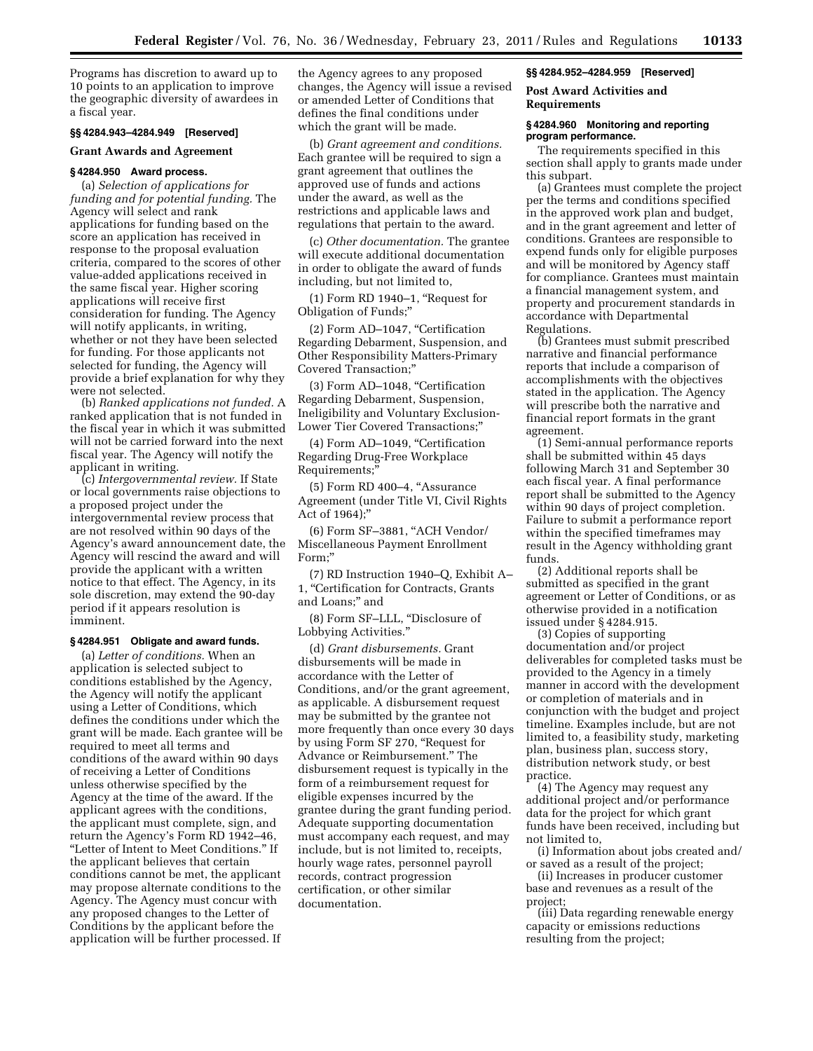Programs has discretion to award up to 10 points to an application to improve the geographic diversity of awardees in a fiscal year.

# **§§ 4284.943–4284.949 [Reserved]**

# **Grant Awards and Agreement**

# **§ 4284.950 Award process.**

(a) *Selection of applications for funding and for potential funding.* The Agency will select and rank applications for funding based on the score an application has received in response to the proposal evaluation criteria, compared to the scores of other value-added applications received in the same fiscal year. Higher scoring applications will receive first consideration for funding. The Agency will notify applicants, in writing, whether or not they have been selected for funding. For those applicants not selected for funding, the Agency will provide a brief explanation for why they were not selected.

(b) *Ranked applications not funded.* A ranked application that is not funded in the fiscal year in which it was submitted will not be carried forward into the next fiscal year. The Agency will notify the applicant in writing.

(c) *Intergovernmental review.* If State or local governments raise objections to a proposed project under the intergovernmental review process that are not resolved within 90 days of the Agency's award announcement date, the Agency will rescind the award and will provide the applicant with a written notice to that effect. The Agency, in its sole discretion, may extend the 90-day period if it appears resolution is imminent.

## **§ 4284.951 Obligate and award funds.**

(a) *Letter of conditions.* When an application is selected subject to conditions established by the Agency, the Agency will notify the applicant using a Letter of Conditions, which defines the conditions under which the grant will be made. Each grantee will be required to meet all terms and conditions of the award within 90 days of receiving a Letter of Conditions unless otherwise specified by the Agency at the time of the award. If the applicant agrees with the conditions, the applicant must complete, sign, and return the Agency's Form RD 1942–46, ''Letter of Intent to Meet Conditions.'' If the applicant believes that certain conditions cannot be met, the applicant may propose alternate conditions to the Agency. The Agency must concur with any proposed changes to the Letter of Conditions by the applicant before the application will be further processed. If

the Agency agrees to any proposed changes, the Agency will issue a revised or amended Letter of Conditions that defines the final conditions under which the grant will be made.

(b) *Grant agreement and conditions.*  Each grantee will be required to sign a grant agreement that outlines the approved use of funds and actions under the award, as well as the restrictions and applicable laws and regulations that pertain to the award.

(c) *Other documentation.* The grantee will execute additional documentation in order to obligate the award of funds including, but not limited to,

(1) Form RD 1940–1, ''Request for Obligation of Funds;''

(2) Form AD–1047, ''Certification Regarding Debarment, Suspension, and Other Responsibility Matters-Primary Covered Transaction;''

(3) Form AD–1048, ''Certification Regarding Debarment, Suspension, Ineligibility and Voluntary Exclusion-Lower Tier Covered Transactions;''

(4) Form AD–1049, ''Certification Regarding Drug-Free Workplace Requirements;''

(5) Form RD 400–4, ''Assurance Agreement (under Title VI, Civil Rights Act of 1964);''

(6) Form SF–3881, ''ACH Vendor/ Miscellaneous Payment Enrollment Form;''

(7) RD Instruction 1940–Q, Exhibit A– 1, ''Certification for Contracts, Grants and Loans;'' and

(8) Form SF–LLL, ''Disclosure of Lobbying Activities.''

(d) *Grant disbursements.* Grant disbursements will be made in accordance with the Letter of Conditions, and/or the grant agreement, as applicable. A disbursement request may be submitted by the grantee not more frequently than once every 30 days by using Form SF 270, ''Request for Advance or Reimbursement.'' The disbursement request is typically in the form of a reimbursement request for eligible expenses incurred by the grantee during the grant funding period. Adequate supporting documentation must accompany each request, and may include, but is not limited to, receipts, hourly wage rates, personnel payroll records, contract progression certification, or other similar documentation.

#### **§§ 4284.952–4284.959 [Reserved]**

**Post Award Activities and Requirements** 

#### **§ 4284.960 Monitoring and reporting program performance.**

The requirements specified in this section shall apply to grants made under this subpart.

(a) Grantees must complete the project per the terms and conditions specified in the approved work plan and budget, and in the grant agreement and letter of conditions. Grantees are responsible to expend funds only for eligible purposes and will be monitored by Agency staff for compliance. Grantees must maintain a financial management system, and property and procurement standards in accordance with Departmental Regulations.

(b) Grantees must submit prescribed narrative and financial performance reports that include a comparison of accomplishments with the objectives stated in the application. The Agency will prescribe both the narrative and financial report formats in the grant agreement.

(1) Semi-annual performance reports shall be submitted within 45 days following March 31 and September 30 each fiscal year. A final performance report shall be submitted to the Agency within 90 days of project completion. Failure to submit a performance report within the specified timeframes may result in the Agency withholding grant funds.

(2) Additional reports shall be submitted as specified in the grant agreement or Letter of Conditions, or as otherwise provided in a notification issued under § 4284.915.

(3) Copies of supporting documentation and/or project deliverables for completed tasks must be provided to the Agency in a timely manner in accord with the development or completion of materials and in conjunction with the budget and project timeline. Examples include, but are not limited to, a feasibility study, marketing plan, business plan, success story, distribution network study, or best practice.

(4) The Agency may request any additional project and/or performance data for the project for which grant funds have been received, including but not limited to,

(i) Information about jobs created and/ or saved as a result of the project;

(ii) Increases in producer customer base and revenues as a result of the project;

(iii) Data regarding renewable energy capacity or emissions reductions resulting from the project;